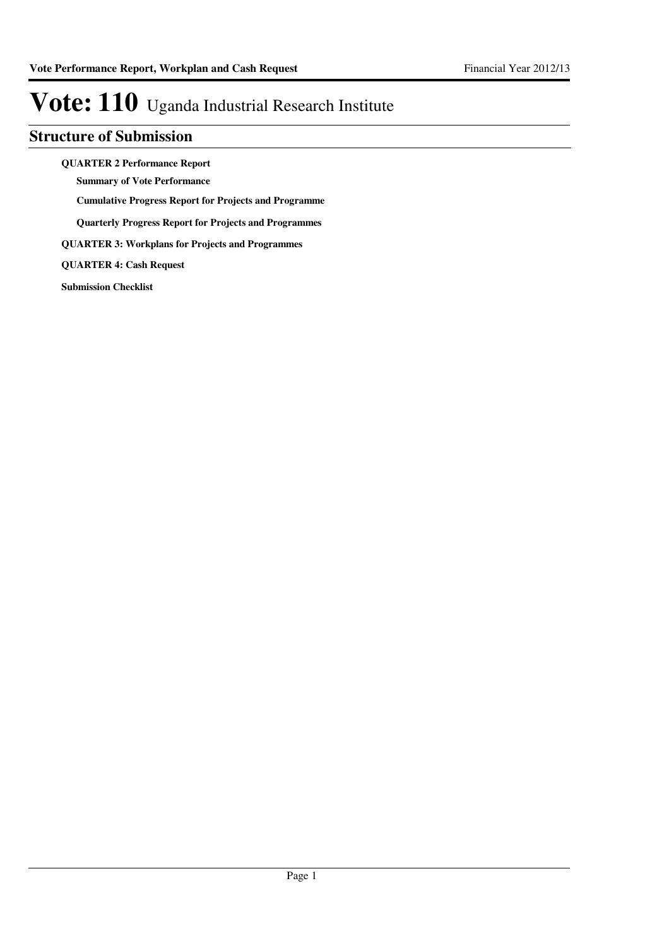### **Structure of Submission**

**QUARTER 2 Performance Report**

**Summary of Vote Performance**

**Cumulative Progress Report for Projects and Programme**

**Quarterly Progress Report for Projects and Programmes**

**QUARTER 3: Workplans for Projects and Programmes**

**QUARTER 4: Cash Request**

**Submission Checklist**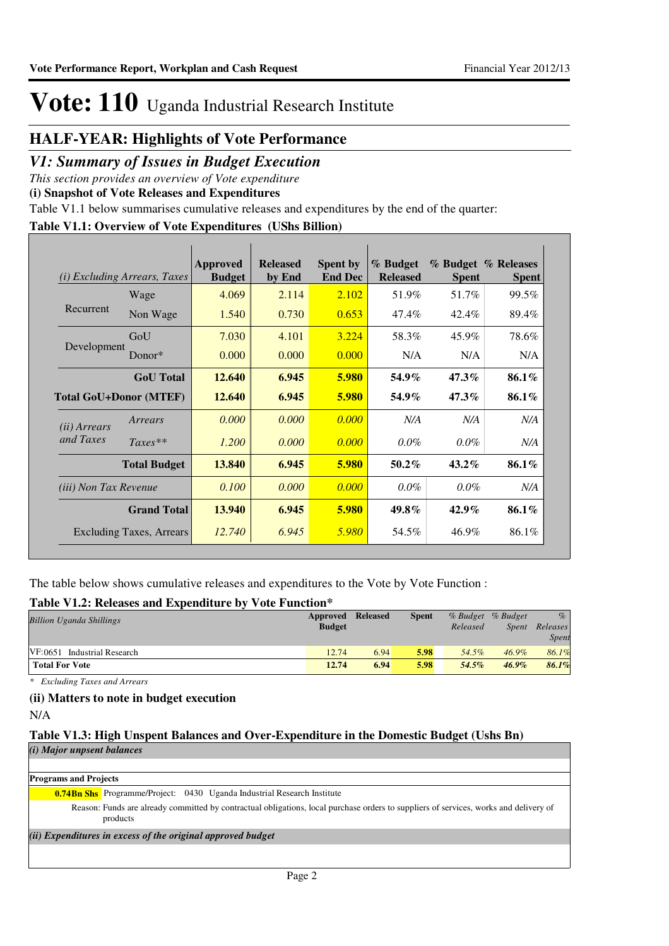### **HALF-YEAR: Highlights of Vote Performance**

### *V1: Summary of Issues in Budget Execution*

*This section provides an overview of Vote expenditure* 

**(i) Snapshot of Vote Releases and Expenditures**

Table V1.1 below summarises cumulative releases and expenditures by the end of the quarter:

### **Table V1.1: Overview of Vote Expenditures (UShs Billion)**

| (i)                          | <i>Excluding Arrears, Taxes</i> | <b>Approved</b><br><b>Budget</b> | <b>Released</b><br>by End | <b>Spent by</b><br><b>End Dec</b> | % Budget<br><b>Released</b> | <b>Spent</b> | % Budget % Releases<br><b>Spent</b> |
|------------------------------|---------------------------------|----------------------------------|---------------------------|-----------------------------------|-----------------------------|--------------|-------------------------------------|
|                              | Wage                            | 4.069                            | 2.114                     | 2.102                             | 51.9%                       | 51.7%        | 99.5%                               |
| Recurrent                    | Non Wage                        | 1.540                            | 0.730                     | 0.653                             | 47.4%                       | 42.4%        | 89.4%                               |
|                              | GoU                             | 7.030                            | 4.101                     | 3.224                             | 58.3%                       | 45.9%        | 78.6%                               |
| Development                  | Donor*                          | 0.000                            | 0.000                     | 0.000                             | N/A                         | N/A          | N/A                                 |
|                              | <b>GoU</b> Total                | 12.640                           | 6.945                     | 5.980                             | 54.9%                       | $47.3\%$     | 86.1%                               |
|                              | <b>Total GoU+Donor (MTEF)</b>   | 12.640                           | 6.945                     | 5.980                             | 54.9%                       | $47.3\%$     | 86.1%                               |
| ( <i>ii</i> ) Arrears        | Arrears                         | 0.000                            | 0.000                     | 0.000                             | N/A                         | N/A          | N/A                                 |
| and Taxes                    | $Taxes**$                       | 1.200                            | 0.000                     | 0.000                             | $0.0\%$                     | $0.0\%$      | N/A                                 |
|                              | <b>Total Budget</b>             | 13.840                           | 6.945                     | 5.980                             | $50.2\%$                    | $43.2\%$     | 86.1%                               |
| <i>(iii)</i> Non Tax Revenue |                                 | 0.100                            | 0.000                     | 0.000                             | $0.0\%$                     | $0.0\%$      | N/A                                 |
|                              | <b>Grand Total</b>              | 13.940                           | 6.945                     | 5.980                             | 49.8%                       | $42.9\%$     | 86.1%                               |
|                              | Excluding Taxes, Arrears        | 12.740                           | 6.945                     | 5.980                             | 54.5%                       | 46.9%        | 86.1%                               |

The table below shows cumulative releases and expenditures to the Vote by Vote Function :

#### **Table V1.2: Releases and Expenditure by Vote Function\***

| <b>Billion Uganda Shillings</b> | Approved<br><b>Budget</b> | <b>Released</b> | <b>Spent</b> | Released | % Budget % Budget<br><i>Spent</i> | $\%$<br>Releases |
|---------------------------------|---------------------------|-----------------|--------------|----------|-----------------------------------|------------------|
|                                 |                           |                 |              |          |                                   | <b>Spent</b>     |
| VF:0651 Industrial Research     | 12.74                     | 6.94            | 5.98         | 54.5%    | $46.9\%$                          | 86.1%            |
| <b>Total For Vote</b>           | 12.74                     | 6.94            | 5.98         | 54.5%    | $46.9\%$                          | 86.1%            |

*\* Excluding Taxes and Arrears*

### **(ii) Matters to note in budget execution**

N/A

#### **Table V1.3: High Unspent Balances and Over-Expenditure in the Domestic Budget (Ushs Bn)** *(i) Major unpsent balances*

**Programs and Projects**

**0.74Bn Shs** Programme/Project: 0430 Uganda Industrial Research Institute

Reason: Funds are already committed by contractual obligations, local purchase orders to suppliers of services, works and delivery of products

*(ii) Expenditures in excess of the original approved budget*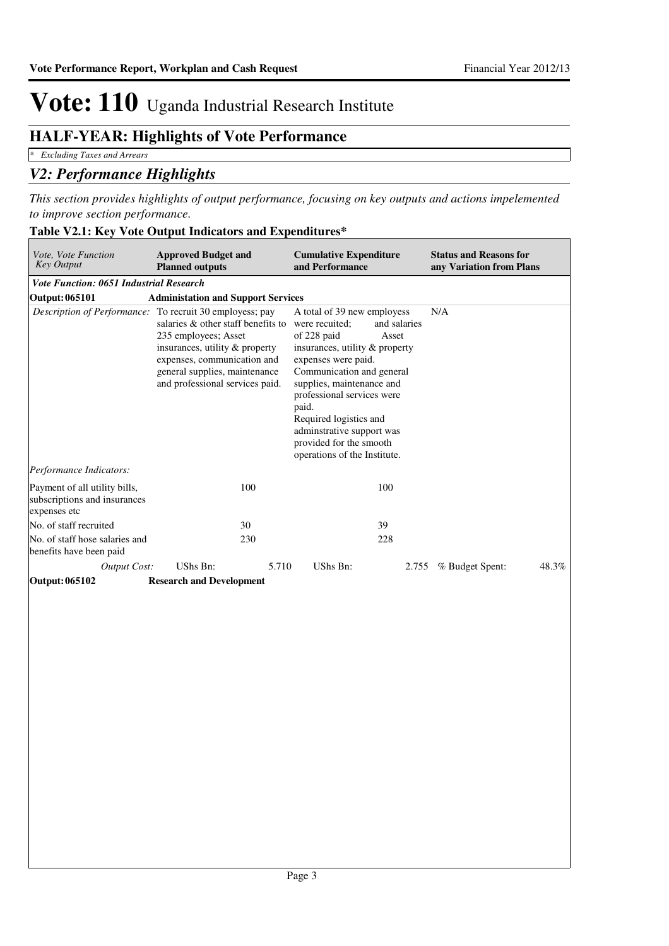### **HALF-YEAR: Highlights of Vote Performance**

*\* Excluding Taxes and Arrears*

### *V2: Performance Highlights*

*This section provides highlights of output performance, focusing on key outputs and actions impelemented to improve section performance.*

| <i>Vote, Vote Function</i><br><b>Key Output</b>                               | <b>Approved Budget and</b><br><b>Planned outputs</b>                                                                                                                                                                               | <b>Cumulative Expenditure</b><br>and Performance                                                                                                                                                                                                                                                                                                                  | <b>Status and Reasons for</b><br>any Variation from Plans |
|-------------------------------------------------------------------------------|------------------------------------------------------------------------------------------------------------------------------------------------------------------------------------------------------------------------------------|-------------------------------------------------------------------------------------------------------------------------------------------------------------------------------------------------------------------------------------------------------------------------------------------------------------------------------------------------------------------|-----------------------------------------------------------|
| <b>Vote Function: 0651 Industrial Research</b>                                |                                                                                                                                                                                                                                    |                                                                                                                                                                                                                                                                                                                                                                   |                                                           |
| <b>Output: 065101</b>                                                         | <b>Administation and Support Services</b>                                                                                                                                                                                          |                                                                                                                                                                                                                                                                                                                                                                   |                                                           |
| Description of Performance:                                                   | To recruit 30 employess; pay<br>salaries $\&$ other staff benefits to<br>235 employees; Asset<br>insurances, utility & property<br>expenses, communication and<br>general supplies, maintenance<br>and professional services paid. | A total of 39 new employess<br>were recuited:<br>and salaries<br>of 228 paid<br>Asset<br>insurances, utility & property<br>expenses were paid.<br>Communication and general<br>supplies, maintenance and<br>professional services were<br>paid.<br>Required logistics and<br>adminstrative support was<br>provided for the smooth<br>operations of the Institute. | N/A                                                       |
| Performance Indicators:                                                       |                                                                                                                                                                                                                                    |                                                                                                                                                                                                                                                                                                                                                                   |                                                           |
| Payment of all utility bills,<br>subscriptions and insurances<br>expenses etc | 100                                                                                                                                                                                                                                | 100                                                                                                                                                                                                                                                                                                                                                               |                                                           |
| No. of staff recruited                                                        | 30                                                                                                                                                                                                                                 | 39                                                                                                                                                                                                                                                                                                                                                                |                                                           |
| No. of staff hose salaries and<br>benefits have been paid                     | 230                                                                                                                                                                                                                                | 228                                                                                                                                                                                                                                                                                                                                                               |                                                           |
| <b>Output Cost:</b>                                                           | UShs Bn:<br>5.710                                                                                                                                                                                                                  | UShs Bn:<br>2.755                                                                                                                                                                                                                                                                                                                                                 | % Budget Spent:<br>48.3%                                  |
| Output: 065102                                                                | <b>Research and Development</b>                                                                                                                                                                                                    |                                                                                                                                                                                                                                                                                                                                                                   |                                                           |

#### **Table V2.1: Key Vote Output Indicators and Expenditures\***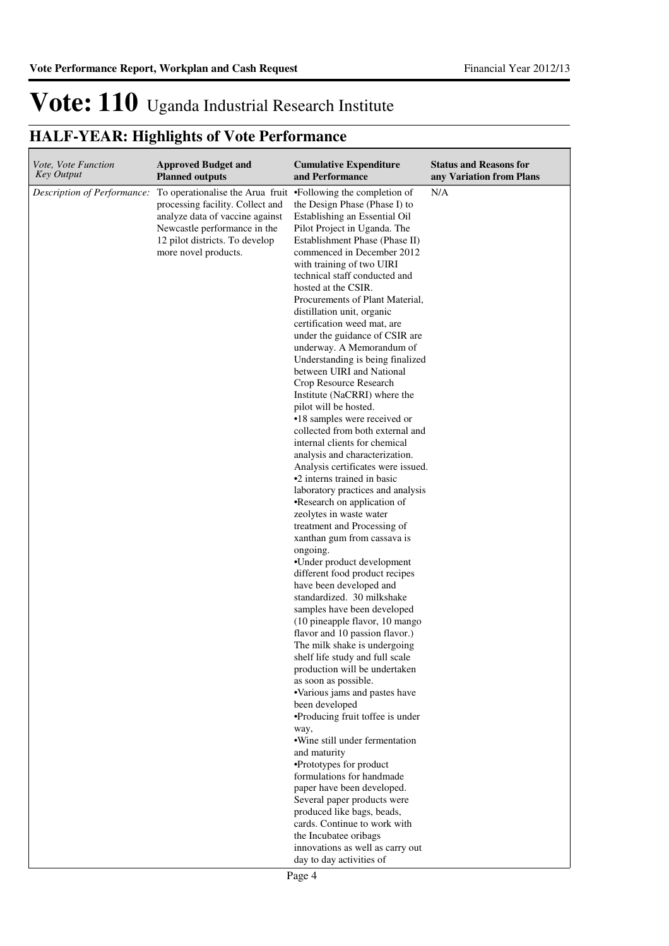| Vote, Vote Function         | <b>Approved Budget and</b>                                                                                                                                                                        | <b>Cumulative Expenditure</b>                                                                                                                                                                                                                                                                                                                                                                                                                                                                                                                                                                                                                                                                                                                                                                                                                                                                                                                                                                                                                                                                                                                                                                                                                                                                                                                                                                                                                                                                                                                                                                                                                                                                                                                                                     | <b>Status and Reasons for</b> |
|-----------------------------|---------------------------------------------------------------------------------------------------------------------------------------------------------------------------------------------------|-----------------------------------------------------------------------------------------------------------------------------------------------------------------------------------------------------------------------------------------------------------------------------------------------------------------------------------------------------------------------------------------------------------------------------------------------------------------------------------------------------------------------------------------------------------------------------------------------------------------------------------------------------------------------------------------------------------------------------------------------------------------------------------------------------------------------------------------------------------------------------------------------------------------------------------------------------------------------------------------------------------------------------------------------------------------------------------------------------------------------------------------------------------------------------------------------------------------------------------------------------------------------------------------------------------------------------------------------------------------------------------------------------------------------------------------------------------------------------------------------------------------------------------------------------------------------------------------------------------------------------------------------------------------------------------------------------------------------------------------------------------------------------------|-------------------------------|
| <b>Key Output</b>           | <b>Planned outputs</b>                                                                                                                                                                            | and Performance                                                                                                                                                                                                                                                                                                                                                                                                                                                                                                                                                                                                                                                                                                                                                                                                                                                                                                                                                                                                                                                                                                                                                                                                                                                                                                                                                                                                                                                                                                                                                                                                                                                                                                                                                                   | any Variation from Plans      |
| Description of Performance: | To operationalise the Arua fruit<br>processing facility. Collect and<br>analyze data of vaccine against<br>Newcastle performance in the<br>12 pilot districts. To develop<br>more novel products. | •Following the completion of<br>the Design Phase (Phase I) to<br>Establishing an Essential Oil<br>Pilot Project in Uganda. The<br>Establishment Phase (Phase II)<br>commenced in December 2012<br>with training of two UIRI<br>technical staff conducted and<br>hosted at the CSIR.<br>Procurements of Plant Material,<br>distillation unit, organic<br>certification weed mat, are<br>under the guidance of CSIR are<br>underway. A Memorandum of<br>Understanding is being finalized<br>between UIRI and National<br>Crop Resource Research<br>Institute (NaCRRI) where the<br>pilot will be hosted.<br>•18 samples were received or<br>collected from both external and<br>internal clients for chemical<br>analysis and characterization.<br>Analysis certificates were issued.<br>•2 interns trained in basic<br>laboratory practices and analysis<br>•Research on application of<br>zeolytes in waste water<br>treatment and Processing of<br>xanthan gum from cassava is<br>ongoing.<br>•Under product development<br>different food product recipes<br>have been developed and<br>standardized. 30 milkshake<br>samples have been developed<br>(10 pineapple flavor, 10 mango<br>flavor and 10 passion flavor.)<br>The milk shake is undergoing<br>shelf life study and full scale<br>production will be undertaken<br>as soon as possible.<br>•Various jams and pastes have<br>been developed<br>•Producing fruit toffee is under<br>way,<br>• Wine still under fermentation<br>and maturity<br>•Prototypes for product<br>formulations for handmade<br>paper have been developed.<br>Several paper products were<br>produced like bags, beads,<br>cards. Continue to work with<br>the Incubatee oribags<br>innovations as well as carry out<br>day to day activities of | N/A                           |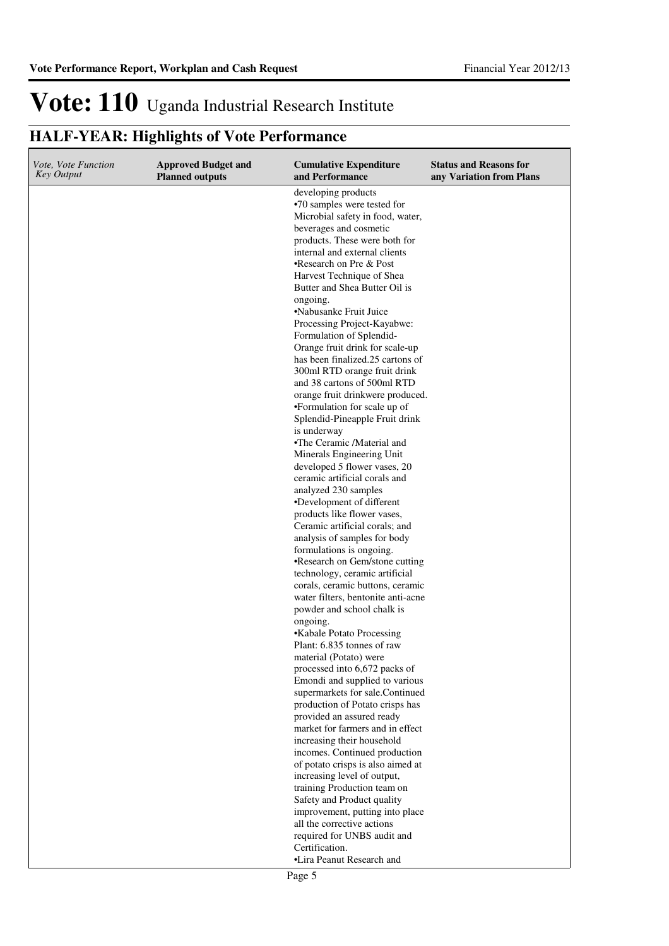| <i>Vote, Vote Function</i><br>Key Output | <b>Approved Budget and</b><br><b>Planned outputs</b> | <b>Cumulative Expenditure</b><br>and Performance                                                                                                                                                                                                                                                                                                                                                                                                                                                                                                                                                                                                                                                                                                                                            | <b>Status and Reasons for</b><br>any Variation from Plans |
|------------------------------------------|------------------------------------------------------|---------------------------------------------------------------------------------------------------------------------------------------------------------------------------------------------------------------------------------------------------------------------------------------------------------------------------------------------------------------------------------------------------------------------------------------------------------------------------------------------------------------------------------------------------------------------------------------------------------------------------------------------------------------------------------------------------------------------------------------------------------------------------------------------|-----------------------------------------------------------|
|                                          |                                                      | developing products<br>•70 samples were tested for<br>Microbial safety in food, water,<br>beverages and cosmetic<br>products. These were both for<br>internal and external clients<br>•Research on Pre & Post<br>Harvest Technique of Shea<br>Butter and Shea Butter Oil is<br>ongoing.<br>•Nabusanke Fruit Juice<br>Processing Project-Kayabwe:<br>Formulation of Splendid-<br>Orange fruit drink for scale-up<br>has been finalized.25 cartons of<br>300ml RTD orange fruit drink<br>and 38 cartons of 500ml RTD<br>orange fruit drinkwere produced.<br>•Formulation for scale up of<br>Splendid-Pineapple Fruit drink<br>is underway<br>•The Ceramic /Material and<br>Minerals Engineering Unit<br>developed 5 flower vases, 20<br>ceramic artificial corals and<br>analyzed 230 samples |                                                           |
|                                          |                                                      | •Development of different<br>products like flower vases,<br>Ceramic artificial corals; and<br>analysis of samples for body<br>formulations is ongoing.<br>•Research on Gem/stone cutting                                                                                                                                                                                                                                                                                                                                                                                                                                                                                                                                                                                                    |                                                           |
|                                          |                                                      | technology, ceramic artificial<br>corals, ceramic buttons, ceramic<br>water filters, bentonite anti-acne<br>powder and school chalk is                                                                                                                                                                                                                                                                                                                                                                                                                                                                                                                                                                                                                                                      |                                                           |
|                                          |                                                      | ongoing.<br>•Kabale Potato Processing<br>Plant: 6.835 tonnes of raw<br>material (Potato) were                                                                                                                                                                                                                                                                                                                                                                                                                                                                                                                                                                                                                                                                                               |                                                           |
|                                          |                                                      | processed into 6,672 packs of<br>Emondi and supplied to various<br>supermarkets for sale.Continued<br>production of Potato crisps has<br>provided an assured ready                                                                                                                                                                                                                                                                                                                                                                                                                                                                                                                                                                                                                          |                                                           |
|                                          |                                                      | market for farmers and in effect<br>increasing their household<br>incomes. Continued production<br>of potato crisps is also aimed at                                                                                                                                                                                                                                                                                                                                                                                                                                                                                                                                                                                                                                                        |                                                           |
|                                          |                                                      | increasing level of output,<br>training Production team on<br>Safety and Product quality<br>improvement, putting into place                                                                                                                                                                                                                                                                                                                                                                                                                                                                                                                                                                                                                                                                 |                                                           |
|                                          |                                                      | all the corrective actions<br>required for UNBS audit and<br>Certification.<br>•Lira Peanut Research and                                                                                                                                                                                                                                                                                                                                                                                                                                                                                                                                                                                                                                                                                    |                                                           |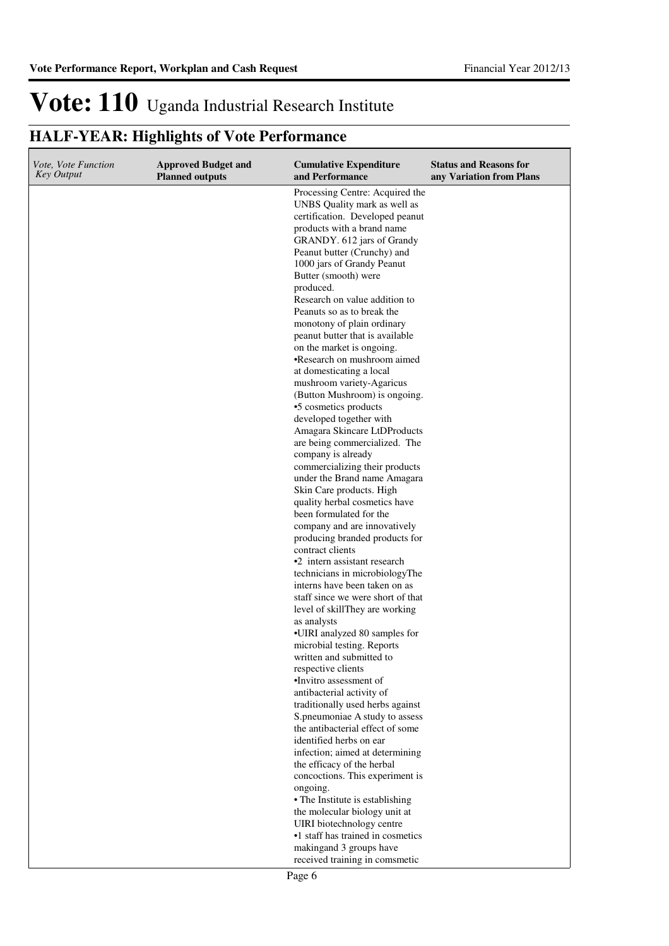| <i>Vote, Vote Function</i><br><b>Key Output</b> | <b>Approved Budget and</b><br><b>Planned outputs</b> | <b>Cumulative Expenditure</b><br>and Performance                                                                                                                                                                                                                                                                                                                                                                                                                                                                                                                                                                                                                                                                                                                                                                                                                                                                                                                                                                                                                                                                                                                                                                                                                                                                                                                                                                             | <b>Status and Reasons for</b><br>any Variation from Plans |
|-------------------------------------------------|------------------------------------------------------|------------------------------------------------------------------------------------------------------------------------------------------------------------------------------------------------------------------------------------------------------------------------------------------------------------------------------------------------------------------------------------------------------------------------------------------------------------------------------------------------------------------------------------------------------------------------------------------------------------------------------------------------------------------------------------------------------------------------------------------------------------------------------------------------------------------------------------------------------------------------------------------------------------------------------------------------------------------------------------------------------------------------------------------------------------------------------------------------------------------------------------------------------------------------------------------------------------------------------------------------------------------------------------------------------------------------------------------------------------------------------------------------------------------------------|-----------------------------------------------------------|
|                                                 |                                                      | Processing Centre: Acquired the<br>UNBS Quality mark as well as<br>certification. Developed peanut<br>products with a brand name<br>GRANDY. 612 jars of Grandy<br>Peanut butter (Crunchy) and<br>1000 jars of Grandy Peanut<br>Butter (smooth) were<br>produced.<br>Research on value addition to<br>Peanuts so as to break the<br>monotony of plain ordinary<br>peanut butter that is available<br>on the market is ongoing.<br>•Research on mushroom aimed<br>at domesticating a local<br>mushroom variety-Agaricus<br>(Button Mushroom) is ongoing.<br>•5 cosmetics products<br>developed together with<br>Amagara Skincare LtDProducts<br>are being commercialized. The<br>company is already<br>commercializing their products<br>under the Brand name Amagara<br>Skin Care products. High<br>quality herbal cosmetics have<br>been formulated for the<br>company and are innovatively<br>producing branded products for<br>contract clients<br>•2 intern assistant research<br>technicians in microbiologyThe<br>interns have been taken on as<br>staff since we were short of that<br>level of skillThey are working<br>as analysts<br>•UIRI analyzed 80 samples for<br>microbial testing. Reports<br>written and submitted to<br>respective clients<br>·Invitro assessment of<br>antibacterial activity of<br>traditionally used herbs against<br>S.pneumoniae A study to assess<br>the antibacterial effect of some |                                                           |
|                                                 |                                                      | identified herbs on ear                                                                                                                                                                                                                                                                                                                                                                                                                                                                                                                                                                                                                                                                                                                                                                                                                                                                                                                                                                                                                                                                                                                                                                                                                                                                                                                                                                                                      |                                                           |
|                                                 |                                                      | infection; aimed at determining<br>the efficacy of the herbal<br>concoctions. This experiment is                                                                                                                                                                                                                                                                                                                                                                                                                                                                                                                                                                                                                                                                                                                                                                                                                                                                                                                                                                                                                                                                                                                                                                                                                                                                                                                             |                                                           |
|                                                 |                                                      | ongoing.<br>• The Institute is establishing<br>the molecular biology unit at<br>UIRI biotechnology centre<br>•1 staff has trained in cosmetics<br>makingand 3 groups have<br>received training in comsmetic                                                                                                                                                                                                                                                                                                                                                                                                                                                                                                                                                                                                                                                                                                                                                                                                                                                                                                                                                                                                                                                                                                                                                                                                                  |                                                           |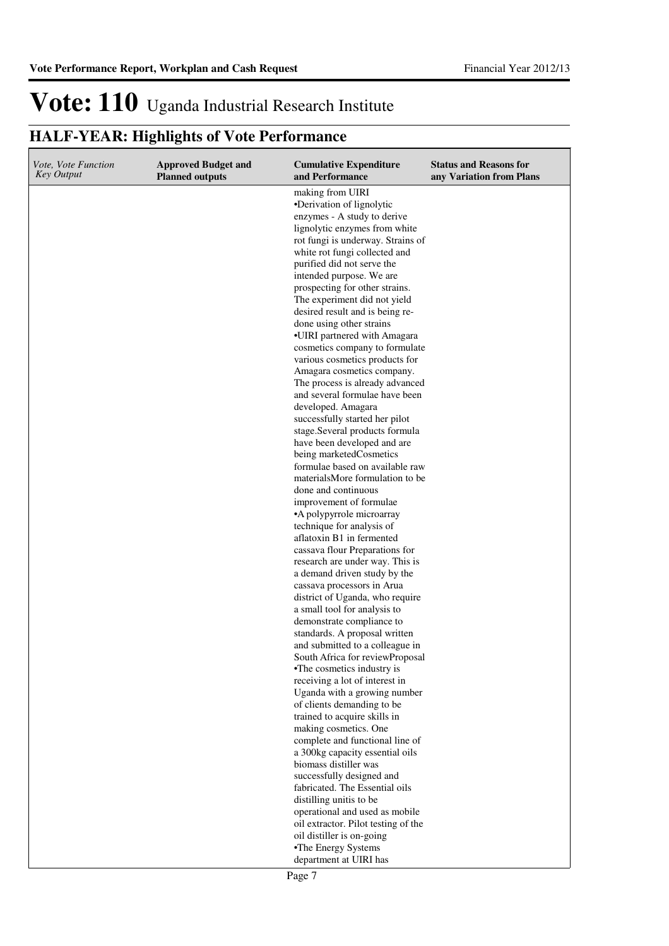| Vote, Vote Function<br>Key Output | <b>Approved Budget and</b><br><b>Planned outputs</b> | <b>Cumulative Expenditure</b><br>and Performance                   | <b>Status and Reasons for</b><br>any Variation from Plans |
|-----------------------------------|------------------------------------------------------|--------------------------------------------------------------------|-----------------------------------------------------------|
|                                   |                                                      | making from UIRI                                                   |                                                           |
|                                   |                                                      | •Derivation of lignolytic                                          |                                                           |
|                                   |                                                      | enzymes - A study to derive                                        |                                                           |
|                                   |                                                      | lignolytic enzymes from white<br>rot fungi is underway. Strains of |                                                           |
|                                   |                                                      | white rot fungi collected and                                      |                                                           |
|                                   |                                                      | purified did not serve the                                         |                                                           |
|                                   |                                                      | intended purpose. We are                                           |                                                           |
|                                   |                                                      | prospecting for other strains.                                     |                                                           |
|                                   |                                                      | The experiment did not yield                                       |                                                           |
|                                   |                                                      | desired result and is being re-                                    |                                                           |
|                                   |                                                      | done using other strains                                           |                                                           |
|                                   |                                                      | •UIRI partnered with Amagara                                       |                                                           |
|                                   |                                                      | cosmetics company to formulate                                     |                                                           |
|                                   |                                                      | various cosmetics products for                                     |                                                           |
|                                   |                                                      | Amagara cosmetics company.                                         |                                                           |
|                                   |                                                      | The process is already advanced                                    |                                                           |
|                                   |                                                      | and several formulae have been<br>developed. Amagara               |                                                           |
|                                   |                                                      | successfully started her pilot                                     |                                                           |
|                                   |                                                      | stage.Several products formula                                     |                                                           |
|                                   |                                                      | have been developed and are                                        |                                                           |
|                                   |                                                      | being marketedCosmetics                                            |                                                           |
|                                   |                                                      | formulae based on available raw                                    |                                                           |
|                                   |                                                      | materialsMore formulation to be                                    |                                                           |
|                                   |                                                      | done and continuous                                                |                                                           |
|                                   |                                                      | improvement of formulae                                            |                                                           |
|                                   |                                                      | •A polypyrrole microarray                                          |                                                           |
|                                   |                                                      | technique for analysis of                                          |                                                           |
|                                   |                                                      | aflatoxin B1 in fermented                                          |                                                           |
|                                   |                                                      | cassava flour Preparations for<br>research are under way. This is  |                                                           |
|                                   |                                                      | a demand driven study by the                                       |                                                           |
|                                   |                                                      | cassava processors in Arua                                         |                                                           |
|                                   |                                                      | district of Uganda, who require                                    |                                                           |
|                                   |                                                      | a small tool for analysis to                                       |                                                           |
|                                   |                                                      | demonstrate compliance to                                          |                                                           |
|                                   |                                                      | standards. A proposal written                                      |                                                           |
|                                   |                                                      | and submitted to a colleague in                                    |                                                           |
|                                   |                                                      | South Africa for reviewProposal                                    |                                                           |
|                                   |                                                      | •The cosmetics industry is                                         |                                                           |
|                                   |                                                      | receiving a lot of interest in<br>Uganda with a growing number     |                                                           |
|                                   |                                                      | of clients demanding to be                                         |                                                           |
|                                   |                                                      | trained to acquire skills in                                       |                                                           |
|                                   |                                                      | making cosmetics. One                                              |                                                           |
|                                   |                                                      | complete and functional line of                                    |                                                           |
|                                   |                                                      | a 300kg capacity essential oils                                    |                                                           |
|                                   |                                                      | biomass distiller was                                              |                                                           |
|                                   |                                                      | successfully designed and                                          |                                                           |
|                                   |                                                      | fabricated. The Essential oils                                     |                                                           |
|                                   |                                                      | distilling unitis to be                                            |                                                           |
|                                   |                                                      | operational and used as mobile                                     |                                                           |
|                                   |                                                      | oil extractor. Pilot testing of the<br>oil distiller is on-going   |                                                           |
|                                   |                                                      | •The Energy Systems                                                |                                                           |
|                                   |                                                      | department at UIRI has                                             |                                                           |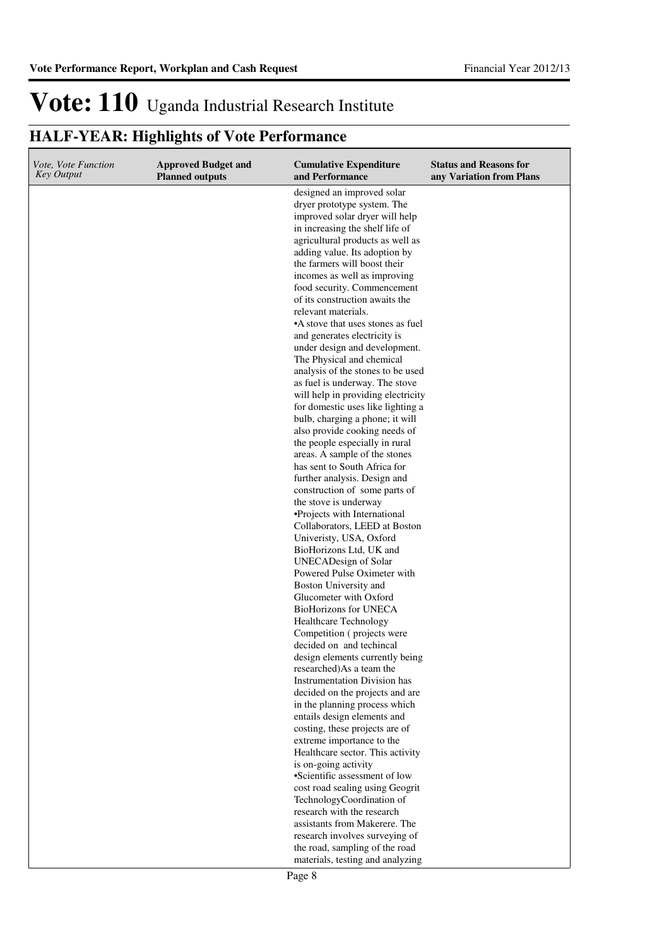| designed an improved solar<br>dryer prototype system. The                                                                                                                                              |  |
|--------------------------------------------------------------------------------------------------------------------------------------------------------------------------------------------------------|--|
| improved solar dryer will help<br>in increasing the shelf life of<br>agricultural products as well as<br>adding value. Its adoption by<br>the farmers will boost their<br>incomes as well as improving |  |
| food security. Commencement<br>of its construction awaits the                                                                                                                                          |  |
| relevant materials.<br>•A stove that uses stones as fuel                                                                                                                                               |  |
| and generates electricity is                                                                                                                                                                           |  |
| under design and development.<br>The Physical and chemical                                                                                                                                             |  |
| analysis of the stones to be used                                                                                                                                                                      |  |
| as fuel is underway. The stove                                                                                                                                                                         |  |
| will help in providing electricity<br>for domestic uses like lighting a                                                                                                                                |  |
| bulb, charging a phone; it will                                                                                                                                                                        |  |
| also provide cooking needs of                                                                                                                                                                          |  |
| the people especially in rural<br>areas. A sample of the stones                                                                                                                                        |  |
| has sent to South Africa for                                                                                                                                                                           |  |
| further analysis. Design and                                                                                                                                                                           |  |
| construction of some parts of<br>the stove is underway                                                                                                                                                 |  |
| •Projects with International                                                                                                                                                                           |  |
| Collaborators, LEED at Boston                                                                                                                                                                          |  |
| Univeristy, USA, Oxford                                                                                                                                                                                |  |
| BioHorizons Ltd, UK and<br>UNECADesign of Solar                                                                                                                                                        |  |
| Powered Pulse Oximeter with                                                                                                                                                                            |  |
| Boston University and                                                                                                                                                                                  |  |
| Glucometer with Oxford<br><b>BioHorizons for UNECA</b>                                                                                                                                                 |  |
| <b>Healthcare Technology</b>                                                                                                                                                                           |  |
| Competition (projects were                                                                                                                                                                             |  |
| decided on and techincal                                                                                                                                                                               |  |
| design elements currently being<br>researched)As a team the                                                                                                                                            |  |
| <b>Instrumentation Division has</b>                                                                                                                                                                    |  |
| decided on the projects and are                                                                                                                                                                        |  |
| in the planning process which<br>entails design elements and                                                                                                                                           |  |
| costing, these projects are of                                                                                                                                                                         |  |
| extreme importance to the                                                                                                                                                                              |  |
| Healthcare sector. This activity<br>is on-going activity                                                                                                                                               |  |
| •Scientific assessment of low                                                                                                                                                                          |  |
| cost road sealing using Geogrit                                                                                                                                                                        |  |
| TechnologyCoordination of<br>research with the research                                                                                                                                                |  |
| assistants from Makerere. The                                                                                                                                                                          |  |
| research involves surveying of                                                                                                                                                                         |  |
| the road, sampling of the road<br>materials, testing and analyzing                                                                                                                                     |  |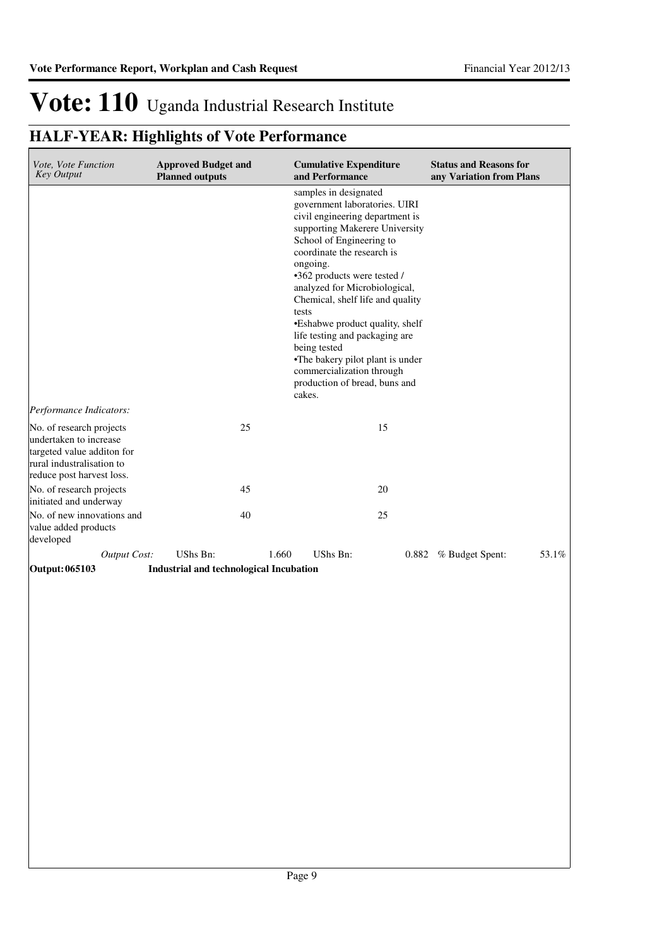| Vote, Vote Function<br><b>Key Output</b>                                                                                                   | <b>Approved Budget and</b><br><b>Planned outputs</b> | <b>Cumulative Expenditure</b><br>and Performance                                                                                                                                                                                                                                                                                                                                                                                                                                                                | <b>Status and Reasons for</b><br>any Variation from Plans |
|--------------------------------------------------------------------------------------------------------------------------------------------|------------------------------------------------------|-----------------------------------------------------------------------------------------------------------------------------------------------------------------------------------------------------------------------------------------------------------------------------------------------------------------------------------------------------------------------------------------------------------------------------------------------------------------------------------------------------------------|-----------------------------------------------------------|
| Performance Indicators:                                                                                                                    |                                                      | samples in designated<br>government laboratories. UIRI<br>civil engineering department is<br>supporting Makerere University<br>School of Engineering to<br>coordinate the research is<br>ongoing.<br>•362 products were tested /<br>analyzed for Microbiological,<br>Chemical, shelf life and quality<br>tests<br>•Eshabwe product quality, shelf<br>life testing and packaging are<br>being tested<br>•The bakery pilot plant is under<br>commercialization through<br>production of bread, buns and<br>cakes. |                                                           |
| No. of research projects<br>undertaken to increase<br>targeted value additon for<br>rural industralisation to<br>reduce post harvest loss. | 25                                                   | 15                                                                                                                                                                                                                                                                                                                                                                                                                                                                                                              |                                                           |
| No. of research projects<br>initiated and underway                                                                                         | 45                                                   | 20                                                                                                                                                                                                                                                                                                                                                                                                                                                                                                              |                                                           |
| No. of new innovations and<br>value added products<br>developed                                                                            | 40                                                   | 25                                                                                                                                                                                                                                                                                                                                                                                                                                                                                                              |                                                           |
| <b>Output Cost:</b>                                                                                                                        | UShs Bn:                                             | 1.660<br><b>UShs Bn:</b>                                                                                                                                                                                                                                                                                                                                                                                                                                                                                        | 53.1%<br>0.882 % Budget Spent:                            |
| Output: 065103                                                                                                                             | Industrial and technological Incubation              |                                                                                                                                                                                                                                                                                                                                                                                                                                                                                                                 |                                                           |
|                                                                                                                                            |                                                      |                                                                                                                                                                                                                                                                                                                                                                                                                                                                                                                 |                                                           |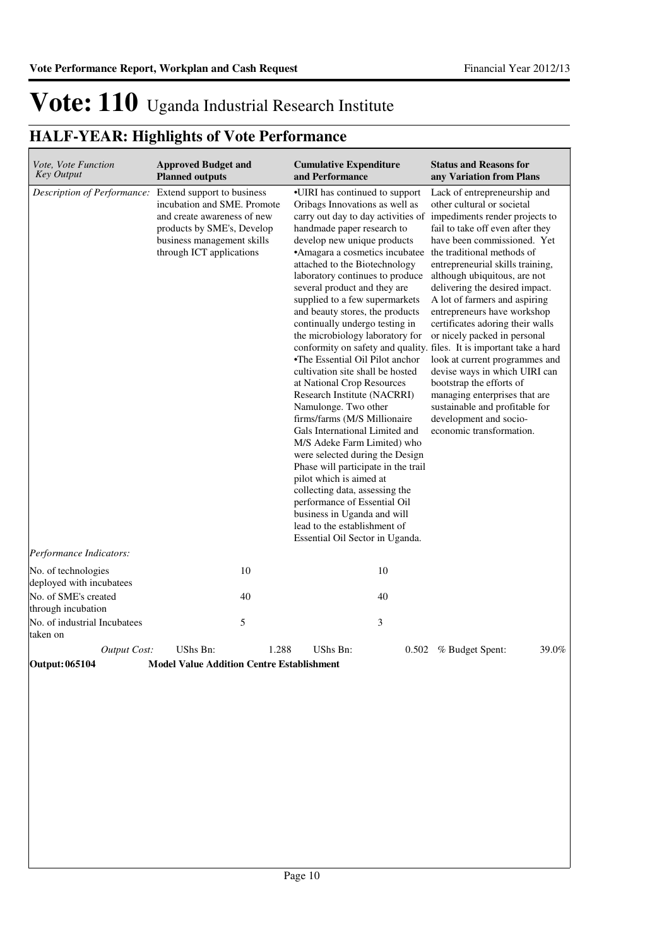| Vote, Vote Function<br><b>Key Output</b>        | <b>Approved Budget and</b><br><b>Planned outputs</b>                                                                                                                             | <b>Cumulative Expenditure</b><br>and Performance                                                                                                                                                                                                                                                                                                                                                                                                                                                                                                                                                                                                                                                                                                                                                                                                                                                                                                                                                                     | <b>Status and Reasons for</b><br>any Variation from Plans                                                                                                                                                                                                                                                                                                                                                                                                                                                                                                                                                                                                                                                 |
|-------------------------------------------------|----------------------------------------------------------------------------------------------------------------------------------------------------------------------------------|----------------------------------------------------------------------------------------------------------------------------------------------------------------------------------------------------------------------------------------------------------------------------------------------------------------------------------------------------------------------------------------------------------------------------------------------------------------------------------------------------------------------------------------------------------------------------------------------------------------------------------------------------------------------------------------------------------------------------------------------------------------------------------------------------------------------------------------------------------------------------------------------------------------------------------------------------------------------------------------------------------------------|-----------------------------------------------------------------------------------------------------------------------------------------------------------------------------------------------------------------------------------------------------------------------------------------------------------------------------------------------------------------------------------------------------------------------------------------------------------------------------------------------------------------------------------------------------------------------------------------------------------------------------------------------------------------------------------------------------------|
| Description of Performance:                     | Extend support to business<br>incubation and SME. Promote<br>and create awareness of new<br>products by SME's, Develop<br>business management skills<br>through ICT applications | •UIRI has continued to support<br>Oribags Innovations as well as<br>carry out day to day activities of<br>handmade paper research to<br>develop new unique products<br>•Amagara a cosmetics incubatee the traditional methods of<br>attached to the Biotechnology<br>laboratory continues to produce<br>several product and they are<br>supplied to a few supermarkets<br>and beauty stores, the products<br>continually undergo testing in<br>the microbiology laboratory for<br>•The Essential Oil Pilot anchor<br>cultivation site shall be hosted<br>at National Crop Resources<br>Research Institute (NACRRI)<br>Namulonge. Two other<br>firms/farms (M/S Millionaire<br>Gals International Limited and<br>M/S Adeke Farm Limited) who<br>were selected during the Design<br>Phase will participate in the trail<br>pilot which is aimed at<br>collecting data, assessing the<br>performance of Essential Oil<br>business in Uganda and will<br>lead to the establishment of<br>Essential Oil Sector in Uganda. | Lack of entrepreneurship and<br>other cultural or societal<br>impediments render projects to<br>fail to take off even after they<br>have been commissioned. Yet<br>entrepreneurial skills training,<br>although ubiquitous, are not<br>delivering the desired impact.<br>A lot of farmers and aspiring<br>entrepreneurs have workshop<br>certificates adoring their walls<br>or nicely packed in personal<br>conformity on safety and quality. files. It is important take a hard<br>look at current programmes and<br>devise ways in which UIRI can<br>bootstrap the efforts of<br>managing enterprises that are<br>sustainable and profitable for<br>development and socio-<br>economic transformation. |
| Performance Indicators:                         | 10                                                                                                                                                                               | 10                                                                                                                                                                                                                                                                                                                                                                                                                                                                                                                                                                                                                                                                                                                                                                                                                                                                                                                                                                                                                   |                                                                                                                                                                                                                                                                                                                                                                                                                                                                                                                                                                                                                                                                                                           |
| No. of technologies<br>deployed with incubatees |                                                                                                                                                                                  |                                                                                                                                                                                                                                                                                                                                                                                                                                                                                                                                                                                                                                                                                                                                                                                                                                                                                                                                                                                                                      |                                                                                                                                                                                                                                                                                                                                                                                                                                                                                                                                                                                                                                                                                                           |
| No. of SME's created<br>through incubation      | 40                                                                                                                                                                               | 40                                                                                                                                                                                                                                                                                                                                                                                                                                                                                                                                                                                                                                                                                                                                                                                                                                                                                                                                                                                                                   |                                                                                                                                                                                                                                                                                                                                                                                                                                                                                                                                                                                                                                                                                                           |
| No. of industrial Incubatees<br>taken on        | 5                                                                                                                                                                                | 3                                                                                                                                                                                                                                                                                                                                                                                                                                                                                                                                                                                                                                                                                                                                                                                                                                                                                                                                                                                                                    |                                                                                                                                                                                                                                                                                                                                                                                                                                                                                                                                                                                                                                                                                                           |
| Output Cost:                                    | UShs Bn:                                                                                                                                                                         | <b>UShs Bn:</b><br>1.288                                                                                                                                                                                                                                                                                                                                                                                                                                                                                                                                                                                                                                                                                                                                                                                                                                                                                                                                                                                             | 0.502 % Budget Spent:<br>39.0%                                                                                                                                                                                                                                                                                                                                                                                                                                                                                                                                                                                                                                                                            |
| <b>Output: 065104</b>                           | <b>Model Value Addition Centre Establishment</b>                                                                                                                                 |                                                                                                                                                                                                                                                                                                                                                                                                                                                                                                                                                                                                                                                                                                                                                                                                                                                                                                                                                                                                                      |                                                                                                                                                                                                                                                                                                                                                                                                                                                                                                                                                                                                                                                                                                           |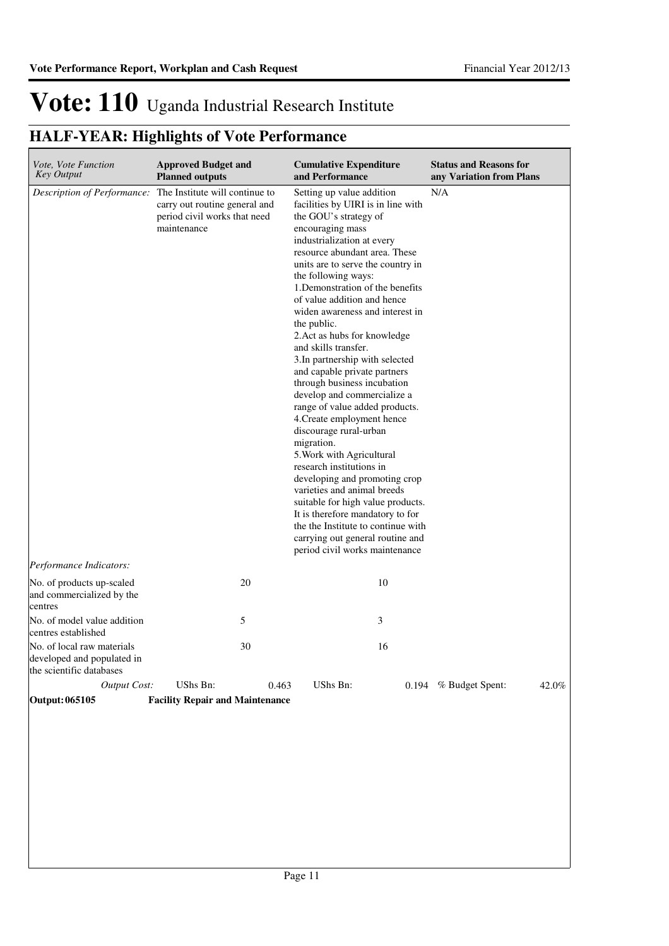| <i>Vote, Vote Function</i><br><b>Key Output</b>                                      | <b>Approved Budget and</b><br><b>Planned outputs</b>                                                           | <b>Cumulative Expenditure</b><br>and Performance                                                                                                                                                                                                                                                                                                                                                                                                                                                                                                                                                                                                                                                                                                                                                                                                                                                                                                                            | <b>Status and Reasons for</b><br>any Variation from Plans |
|--------------------------------------------------------------------------------------|----------------------------------------------------------------------------------------------------------------|-----------------------------------------------------------------------------------------------------------------------------------------------------------------------------------------------------------------------------------------------------------------------------------------------------------------------------------------------------------------------------------------------------------------------------------------------------------------------------------------------------------------------------------------------------------------------------------------------------------------------------------------------------------------------------------------------------------------------------------------------------------------------------------------------------------------------------------------------------------------------------------------------------------------------------------------------------------------------------|-----------------------------------------------------------|
| Description of Performance:                                                          | The Institute will continue to<br>carry out routine general and<br>period civil works that need<br>maintenance | Setting up value addition<br>facilities by UIRI is in line with<br>the GOU's strategy of<br>encouraging mass<br>industrialization at every<br>resource abundant area. These<br>units are to serve the country in<br>the following ways:<br>1. Demonstration of the benefits<br>of value addition and hence<br>widen awareness and interest in<br>the public.<br>2. Act as hubs for knowledge<br>and skills transfer.<br>3. In partnership with selected<br>and capable private partners<br>through business incubation<br>develop and commercialize a<br>range of value added products.<br>4. Create employment hence<br>discourage rural-urban<br>migration.<br>5. Work with Agricultural<br>research institutions in<br>developing and promoting crop<br>varieties and animal breeds<br>suitable for high value products.<br>It is therefore mandatory to for<br>the the Institute to continue with<br>carrying out general routine and<br>period civil works maintenance | N/A                                                       |
| Performance Indicators:                                                              |                                                                                                                |                                                                                                                                                                                                                                                                                                                                                                                                                                                                                                                                                                                                                                                                                                                                                                                                                                                                                                                                                                             |                                                           |
| No. of products up-scaled<br>and commercialized by the<br>centres                    | 20                                                                                                             | 10                                                                                                                                                                                                                                                                                                                                                                                                                                                                                                                                                                                                                                                                                                                                                                                                                                                                                                                                                                          |                                                           |
| No. of model value addition<br>centres established                                   | 5                                                                                                              | 3                                                                                                                                                                                                                                                                                                                                                                                                                                                                                                                                                                                                                                                                                                                                                                                                                                                                                                                                                                           |                                                           |
| No. of local raw materials<br>developed and populated in<br>the scientific databases | 30                                                                                                             | 16                                                                                                                                                                                                                                                                                                                                                                                                                                                                                                                                                                                                                                                                                                                                                                                                                                                                                                                                                                          |                                                           |
| <b>Output Cost:</b>                                                                  | UShs Bn:                                                                                                       | 0.463<br>UShs Bn:                                                                                                                                                                                                                                                                                                                                                                                                                                                                                                                                                                                                                                                                                                                                                                                                                                                                                                                                                           | 42.0%<br>$0.194$ % Budget Spent:                          |
| Output: 065105                                                                       | <b>Facility Repair and Maintenance</b>                                                                         |                                                                                                                                                                                                                                                                                                                                                                                                                                                                                                                                                                                                                                                                                                                                                                                                                                                                                                                                                                             |                                                           |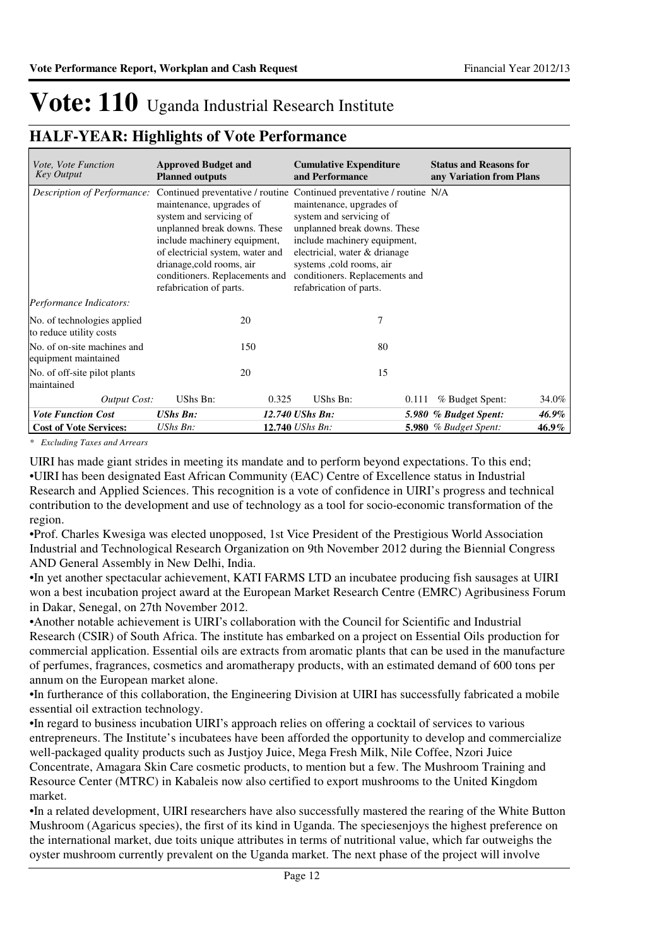### **HALF-YEAR: Highlights of Vote Performance**

| <i>Vote, Vote Function</i><br><b>Key Output</b>        | <b>Approved Budget and</b><br><b>Planned outputs</b>                                                                                                                                                                                              | <b>Cumulative Expenditure</b><br>and Performance                                                                                                                                                                                                                                                                        | <b>Status and Reasons for</b><br>any Variation from Plans |
|--------------------------------------------------------|---------------------------------------------------------------------------------------------------------------------------------------------------------------------------------------------------------------------------------------------------|-------------------------------------------------------------------------------------------------------------------------------------------------------------------------------------------------------------------------------------------------------------------------------------------------------------------------|-----------------------------------------------------------|
| Description of Performance:                            | maintenance, upgrades of<br>system and servicing of<br>unplanned break downs. These<br>include machinery equipment,<br>of electricial system, water and<br>drianage, cold rooms, air<br>conditioners. Replacements and<br>refabrication of parts. | Continued preventative / routine Continued preventative / routine N/A<br>maintenance, upgrades of<br>system and servicing of<br>unplanned break downs. These<br>include machinery equipment,<br>electricial, water & drianage<br>systems , cold rooms, air<br>conditioners. Replacements and<br>refabrication of parts. |                                                           |
| Performance Indicators:                                |                                                                                                                                                                                                                                                   |                                                                                                                                                                                                                                                                                                                         |                                                           |
| No. of technologies applied<br>to reduce utility costs | 20                                                                                                                                                                                                                                                | 7                                                                                                                                                                                                                                                                                                                       |                                                           |
| No. of on-site machines and<br>equipment maintained    | 150                                                                                                                                                                                                                                               | 80                                                                                                                                                                                                                                                                                                                      |                                                           |
| No. of off-site pilot plants<br>maintained             | 20                                                                                                                                                                                                                                                | 15                                                                                                                                                                                                                                                                                                                      |                                                           |
| Output Cost:                                           | UShs Bn:<br>0.325                                                                                                                                                                                                                                 | UShs Bn:<br>0.111                                                                                                                                                                                                                                                                                                       | % Budget Spent:<br>34.0%                                  |
| <b>Vote Function Cost</b>                              | <b>UShs Bn:</b>                                                                                                                                                                                                                                   | 12.740 UShs Bn:                                                                                                                                                                                                                                                                                                         | 46.9%<br>5.980 % Budget Spent:                            |
| <b>Cost of Vote Services:</b>                          | UShs Bn:                                                                                                                                                                                                                                          | 12.740 UShs Bn:                                                                                                                                                                                                                                                                                                         | <b>5.980</b> % Budget Spent:<br>46.9%                     |

*\* Excluding Taxes and Arrears*

UIRI has made giant strides in meeting its mandate and to perform beyond expectations. To this end; •UIRI has been designated East African Community (EAC) Centre of Excellence status in Industrial Research and Applied Sciences. This recognition is a vote of confidence in UIRI's progress and technical contribution to the development and use of technology as a tool for socio-economic transformation of the region.

•Prof. Charles Kwesiga was elected unopposed, 1st Vice President of the Prestigious World Association Industrial and Technological Research Organization on 9th November 2012 during the Biennial Congress AND General Assembly in New Delhi, India.

•In yet another spectacular achievement, KATI FARMS LTD an incubatee producing fish sausages at UIRI won a best incubation project award at the European Market Research Centre (EMRC) Agribusiness Forum in Dakar, Senegal, on 27th November 2012.

•Another notable achievement is UIRI's collaboration with the Council for Scientific and Industrial Research (CSIR) of South Africa. The institute has embarked on a project on Essential Oils production for commercial application. Essential oils are extracts from aromatic plants that can be used in the manufacture of perfumes, fragrances, cosmetics and aromatherapy products, with an estimated demand of 600 tons per annum on the European market alone.

•In furtherance of this collaboration, the Engineering Division at UIRI has successfully fabricated a mobile essential oil extraction technology.

•In regard to business incubation UIRI's approach relies on offering a cocktail of services to various entrepreneurs. The Institute's incubatees have been afforded the opportunity to develop and commercialize well-packaged quality products such as Justjoy Juice, Mega Fresh Milk, Nile Coffee, Nzori Juice Concentrate, Amagara Skin Care cosmetic products, to mention but a few. The Mushroom Training and Resource Center (MTRC) in Kabaleis now also certified to export mushrooms to the United Kingdom market.

•In a related development, UIRI researchers have also successfully mastered the rearing of the White Button Mushroom (Agaricus species), the first of its kind in Uganda. The speciesenjoys the highest preference on the international market, due toits unique attributes in terms of nutritional value, which far outweighs the oyster mushroom currently prevalent on the Uganda market. The next phase of the project will involve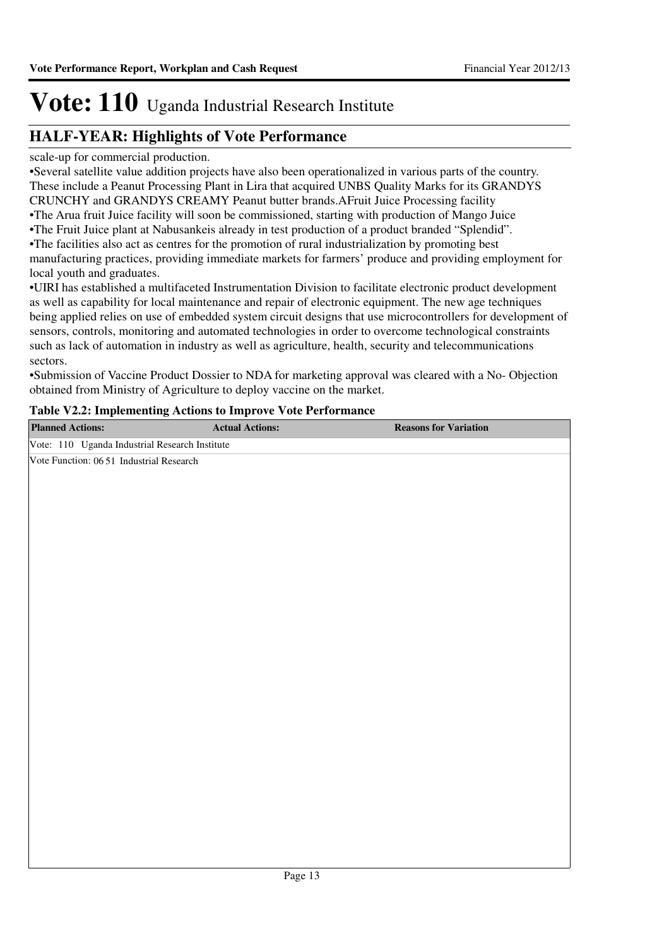### **HALF-YEAR: Highlights of Vote Performance**

scale-up for commercial production.

•Several satellite value addition projects have also been operationalized in various parts of the country. These include a Peanut Processing Plant in Lira that acquired UNBS Quality Marks for its GRANDYS CRUNCHY and GRANDYS CREAMY Peanut butter brands.AFruit Juice Processing facility •The Arua fruit Juice facility will soon be commissioned, starting with production of Mango Juice

•The Fruit Juice plant at Nabusankeis already in test production of a product branded "Splendid".

•The facilities also act as centres for the promotion of rural industrialization by promoting best

manufacturing practices, providing immediate markets for farmers' produce and providing employment for local youth and graduates.

•UIRI has established a multifaceted Instrumentation Division to facilitate electronic product development as well as capability for local maintenance and repair of electronic equipment. The new age techniques being applied relies on use of embedded system circuit designs that use microcontrollers for development of sensors, controls, monitoring and automated technologies in order to overcome technological constraints such as lack of automation in industry as well as agriculture, health, security and telecommunications sectors.

•Submission of Vaccine Product Dossier to NDA for marketing approval was cleared with a No- Objection obtained from Ministry of Agriculture to deploy vaccine on the market.

### **Table V2.2: Implementing Actions to Improve Vote Performance**

| <b>Planned Actions:</b>                        | <b>Actual Actions:</b> | <b>Reasons for Variation</b> |
|------------------------------------------------|------------------------|------------------------------|
| Vote: 110 Uganda Industrial Research Institute |                        |                              |
| Vote Function: 06 51 Industrial Research       |                        |                              |
|                                                |                        |                              |
|                                                |                        |                              |
|                                                |                        |                              |
|                                                |                        |                              |
|                                                |                        |                              |
|                                                |                        |                              |
|                                                |                        |                              |
|                                                |                        |                              |
|                                                |                        |                              |
|                                                |                        |                              |
|                                                |                        |                              |
|                                                |                        |                              |
|                                                |                        |                              |
|                                                |                        |                              |
|                                                |                        |                              |
|                                                |                        |                              |
|                                                |                        |                              |
|                                                |                        |                              |
|                                                |                        |                              |
|                                                |                        |                              |
|                                                |                        |                              |
|                                                |                        |                              |
|                                                |                        |                              |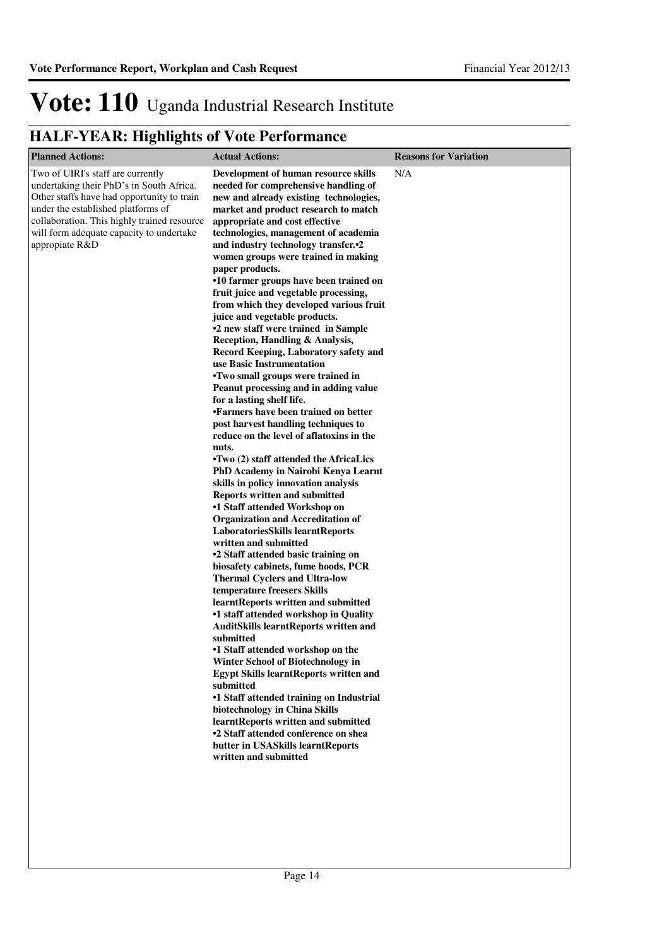| <b>Planned Actions:</b>                                                                                                                                                                                                                                                        | <b>Actual Actions:</b>                                                                                                                                                                                                                                                                                                                                                                                                                                                                                                                                                                                                                                                                                                                                                                                                                                                                                                                                                                                                                                                                                                                                                                                                                                                                                                                                                                                                                                                                                                                                                                                                                                                                                                                                                                                                                                                                                   | <b>Reasons for Variation</b> |
|--------------------------------------------------------------------------------------------------------------------------------------------------------------------------------------------------------------------------------------------------------------------------------|----------------------------------------------------------------------------------------------------------------------------------------------------------------------------------------------------------------------------------------------------------------------------------------------------------------------------------------------------------------------------------------------------------------------------------------------------------------------------------------------------------------------------------------------------------------------------------------------------------------------------------------------------------------------------------------------------------------------------------------------------------------------------------------------------------------------------------------------------------------------------------------------------------------------------------------------------------------------------------------------------------------------------------------------------------------------------------------------------------------------------------------------------------------------------------------------------------------------------------------------------------------------------------------------------------------------------------------------------------------------------------------------------------------------------------------------------------------------------------------------------------------------------------------------------------------------------------------------------------------------------------------------------------------------------------------------------------------------------------------------------------------------------------------------------------------------------------------------------------------------------------------------------------|------------------------------|
| Two of UIRI's staff are currently<br>undertaking their PhD's in South Africa.<br>Other staffs have had opportunity to train<br>under the established platforms of<br>collaboration. This highly trained resource<br>will form adequate capacity to undertake<br>appropiate R&D | Development of human resource skills<br>needed for comprehensive handling of<br>new and already existing technologies,<br>market and product research to match<br>appropriate and cost effective<br>technologies, management of academia<br>and industry technology transfer. <sup>2</sup><br>women groups were trained in making<br>paper products.<br>•10 farmer groups have been trained on<br>fruit juice and vegetable processing,<br>from which they developed various fruit<br>juice and vegetable products.<br>•2 new staff were trained in Sample<br>Reception, Handling & Analysis,<br>Record Keeping, Laboratory safety and<br>use Basic Instrumentation<br>•Two small groups were trained in<br>Peanut processing and in adding value<br>for a lasting shelf life.<br>•Farmers have been trained on better<br>post harvest handling techniques to<br>reduce on the level of aflatoxins in the<br>nuts.<br>•Two (2) staff attended the AfricaLics<br>PhD Academy in Nairobi Kenya Learnt<br>skills in policy innovation analysis<br><b>Reports written and submitted</b><br>•1 Staff attended Workshop on<br><b>Organization and Accreditation of</b><br><b>LaboratoriesSkills learntReports</b><br>written and submitted<br>•2 Staff attended basic training on<br>biosafety cabinets, fume hoods, PCR<br><b>Thermal Cyclers and Ultra-low</b><br>temperature freesers Skills<br>learntReports written and submitted<br>•1 staff attended workshop in Quality<br><b>AuditSkills learntReports written and</b><br>submitted<br>•1 Staff attended workshop on the<br>Winter School of Biotechnology in<br><b>Egypt Skills learntReports written and</b><br>submitted<br>•1 Staff attended training on Industrial<br>biotechnology in China Skills<br>learntReports written and submitted<br>•2 Staff attended conference on shea<br>butter in USASkills learntReports<br>written and submitted | N/A                          |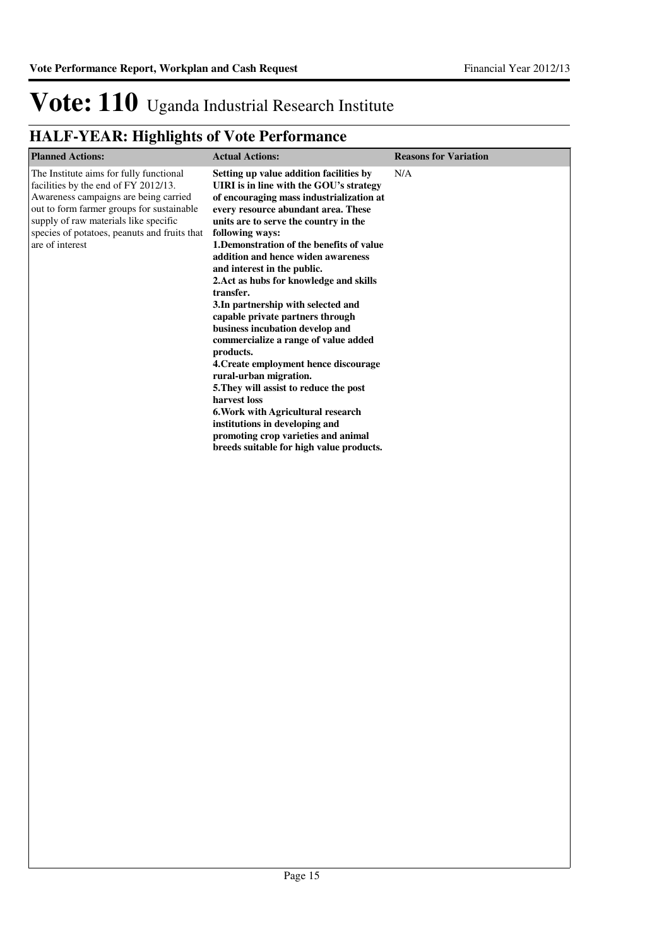| <b>Planned Actions:</b>                                                                                                                                                                                                                                                           | <b>Actual Actions:</b>                                                                                                                                                                                                                                                                                                                                                                                                                                                                                                                                                                                                                                                                                                                                                                                                                                                 | <b>Reasons for Variation</b> |
|-----------------------------------------------------------------------------------------------------------------------------------------------------------------------------------------------------------------------------------------------------------------------------------|------------------------------------------------------------------------------------------------------------------------------------------------------------------------------------------------------------------------------------------------------------------------------------------------------------------------------------------------------------------------------------------------------------------------------------------------------------------------------------------------------------------------------------------------------------------------------------------------------------------------------------------------------------------------------------------------------------------------------------------------------------------------------------------------------------------------------------------------------------------------|------------------------------|
| The Institute aims for fully functional<br>facilities by the end of FY 2012/13.<br>Awareness campaigns are being carried<br>out to form farmer groups for sustainable<br>supply of raw materials like specific<br>species of potatoes, peanuts and fruits that<br>are of interest | Setting up value addition facilities by<br>UIRI is in line with the GOU's strategy<br>of encouraging mass industrialization at<br>every resource abundant area. These<br>units are to serve the country in the<br>following ways:<br>1. Demonstration of the benefits of value<br>addition and hence widen awareness<br>and interest in the public.<br>2. Act as hubs for knowledge and skills<br>transfer.<br>3. In partnership with selected and<br>capable private partners through<br>business incubation develop and<br>commercialize a range of value added<br>products.<br>4. Create employment hence discourage<br>rural-urban migration.<br>5. They will assist to reduce the post<br>harvest loss<br>6. Work with Agricultural research<br>institutions in developing and<br>promoting crop varieties and animal<br>breeds suitable for high value products. | N/A                          |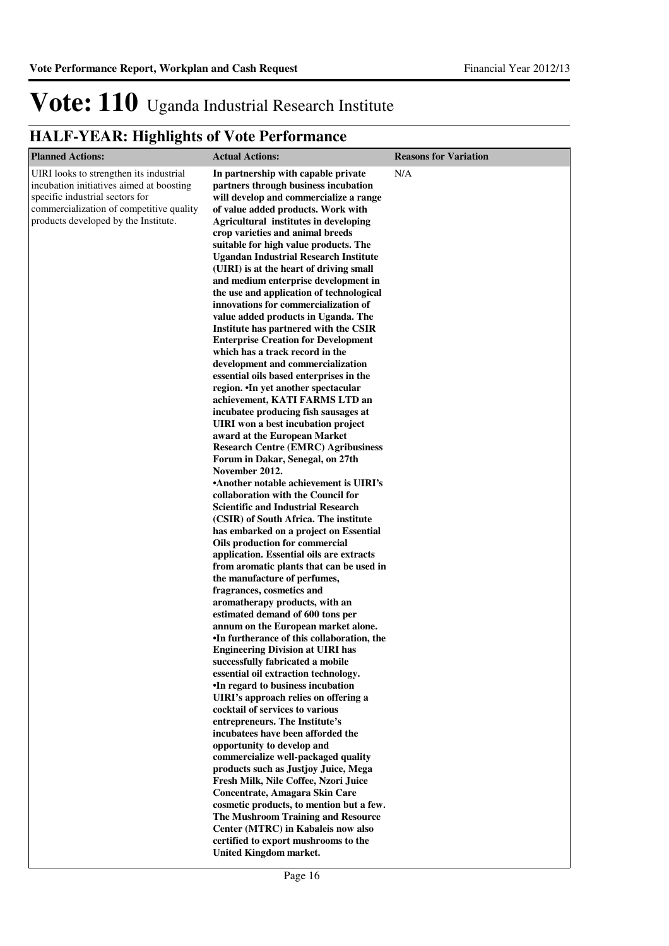| <b>Planned Actions:</b>                                                                                                                                                                                    | <b>Actual Actions:</b>                                                                                                                                                                                                                                                                                                                                                                                                                                                                                                                                                                                                                                                                                                                                                                                                                                                                                                                                                                                                                                                                                                                                                                                                                                                                                                                                                                                                                                                                                                                                                                                                                                                                                                                                                                                                                                                                                                                                                                                                                                                                                                                                                                                                                                                                                   | <b>Reasons for Variation</b> |
|------------------------------------------------------------------------------------------------------------------------------------------------------------------------------------------------------------|----------------------------------------------------------------------------------------------------------------------------------------------------------------------------------------------------------------------------------------------------------------------------------------------------------------------------------------------------------------------------------------------------------------------------------------------------------------------------------------------------------------------------------------------------------------------------------------------------------------------------------------------------------------------------------------------------------------------------------------------------------------------------------------------------------------------------------------------------------------------------------------------------------------------------------------------------------------------------------------------------------------------------------------------------------------------------------------------------------------------------------------------------------------------------------------------------------------------------------------------------------------------------------------------------------------------------------------------------------------------------------------------------------------------------------------------------------------------------------------------------------------------------------------------------------------------------------------------------------------------------------------------------------------------------------------------------------------------------------------------------------------------------------------------------------------------------------------------------------------------------------------------------------------------------------------------------------------------------------------------------------------------------------------------------------------------------------------------------------------------------------------------------------------------------------------------------------------------------------------------------------------------------------------------------------|------------------------------|
| UIRI looks to strengthen its industrial<br>incubation initiatives aimed at boosting<br>specific industrial sectors for<br>commercialization of competitive quality<br>products developed by the Institute. | In partnership with capable private<br>partners through business incubation<br>will develop and commercialize a range<br>of value added products. Work with<br><b>Agricultural institutes in developing</b><br>crop varieties and animal breeds<br>suitable for high value products. The<br><b>Ugandan Industrial Research Institute</b><br>(UIRI) is at the heart of driving small<br>and medium enterprise development in<br>the use and application of technological<br>innovations for commercialization of<br>value added products in Uganda. The<br>Institute has partnered with the CSIR<br><b>Enterprise Creation for Development</b><br>which has a track record in the<br>development and commercialization<br>essential oils based enterprises in the<br>region. •In yet another spectacular<br>achievement, KATI FARMS LTD an<br>incubatee producing fish sausages at<br>UIRI won a best incubation project<br>award at the European Market<br><b>Research Centre (EMRC) Agribusiness</b><br>Forum in Dakar, Senegal, on 27th<br>November 2012.<br><b>Another notable achievement is UIRI's</b><br>collaboration with the Council for<br><b>Scientific and Industrial Research</b><br>(CSIR) of South Africa. The institute<br>has embarked on a project on Essential<br>Oils production for commercial<br>application. Essential oils are extracts<br>from aromatic plants that can be used in<br>the manufacture of perfumes,<br>fragrances, cosmetics and<br>aromatherapy products, with an<br>estimated demand of 600 tons per<br>annum on the European market alone.<br>•In furtherance of this collaboration, the<br><b>Engineering Division at UIRI has</b><br>successfully fabricated a mobile<br>essential oil extraction technology.<br>•In regard to business incubation<br>UIRI's approach relies on offering a<br>cocktail of services to various<br>entrepreneurs. The Institute's<br>incubatees have been afforded the<br>opportunity to develop and<br>commercialize well-packaged quality<br>products such as Justjoy Juice, Mega<br>Fresh Milk, Nile Coffee, Nzori Juice<br>Concentrate, Amagara Skin Care<br>cosmetic products, to mention but a few.<br>The Mushroom Training and Resource<br>Center (MTRC) in Kabaleis now also<br>certified to export mushrooms to the | N/A                          |
|                                                                                                                                                                                                            | <b>United Kingdom market.</b>                                                                                                                                                                                                                                                                                                                                                                                                                                                                                                                                                                                                                                                                                                                                                                                                                                                                                                                                                                                                                                                                                                                                                                                                                                                                                                                                                                                                                                                                                                                                                                                                                                                                                                                                                                                                                                                                                                                                                                                                                                                                                                                                                                                                                                                                            |                              |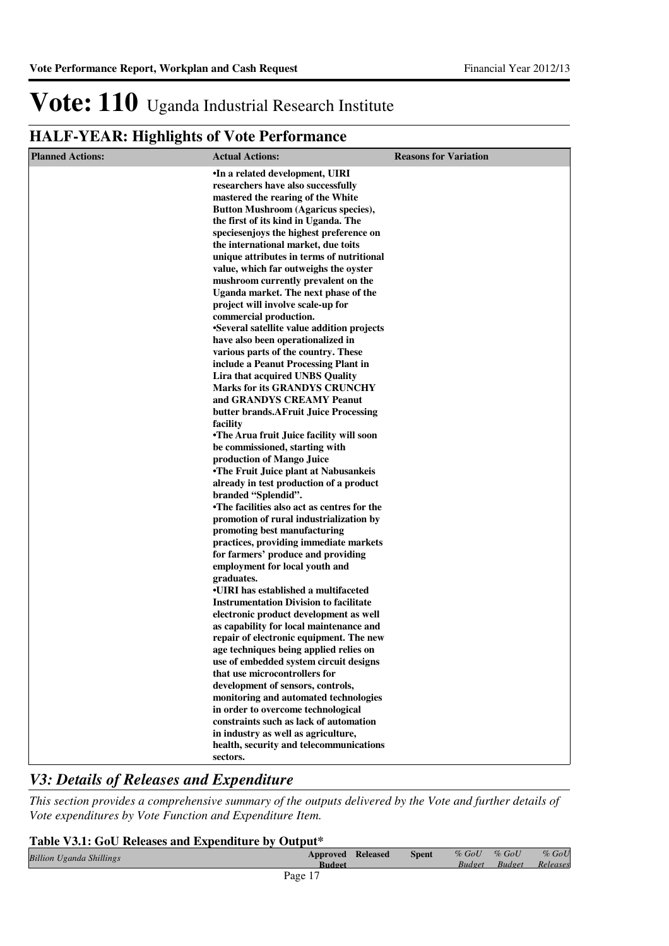### **HALF-YEAR: Highlights of Vote Performance**

| <b>Planned Actions:</b> | <b>Actual Actions:</b>                                                        | <b>Reasons for Variation</b> |
|-------------------------|-------------------------------------------------------------------------------|------------------------------|
|                         | .In a related development, UIRI                                               |                              |
|                         | researchers have also successfully                                            |                              |
|                         | mastered the rearing of the White                                             |                              |
|                         | <b>Button Mushroom (Agaricus species),</b>                                    |                              |
|                         | the first of its kind in Uganda. The                                          |                              |
|                         | species enjoys the highest preference on                                      |                              |
|                         | the international market, due toits                                           |                              |
|                         | unique attributes in terms of nutritional                                     |                              |
|                         | value, which far outweighs the oyster<br>mushroom currently prevalent on the  |                              |
|                         | Uganda market. The next phase of the                                          |                              |
|                         | project will involve scale-up for                                             |                              |
|                         | commercial production.                                                        |                              |
|                         | •Several satellite value addition projects                                    |                              |
|                         | have also been operationalized in                                             |                              |
|                         | various parts of the country. These                                           |                              |
|                         | include a Peanut Processing Plant in                                          |                              |
|                         | Lira that acquired UNBS Quality                                               |                              |
|                         | <b>Marks for its GRANDYS CRUNCHY</b>                                          |                              |
|                         | and GRANDYS CREAMY Peanut                                                     |                              |
|                         | butter brands.AFruit Juice Processing                                         |                              |
|                         | facility                                                                      |                              |
|                         | •The Arua fruit Juice facility will soon<br>be commissioned, starting with    |                              |
|                         | production of Mango Juice                                                     |                              |
|                         | •The Fruit Juice plant at Nabusankeis                                         |                              |
|                         | already in test production of a product                                       |                              |
|                         | branded "Splendid".                                                           |                              |
|                         | •The facilities also act as centres for the                                   |                              |
|                         | promotion of rural industrialization by                                       |                              |
|                         | promoting best manufacturing                                                  |                              |
|                         | practices, providing immediate markets                                        |                              |
|                         | for farmers' produce and providing                                            |                              |
|                         | employment for local youth and                                                |                              |
|                         | graduates.<br>•UIRI has established a multifaceted                            |                              |
|                         | <b>Instrumentation Division to facilitate</b>                                 |                              |
|                         | electronic product development as well                                        |                              |
|                         | as capability for local maintenance and                                       |                              |
|                         | repair of electronic equipment. The new                                       |                              |
|                         | age techniques being applied relies on                                        |                              |
|                         | use of embedded system circuit designs                                        |                              |
|                         | that use microcontrollers for                                                 |                              |
|                         | development of sensors, controls,                                             |                              |
|                         | monitoring and automated technologies                                         |                              |
|                         | in order to overcome technological                                            |                              |
|                         | constraints such as lack of automation<br>in industry as well as agriculture, |                              |
|                         | health, security and telecommunications                                       |                              |
|                         | sectors.                                                                      |                              |
|                         |                                                                               |                              |

### *V3: Details of Releases and Expenditure*

*This section provides a comprehensive summary of the outputs delivered by the Vote and further details of Vote expenditures by Vote Function and Expenditure Item.*

### **Table V3.1: GoU Releases and Expenditure by Output\***

| <b>Billion Uganda Shillings</b> | <b>Approved Released</b><br><b>Budget</b> | <b>Spent</b> | $%$ GoU<br><i>Rudget</i> | $%$ GoU<br><b>Rudget</b> | $%$ GoU<br>Releases |
|---------------------------------|-------------------------------------------|--------------|--------------------------|--------------------------|---------------------|
|                                 | Page 17                                   |              |                          |                          |                     |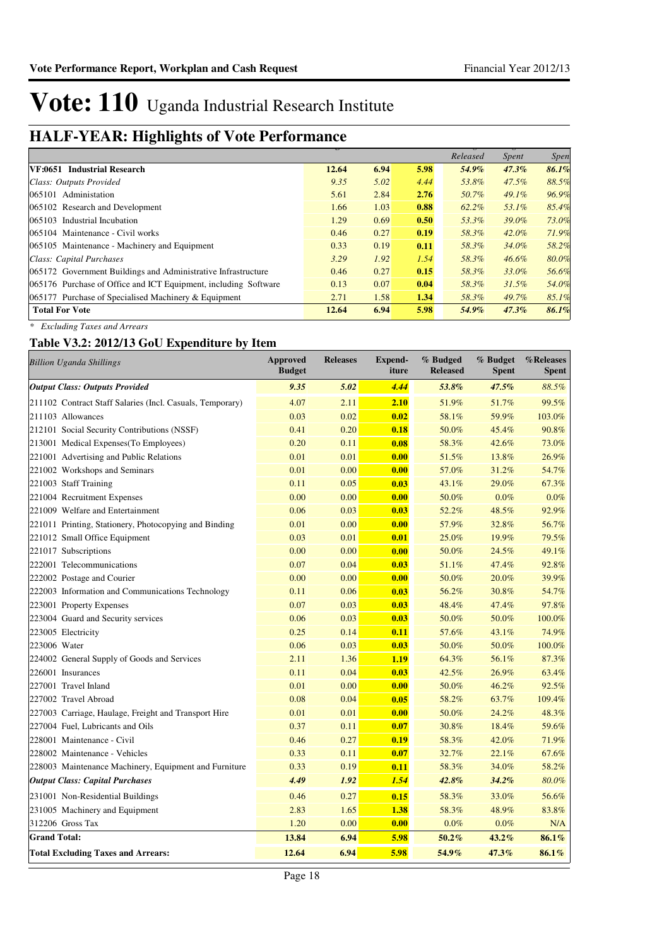### **HALF-YEAR: Highlights of Vote Performance Budget**

|                                                                 |       |      |      | Released | <i>Spent</i> | <i>Spen</i> |
|-----------------------------------------------------------------|-------|------|------|----------|--------------|-------------|
| VF:0651 Industrial Research                                     | 12.64 | 6.94 | 5.98 | 54.9%    | $47.3\%$     | 86.1%       |
| Class: Outputs Provided                                         | 9.35  | 5.02 | 4.44 | 53.8%    | $47.5\%$     | 88.5%       |
| 065101 Administation                                            | 5.61  | 2.84 | 2.76 | 50.7%    | $49.1\%$     | 96.9%       |
| 065102 Research and Development                                 | 1.66  | 1.03 | 0.88 | 62.2%    | 53.1%        | 85.4%       |
| 065103 Industrial Incubation                                    | 1.29  | 0.69 | 0.50 | 53.3%    | 39.0%        | 73.0%       |
| 065104 Maintenance - Civil works                                | 0.46  | 0.27 | 0.19 | 58.3%    | $42.0\%$     | 71.9%       |
| 065105 Maintenance - Machinery and Equipment                    | 0.33  | 0.19 | 0.11 | 58.3%    | 34.0%        | 58.2%       |
| Class: Capital Purchases                                        | 3.29  | 1.92 | 1.54 | 58.3%    | $46.6\%$     | 80.0%       |
| 065172 Government Buildings and Administrative Infrastructure   | 0.46  | 0.27 | 0.15 | 58.3%    | 33.0%        | 56.6%       |
| 065176 Purchase of Office and ICT Equipment, including Software | 0.13  | 0.07 | 0.04 | 58.3%    | $31.5\%$     | 54.0%       |
| 065177 Purchase of Specialised Machinery & Equipment            | 2.71  | 1.58 | 1.34 | 58.3%    | 49.7%        | 85.1%       |
| <b>Total For Vote</b>                                           | 12.64 | 6.94 | 5.98 | 54.9%    | $47.3\%$     | 86.1%       |

*\* Excluding Taxes and Arrears*

### **Table V3.2: 2012/13 GoU Expenditure by Item**

| <b>Billion Uganda Shillings</b>                           | <b>Approved</b><br><b>Budget</b> | <b>Releases</b> | <b>Expend-</b><br>iture | % Budged<br><b>Released</b> | % Budget<br><b>Spent</b> | %Releases<br><b>Spent</b> |
|-----------------------------------------------------------|----------------------------------|-----------------|-------------------------|-----------------------------|--------------------------|---------------------------|
| <b>Output Class: Outputs Provided</b>                     | 9.35                             | 5.02            | 4.44                    | 53.8%                       | 47.5%                    | 88.5%                     |
| 211102 Contract Staff Salaries (Incl. Casuals, Temporary) | 4.07                             | 2.11            | 2.10                    | 51.9%                       | 51.7%                    | 99.5%                     |
| 211103 Allowances                                         | 0.03                             | 0.02            | 0.02                    | 58.1%                       | 59.9%                    | 103.0%                    |
| 212101 Social Security Contributions (NSSF)               | 0.41                             | 0.20            | 0.18                    | 50.0%                       | 45.4%                    | 90.8%                     |
| 213001 Medical Expenses (To Employees)                    | 0.20                             | 0.11            | 0.08                    | 58.3%                       | 42.6%                    | 73.0%                     |
| 221001 Advertising and Public Relations                   | 0.01                             | 0.01            | 0.00                    | 51.5%                       | 13.8%                    | 26.9%                     |
| 221002 Workshops and Seminars                             | 0.01                             | 0.00            | 0.00                    | 57.0%                       | 31.2%                    | 54.7%                     |
| 221003 Staff Training                                     | 0.11                             | 0.05            | 0.03                    | 43.1%                       | 29.0%                    | 67.3%                     |
| 221004 Recruitment Expenses                               | 0.00                             | 0.00            | 0.00                    | 50.0%                       | 0.0%                     | 0.0%                      |
| 221009 Welfare and Entertainment                          | 0.06                             | 0.03            | 0.03                    | 52.2%                       | 48.5%                    | 92.9%                     |
| 221011 Printing, Stationery, Photocopying and Binding     | 0.01                             | 0.00            | 0.00                    | 57.9%                       | 32.8%                    | 56.7%                     |
| 221012 Small Office Equipment                             | 0.03                             | 0.01            | 0.01                    | 25.0%                       | 19.9%                    | 79.5%                     |
| 221017 Subscriptions                                      | 0.00                             | 0.00            | 0.00                    | 50.0%                       | 24.5%                    | 49.1%                     |
| 222001 Telecommunications                                 | 0.07                             | 0.04            | 0.03                    | 51.1%                       | 47.4%                    | 92.8%                     |
| 222002 Postage and Courier                                | 0.00                             | 0.00            | 0.00                    | 50.0%                       | 20.0%                    | 39.9%                     |
| 222003 Information and Communications Technology          | 0.11                             | 0.06            | 0.03                    | 56.2%                       | 30.8%                    | 54.7%                     |
| 223001 Property Expenses                                  | 0.07                             | 0.03            | 0.03                    | 48.4%                       | 47.4%                    | 97.8%                     |
| 223004 Guard and Security services                        | 0.06                             | 0.03            | 0.03                    | 50.0%                       | 50.0%                    | 100.0%                    |
| 223005 Electricity                                        | 0.25                             | 0.14            | 0.11                    | 57.6%                       | 43.1%                    | 74.9%                     |
| 223006 Water                                              | 0.06                             | 0.03            | 0.03                    | 50.0%                       | 50.0%                    | 100.0%                    |
| 224002 General Supply of Goods and Services               | 2.11                             | 1.36            | 1.19                    | 64.3%                       | 56.1%                    | 87.3%                     |
| 226001 Insurances                                         | 0.11                             | 0.04            | 0.03                    | 42.5%                       | 26.9%                    | 63.4%                     |
| 227001 Travel Inland                                      | 0.01                             | 0.00            | 0.00                    | 50.0%                       | 46.2%                    | 92.5%                     |
| 227002 Travel Abroad                                      | 0.08                             | 0.04            | 0.05                    | 58.2%                       | 63.7%                    | 109.4%                    |
| 227003 Carriage, Haulage, Freight and Transport Hire      | 0.01                             | 0.01            | 0.00                    | 50.0%                       | 24.2%                    | 48.3%                     |
| 227004 Fuel, Lubricants and Oils                          | 0.37                             | 0.11            | 0.07                    | 30.8%                       | 18.4%                    | 59.6%                     |
| 228001 Maintenance - Civil                                | 0.46                             | 0.27            | 0.19                    | 58.3%                       | 42.0%                    | 71.9%                     |
| 228002 Maintenance - Vehicles                             | 0.33                             | 0.11            | 0.07                    | 32.7%                       | 22.1%                    | 67.6%                     |
| 228003 Maintenance Machinery, Equipment and Furniture     | 0.33                             | 0.19            | 0.11                    | 58.3%                       | 34.0%                    | 58.2%                     |
| <b>Output Class: Capital Purchases</b>                    | 4.49                             | 1.92            | 1.54                    | 42.8%                       | $34.2\%$                 | 80.0%                     |
| 231001 Non-Residential Buildings                          | 0.46                             | 0.27            | 0.15                    | 58.3%                       | 33.0%                    | 56.6%                     |
| 231005 Machinery and Equipment                            | 2.83                             | 1.65            | 1.38                    | 58.3%                       | 48.9%                    | 83.8%                     |
| 312206 Gross Tax                                          | 1.20                             | 0.00            | 0.00                    | 0.0%                        | 0.0%                     | N/A                       |
| <b>Grand Total:</b>                                       | 13.84                            | 6.94            | 5.98                    | 50.2%                       | $43.2\%$                 | 86.1%                     |
| <b>Total Excluding Taxes and Arrears:</b>                 | 12.64                            | 6.94            | 5.98                    | 54.9%                       | 47.3%                    | 86.1%                     |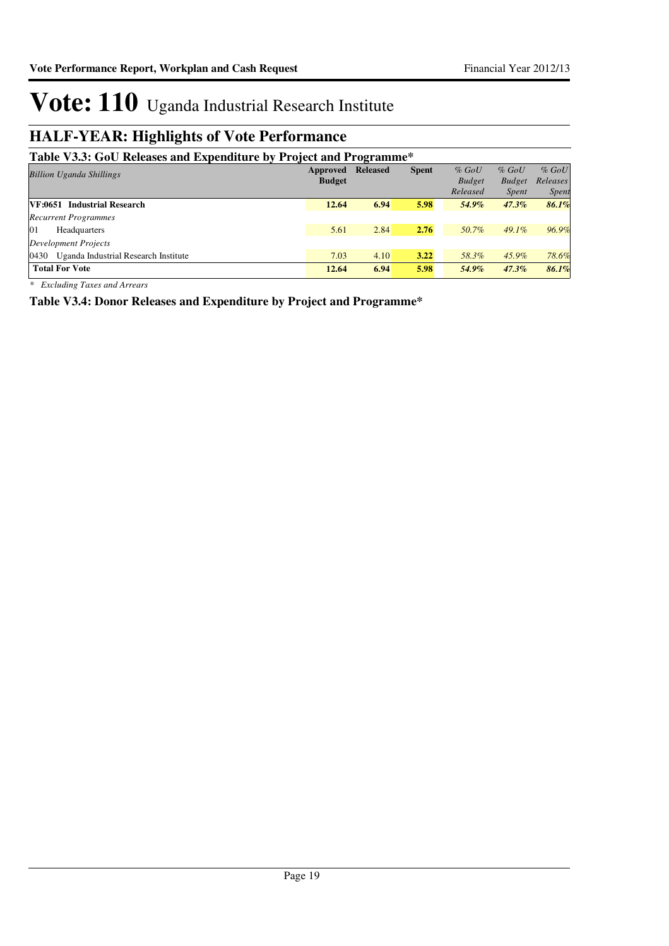### **HALF-YEAR: Highlights of Vote Performance**

### **Table V3.3: GoU Releases and Expenditure by Project and Programme\***

| Table <i>volu</i> , Goo Kertasts and Expenditure by Troject and Trogramme |               |                 |              |               |               |              |
|---------------------------------------------------------------------------|---------------|-----------------|--------------|---------------|---------------|--------------|
| <b>Billion Uganda Shillings</b>                                           | Approved      | <b>Released</b> | <b>Spent</b> | $%$ GoU       | $%$ GoU       | $%$ GoU      |
|                                                                           | <b>Budget</b> |                 |              | <b>Budget</b> | <b>Budget</b> | Releases     |
|                                                                           |               |                 |              | Released      | <i>Spent</i>  | <i>Spent</i> |
| VF:0651 Industrial Research                                               | 12.64         | 6.94            | 5.98         | 54.9%         | $47.3\%$      | 86.1%        |
| <b>Recurrent Programmes</b>                                               |               |                 |              |               |               |              |
| 01<br>Headquarters                                                        | 5.61          | 2.84            | 2.76         | 50.7%         | $49.1\%$      | 96.9%        |
| Development Projects                                                      |               |                 |              |               |               |              |
| 0430<br>Uganda Industrial Research Institute                              | 7.03          | 4.10            | 3.22         | 58.3%         | 45.9%         | 78.6%        |
| <b>Total For Vote</b>                                                     | 12.64         | 6.94            | 5.98         | 54.9%         | $47.3\%$      | 86.1%        |

*\* Excluding Taxes and Arrears*

**Table V3.4: Donor Releases and Expenditure by Project and Programme\***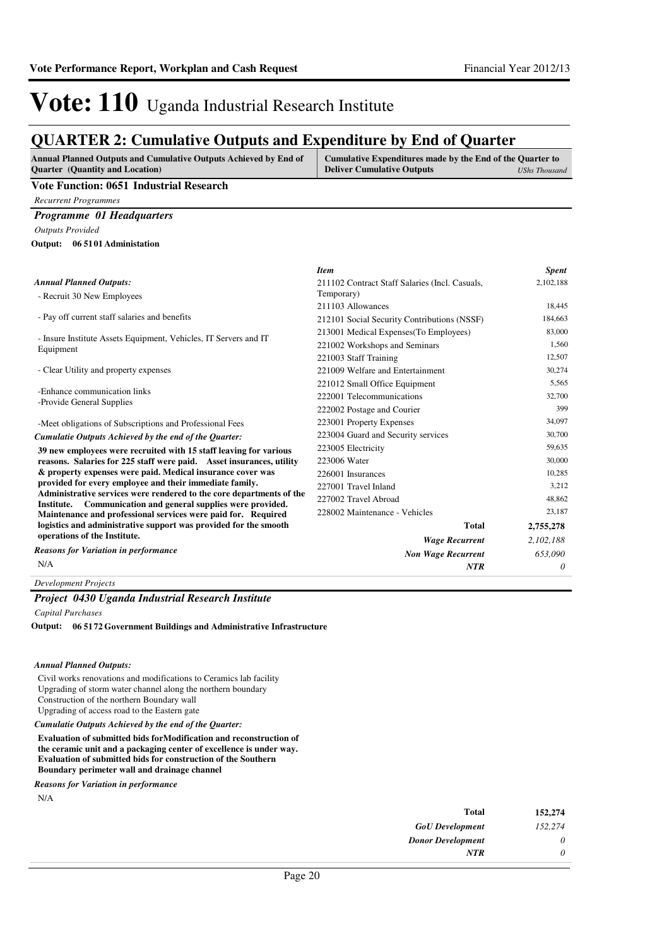### **QUARTER 2: Cumulative Outputs and Expenditure by End of Quarter**

| <b>Annual Planned Outputs and Cumulative Outputs Achieved by End of</b> | Cumulative Expenditures made by the End of the Quarter to |               |
|-------------------------------------------------------------------------|-----------------------------------------------------------|---------------|
| <b>Ouarter</b> (Quantity and Location)                                  | <b>Deliver Cumulative Outputs</b>                         | UShs Thousand |
| Vote Function: 0651 Industrial Research                                 |                                                           |               |

**Vote Function: 0651 Industrial Research**

*Recurrent Programmes*

#### *Programme 01 Headquarters*

*Outputs Provided*

**06 5101 Administation Output:**

|                                                                                                                                         | <b>Item</b>                                    | <b>Spent</b> |
|-----------------------------------------------------------------------------------------------------------------------------------------|------------------------------------------------|--------------|
| <b>Annual Planned Outputs:</b>                                                                                                          | 211102 Contract Staff Salaries (Incl. Casuals, | 2,102,188    |
| - Recruit 30 New Employees                                                                                                              | Temporary)                                     |              |
|                                                                                                                                         | 211103 Allowances                              | 18,445       |
| - Pay off current staff salaries and benefits                                                                                           | 212101 Social Security Contributions (NSSF)    | 184,663      |
| - Insure Institute Assets Equipment, Vehicles, IT Servers and IT                                                                        | 213001 Medical Expenses (To Employees)         | 83,000       |
| Equipment                                                                                                                               | 221002 Workshops and Seminars                  | 1,560        |
|                                                                                                                                         | 221003 Staff Training                          | 12,507       |
| - Clear Utility and property expenses                                                                                                   | 221009 Welfare and Entertainment               | 30,274       |
|                                                                                                                                         | 221012 Small Office Equipment                  | 5,565        |
| -Enhance communication links<br>-Provide General Supplies                                                                               | 222001 Telecommunications                      | 32,700       |
|                                                                                                                                         | 222002 Postage and Courier                     | 399          |
| -Meet obligations of Subscriptions and Professional Fees                                                                                | 223001 Property Expenses                       | 34,097       |
| Cumulatie Outputs Achieved by the end of the Quarter:                                                                                   | 223004 Guard and Security services             | 30,700       |
| 39 new employees were recruited with 15 staff leaving for various                                                                       | 223005 Electricity                             | 59.635       |
| reasons. Salaries for 225 staff were paid. Asset insurances, utility                                                                    | 223006 Water                                   | 30,000       |
| & property expenses were paid. Medical insurance cover was                                                                              | 226001 Insurances                              | 10,285       |
| provided for every employee and their immediate family.                                                                                 | 227001 Travel Inland                           | 3,212        |
| Administrative services were rendered to the core departments of the<br>Communication and general supplies were provided.<br>Institute. | 227002 Travel Abroad                           | 48.862       |
| Maintenance and professional services were paid for. Required                                                                           | 228002 Maintenance - Vehicles                  | 23,187       |
| logistics and administrative support was provided for the smooth                                                                        | <b>Total</b>                                   | 2,755,278    |
| operations of the Institute.                                                                                                            | <b>Wage Recurrent</b>                          | 2,102,188    |
| <b>Reasons for Variation in performance</b>                                                                                             | <b>Non Wage Recurrent</b>                      | 653.090      |
| N/A                                                                                                                                     | <b>NTR</b>                                     | 0            |

*Development Projects*

#### *Project 0430 Uganda Industrial Research Institute*

*Capital Purchases*

**06 5172 Government Buildings and Administrative Infrastructure Output:**

#### *Annual Planned Outputs:*

Civil works renovations and modifications to Ceramics lab facility Upgrading of storm water channel along the northern boundary Construction of the northern Boundary wall Upgrading of access road to the Eastern gate

*Cumulatie Outputs Achieved by the end of the Quarter:*

**Evaluation of submitted bids forModification and reconstruction of the ceramic unit and a packaging center of excellence is under way. Evaluation of submitted bids for construction of the Southern Boundary perimeter wall and drainage channel**

*Reasons for Variation in performance*

N/A

| 152,274 | <b>Total</b>             |
|---------|--------------------------|
| 152,274 | <b>GoU</b> Development   |
| 0       | <b>Donor Development</b> |
| 0       | <b>NTR</b>               |
|         |                          |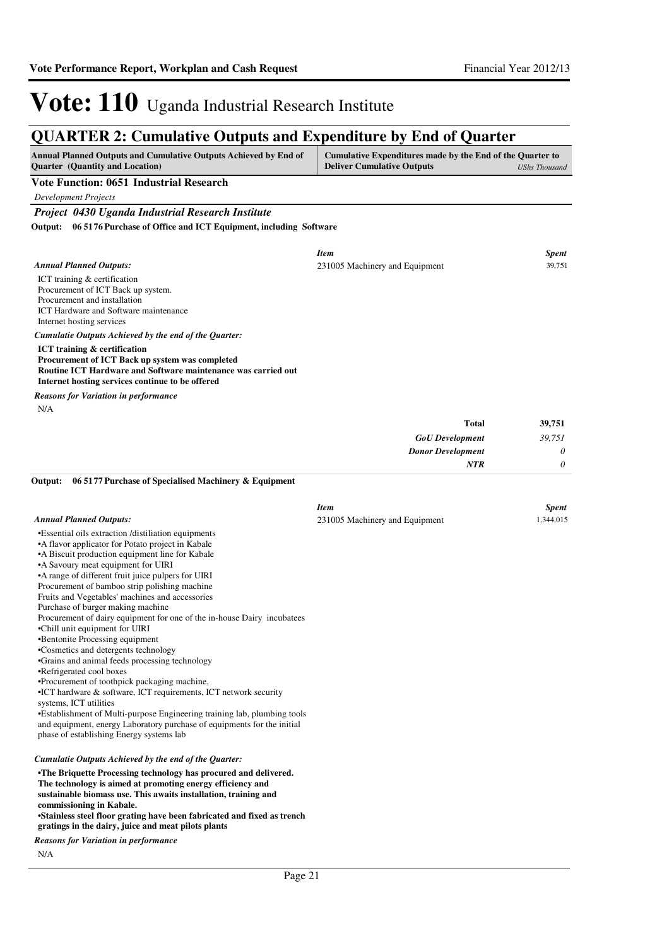### **QUARTER 2: Cumulative Outputs and Expenditure by End of Quarter**

| <b>Annual Planned Outputs and Cumulative Outputs Achieved by End of</b><br><b>Quarter</b> (Quantity and Location) | Cumulative Expenditures made by the End of the Quarter to<br><b>Deliver Cumulative Outputs</b><br>UShs Thousand |
|-------------------------------------------------------------------------------------------------------------------|-----------------------------------------------------------------------------------------------------------------|
| Vote Function: 0651 Industrial Research                                                                           |                                                                                                                 |

*Development Projects*

#### *Project 0430 Uganda Industrial Research Institute*

**06 5176 Purchase of Office and ICT Equipment, including Software Output:**

| <b>Annual Planned Outputs:</b>                                                                                                                                                                                                                                                                                                                                                                                                                                                                                                                                                                                                                                                                                                                                                                                                                                                                                                                                                                                            | <b>Item</b>                    | <b>Spent</b><br>39,751 |
|---------------------------------------------------------------------------------------------------------------------------------------------------------------------------------------------------------------------------------------------------------------------------------------------------------------------------------------------------------------------------------------------------------------------------------------------------------------------------------------------------------------------------------------------------------------------------------------------------------------------------------------------------------------------------------------------------------------------------------------------------------------------------------------------------------------------------------------------------------------------------------------------------------------------------------------------------------------------------------------------------------------------------|--------------------------------|------------------------|
| ICT training & certification<br>Procurement of ICT Back up system.<br>Procurement and installation<br>ICT Hardware and Software maintenance<br>Internet hosting services                                                                                                                                                                                                                                                                                                                                                                                                                                                                                                                                                                                                                                                                                                                                                                                                                                                  | 231005 Machinery and Equipment |                        |
| Cumulatie Outputs Achieved by the end of the Quarter:                                                                                                                                                                                                                                                                                                                                                                                                                                                                                                                                                                                                                                                                                                                                                                                                                                                                                                                                                                     |                                |                        |
| <b>ICT</b> training & certification<br>Procurement of ICT Back up system was completed<br>Routine ICT Hardware and Software maintenance was carried out<br>Internet hosting services continue to be offered                                                                                                                                                                                                                                                                                                                                                                                                                                                                                                                                                                                                                                                                                                                                                                                                               |                                |                        |
| Reasons for Variation in performance                                                                                                                                                                                                                                                                                                                                                                                                                                                                                                                                                                                                                                                                                                                                                                                                                                                                                                                                                                                      |                                |                        |
| N/A                                                                                                                                                                                                                                                                                                                                                                                                                                                                                                                                                                                                                                                                                                                                                                                                                                                                                                                                                                                                                       |                                |                        |
|                                                                                                                                                                                                                                                                                                                                                                                                                                                                                                                                                                                                                                                                                                                                                                                                                                                                                                                                                                                                                           | <b>Total</b>                   | 39,751                 |
|                                                                                                                                                                                                                                                                                                                                                                                                                                                                                                                                                                                                                                                                                                                                                                                                                                                                                                                                                                                                                           | <b>GoU</b> Development         | 39,751                 |
|                                                                                                                                                                                                                                                                                                                                                                                                                                                                                                                                                                                                                                                                                                                                                                                                                                                                                                                                                                                                                           | <b>Donor Development</b>       | $\theta$               |
|                                                                                                                                                                                                                                                                                                                                                                                                                                                                                                                                                                                                                                                                                                                                                                                                                                                                                                                                                                                                                           | <b>NTR</b>                     | $\boldsymbol{\theta}$  |
| 06 5177 Purchase of Specialised Machinery & Equipment<br>Output:                                                                                                                                                                                                                                                                                                                                                                                                                                                                                                                                                                                                                                                                                                                                                                                                                                                                                                                                                          |                                |                        |
|                                                                                                                                                                                                                                                                                                                                                                                                                                                                                                                                                                                                                                                                                                                                                                                                                                                                                                                                                                                                                           | <b>Item</b>                    | <b>Spent</b>           |
| <b>Annual Planned Outputs:</b>                                                                                                                                                                                                                                                                                                                                                                                                                                                                                                                                                                                                                                                                                                                                                                                                                                                                                                                                                                                            | 231005 Machinery and Equipment | 1,344,015              |
| •Essential oils extraction /distiliation equipments<br>• A flavor applicator for Potato project in Kabale<br>• A Biscuit production equipment line for Kabale<br>•A Savoury meat equipment for UIRI<br>•A range of different fruit juice pulpers for UIRI<br>Procurement of bamboo strip polishing machine<br>Fruits and Vegetables' machines and accessories<br>Purchase of burger making machine<br>Procurement of dairy equipment for one of the in-house Dairy incubatees<br>•Chill unit equipment for UIRI<br>•Bentonite Processing equipment<br>·Cosmetics and detergents technology<br>•Grains and animal feeds processing technology<br>•Refrigerated cool boxes<br>•Procurement of toothpick packaging machine,<br>•ICT hardware & software, ICT requirements, ICT network security<br>systems, ICT utilities<br>•Establishment of Multi-purpose Engineering training lab, plumbing tools<br>and equipment, energy Laboratory purchase of equipments for the initial<br>phase of establishing Energy systems lab |                                |                        |
| Cumulatie Outputs Achieved by the end of the Quarter:                                                                                                                                                                                                                                                                                                                                                                                                                                                                                                                                                                                                                                                                                                                                                                                                                                                                                                                                                                     |                                |                        |
| •The Briquette Processing technology has procured and delivered.                                                                                                                                                                                                                                                                                                                                                                                                                                                                                                                                                                                                                                                                                                                                                                                                                                                                                                                                                          |                                |                        |

**The technology is aimed at promoting energy efficiency and sustainable biomass use. This awaits installation, training and commissioning in Kabale.**

**•Stainless steel floor grating have been fabricated and fixed as trench gratings in the dairy, juice and meat pilots plants**

*Reasons for Variation in performance*

N/A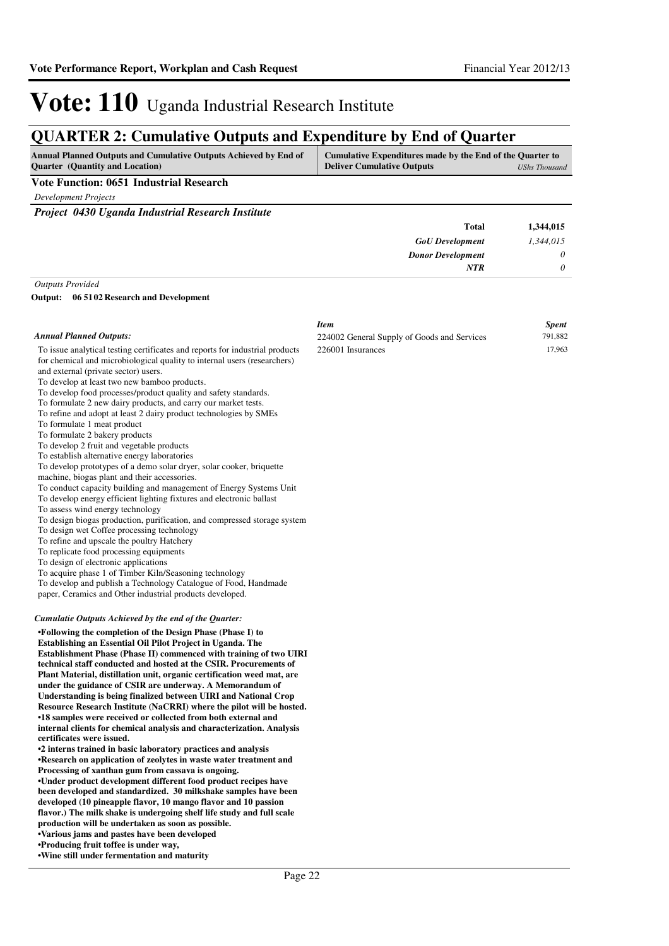*1,344,015 0 0*

**1,344,015**

*GoU Development Donor Development*

**Total**

*NTR*

## Vote: 110 Uganda Industrial Research Institute

### **QUARTER 2: Cumulative Outputs and Expenditure by End of Quarter**

| <b>Annual Planned Outputs and Cumulative Outputs Achieved by End of</b> | Cumulative Expenditures made by the End of the Quarter to |               |
|-------------------------------------------------------------------------|-----------------------------------------------------------|---------------|
| <b>Ouarter</b> (Quantity and Location)                                  | <b>Deliver Cumulative Outputs</b>                         | UShs Thousand |

#### **Vote Function: 0651 Industrial Research**

*Development Projects*

*Project 0430 Uganda Industrial Research Institute*

#### *Outputs Provided*

**06 5102 Research and Development Output:**

|                                                                                                                                                                                                                                                                                                                                                                                                                                                                                                                                                                                                                                                                                                                                                                                                                                                                                                                                                                                                                                                                                                                                                                                                                                                                                                                                                                                        | <b>Item</b>                                 | <b>Spent</b> |
|----------------------------------------------------------------------------------------------------------------------------------------------------------------------------------------------------------------------------------------------------------------------------------------------------------------------------------------------------------------------------------------------------------------------------------------------------------------------------------------------------------------------------------------------------------------------------------------------------------------------------------------------------------------------------------------------------------------------------------------------------------------------------------------------------------------------------------------------------------------------------------------------------------------------------------------------------------------------------------------------------------------------------------------------------------------------------------------------------------------------------------------------------------------------------------------------------------------------------------------------------------------------------------------------------------------------------------------------------------------------------------------|---------------------------------------------|--------------|
| <b>Annual Planned Outputs:</b>                                                                                                                                                                                                                                                                                                                                                                                                                                                                                                                                                                                                                                                                                                                                                                                                                                                                                                                                                                                                                                                                                                                                                                                                                                                                                                                                                         | 224002 General Supply of Goods and Services | 791,882      |
| To issue analytical testing certificates and reports for industrial products<br>for chemical and microbiological quality to internal users (researchers)<br>and external (private sector) users.<br>To develop at least two new bamboo products.<br>To develop food processes/product quality and safety standards.<br>To formulate 2 new dairy products, and carry our market tests.<br>To refine and adopt at least 2 dairy product technologies by SMEs<br>To formulate 1 meat product<br>To formulate 2 bakery products<br>To develop 2 fruit and vegetable products<br>To establish alternative energy laboratories<br>To develop prototypes of a demo solar dryer, solar cooker, briquette<br>machine, biogas plant and their accessories.<br>To conduct capacity building and management of Energy Systems Unit<br>To develop energy efficient lighting fixtures and electronic ballast<br>To assess wind energy technology<br>To design biogas production, purification, and compressed storage system<br>To design wet Coffee processing technology<br>To refine and upscale the poultry Hatchery<br>To replicate food processing equipments<br>To design of electronic applications<br>To acquire phase 1 of Timber Kiln/Seasoning technology<br>To develop and publish a Technology Catalogue of Food, Handmade<br>paper, Ceramics and Other industrial products developed. | 226001 Insurances                           | 17,963       |
| Cumulatie Outputs Achieved by the end of the Quarter:                                                                                                                                                                                                                                                                                                                                                                                                                                                                                                                                                                                                                                                                                                                                                                                                                                                                                                                                                                                                                                                                                                                                                                                                                                                                                                                                  |                                             |              |
| •Following the completion of the Design Phase (Phase I) to<br>Establishing an Essential Oil Pilot Project in Uganda. The<br>Establishment Phase (Phase II) commenced with training of two UIRI<br>technical staff conducted and hosted at the CSIR. Procurements of<br>Plant Material, distillation unit, organic certification weed mat, are<br>under the guidance of CSIR are underway. A Memorandum of<br>Understanding is being finalized between UIRI and National Crop<br>Resource Research Institute (NaCRRI) where the pilot will be hosted.<br>•18 samples were received or collected from both external and<br>internal clients for chemical analysis and characterization. Analysis                                                                                                                                                                                                                                                                                                                                                                                                                                                                                                                                                                                                                                                                                         |                                             |              |

**•2 interns trained in basic laboratory practices an d analysis •Research on application of zeolytes in waste water treatment and Processing of xanthan gum from cassava is ongoing. •Under product development different food product r ecipes have been developed and standardized. 30 milkshake samples have been developed (10 pineapple flavor, 10 mango flavor and 10 passion flavor.) The milk shake is undergoing shelf life study and full scale production will be undertaken as soon as possible. •Various jams and pastes have been developed •Producing fruit toffee is under way,** 

**•Wine still under fermentation and maturity**

**certificates were issued.**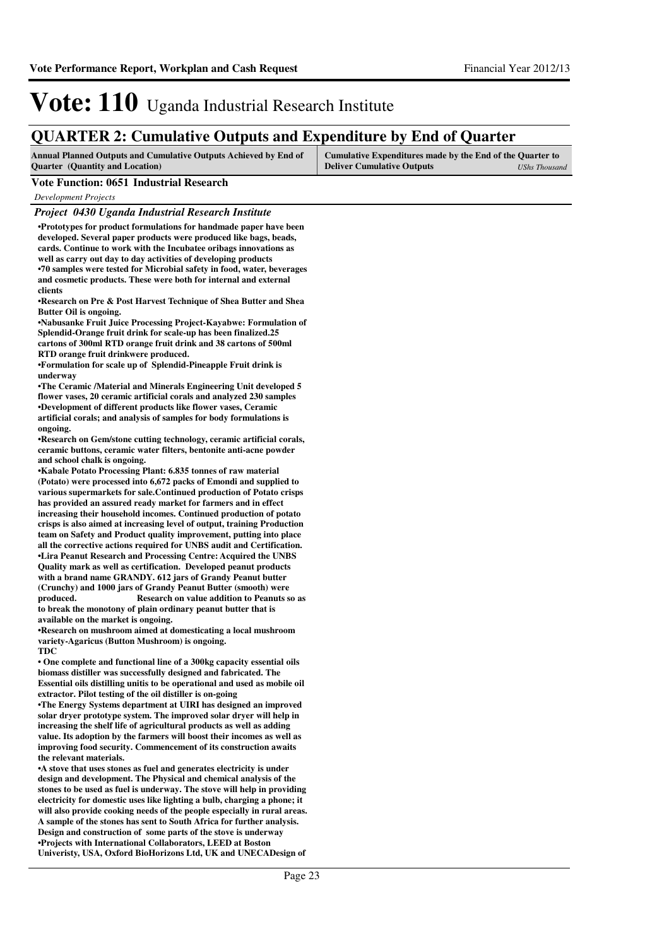### **QUARTER 2: Cumulative Outputs and Expenditure by End of Quarter**

| <b>Annual Planned Outputs and Cumulative Outputs Achieved by End of</b> | Cumulative Expenditures made by the End of the Quarter to |               |
|-------------------------------------------------------------------------|-----------------------------------------------------------|---------------|
| <b>Ouarter</b> (Quantity and Location)                                  | <b>Deliver Cumulative Outputs</b>                         | UShs Thousand |

#### **Vote Function: 0651 Industrial Research**

*Development Projects*

#### *Project 0430 Uganda Industrial Research Institute*

**•Prototypes for product formulations for handmade p aper have been developed. Several paper products were produced like bags, beads, cards. Continue to work with the Incubatee oribags innovations as well as carry out day to day activities of developing products •70 samples were tested for Microbial safety in food, water, beverages and cosmetic products. These were both for internal and external clients**

**•Research on Pre & Post Harvest Technique of Shea B utter and Shea Butter Oil is ongoing.**

**•Nabusanke Fruit Juice Processing Project-Kayabwe: Formulation of Splendid-Orange fruit drink for scale-up has been finalized.25 cartons of 300ml RTD orange fruit drink and 38 cartons of 500ml RTD orange fruit drinkwere produced.**

**•Formulation for scale up of Splendid-Pineapple Fr uit drink is underway**

**•The Ceramic /Material and Minerals Engineering Uni t developed 5 flower vases, 20 ceramic artificial corals and analyzed 230 samples •Development of different products like flower vases, Ceramic artificial corals; and analysis of samples for body formulations is ongoing.**

**•Research on Gem/stone cutting technology, ceramic artificial corals, ceramic buttons, ceramic water filters, bentonite anti-acne powder and school chalk is ongoing.**

**•Kabale Potato Processing Plant: 6.835 tonnes of ra w material (Potato) were processed into 6,672 packs of Emondi and supplied to various supermarkets for sale.Continued production of Potato crisps has provided an assured ready market for farmers and in effect increasing their household incomes. Continued production of potato crisps is also aimed at increasing level of output, training Production team on Safety and Product quality improvement, putting into place all the corrective actions required for UNBS audit and Certification. •Lira Peanut Research and Processing Centre: Acquired the UNBS Quality mark as well as certification. Developed peanut products with a brand name GRANDY. 612 jars of Grandy Peanut butter (Crunchy) and 1000 jars of Grandy Peanut Butter (smooth) were produced. Research on valu e addition to Peanuts so as to break the monotony of plain ordinary peanut butter that is available on the market is ongoing.** 

**•Research on mushroom aimed at domesticating a loca l mushroom variety-Agaricus (Button Mushroom) is ongoing. TDC**

• One complete and functional line of a 300kg capacity essential oils **biomass distiller was successfully designed and fabricated. The Essential oils distilling unitis to be operational and used as mobile oil extractor. Pilot testing of the oil distiller is on-going**

**•The Energy Systems department at UIRI has designed an improved solar dryer prototype system. The improved solar dryer will help in increasing the shelf life of agricultural products as well as adding value. Its adoption by the farmers will boost their incomes as well as improving food security. Commencement of its construction awaits the relevant materials.**

**•A stove that uses stones as fuel and generates electricity is under design and development. The Physical and chemical analysis of the stones to be used as fuel is underway. The stove will help in providing electricity for domestic uses like lighting a bulb, charging a phone; it will also provide cooking needs of the people especially in rural areas. A sample of the stones has sent to South Africa for further analysis. Design and construction of some parts of the stove is underway •Projects with International Collaborators, LEED at Boston Univeristy, USA, Oxford BioHorizons Ltd, UK and UNECADesign of**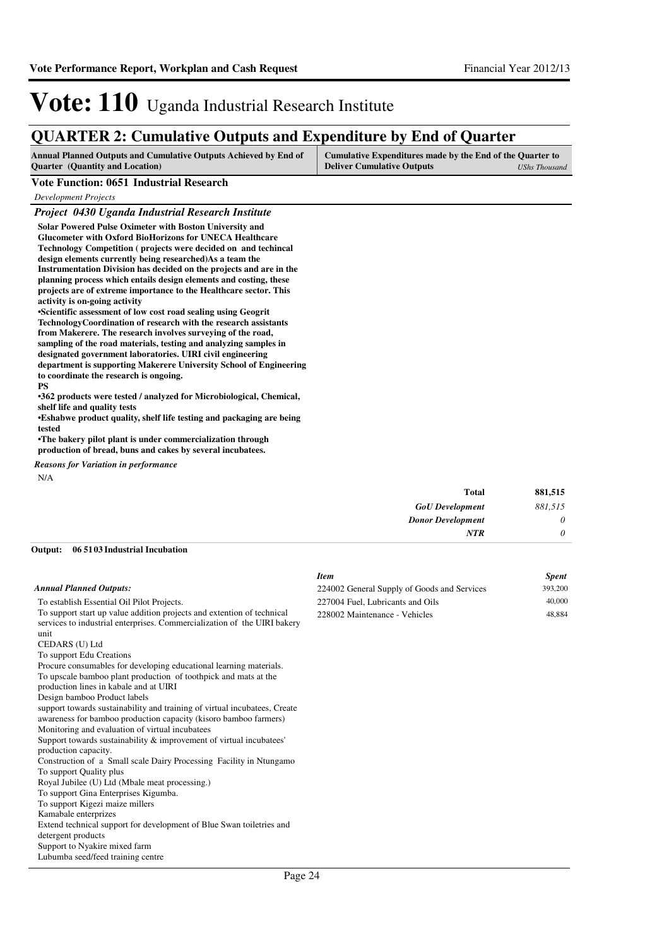### **QUARTER 2: Cumulative Outputs and Expenditure by End of Quarter**

| <b>Annual Planned Outputs and Cumulative Outputs Achieved by End of</b> | Cumulative Expenditures made by the End of the Quarter to |               |
|-------------------------------------------------------------------------|-----------------------------------------------------------|---------------|
| <b>Ouarter</b> (Quantity and Location)                                  | <b>Deliver Cumulative Outputs</b>                         | UShs Thousand |

#### **Vote Function: 0651 Industrial Research**

*Development Projects*

#### *Project 0430 Uganda Industrial Research Institute*

| <b>Solar Powered Pulse Oximeter with Boston University and</b>        |
|-----------------------------------------------------------------------|
| <b>Glucometer with Oxford BioHorizons for UNECA Healthcare</b>        |
| <b>Technology Competition (projects were decided on and techincal</b> |
| design elements currently being researched) As a team the             |
| Instrumentation Division has decided on the projects and are in the   |
| planning process which entails design elements and costing, these     |
| projects are of extreme importance to the Healthcare sector. This     |
| activity is on-going activity                                         |
| •Scientific assessment of low cost road sealing using Geogrit         |
| TechnologyCoordination of research with the research assistants       |
| from Makerere. The research involves surveying of the road,           |
| sampling of the road materials, testing and analyzing samples in      |
| designated government laboratories. UIRI civil engineering            |
| department is supporting Makerere University School of Engineering    |
| to coordinate the research is ongoing.                                |
| <b>PS</b>                                                             |
| •362 products were tested / analyzed for Microbiological, Chemical,   |
| shelf life and quality tests                                          |
| •Eshabwe product quality, shelf life testing and packaging are being  |
| tested                                                                |
| •The bakery pilot plant is under commercialization through            |
| production of bread, buns and cakes by several incubatees.            |
|                                                                       |

*Reasons for Variation in performance*

N/A

| 881,515  | <b>Total</b>             |
|----------|--------------------------|
| 881,515  | <b>GoU</b> Development   |
| 0        | <b>Donor Development</b> |
| $\theta$ | <b>NTR</b>               |
|          |                          |

#### **06 5103 Industrial Incubation Output:**

|                                                                                                                                                    | <b>Item</b>                                 | <b>Spent</b> |
|----------------------------------------------------------------------------------------------------------------------------------------------------|---------------------------------------------|--------------|
| <b>Annual Planned Outputs:</b>                                                                                                                     | 224002 General Supply of Goods and Services | 393,200      |
| To establish Essential Oil Pilot Projects.                                                                                                         | 227004 Fuel, Lubricants and Oils            | 40,000       |
| To support start up value addition projects and extention of technical<br>services to industrial enterprises. Commercialization of the UIRI bakery | 228002 Maintenance - Vehicles               | 48,884       |
| unit                                                                                                                                               |                                             |              |
| CEDARS (U) Ltd                                                                                                                                     |                                             |              |
| To support Edu Creations                                                                                                                           |                                             |              |
| Procure consumables for developing educational learning materials.                                                                                 |                                             |              |
| To upscale bamboo plant production of toothpick and mats at the                                                                                    |                                             |              |
| production lines in kabale and at UIRI                                                                                                             |                                             |              |
| Design bamboo Product labels                                                                                                                       |                                             |              |
| support towards sustainability and training of virtual incubatees, Create                                                                          |                                             |              |
| awareness for bamboo production capacity (kisoro bamboo farmers)                                                                                   |                                             |              |
| Monitoring and evaluation of virtual incubatees                                                                                                    |                                             |              |
| Support towards sustainability $\&$ improvement of virtual incubatees'                                                                             |                                             |              |
| production capacity.                                                                                                                               |                                             |              |
| Construction of a Small scale Dairy Processing Facility in Ntungamo                                                                                |                                             |              |
| To support Quality plus                                                                                                                            |                                             |              |
| Royal Jubilee (U) Ltd (Mbale meat processing.)                                                                                                     |                                             |              |
| To support Gina Enterprises Kigumba.                                                                                                               |                                             |              |
| To support Kigezi maize millers                                                                                                                    |                                             |              |
| Kamabale enterprizes                                                                                                                               |                                             |              |
| Extend technical support for development of Blue Swan toiletries and                                                                               |                                             |              |
| detergent products                                                                                                                                 |                                             |              |
| Support to Nyakire mixed farm                                                                                                                      |                                             |              |
| Lubumba seed/feed training centre                                                                                                                  |                                             |              |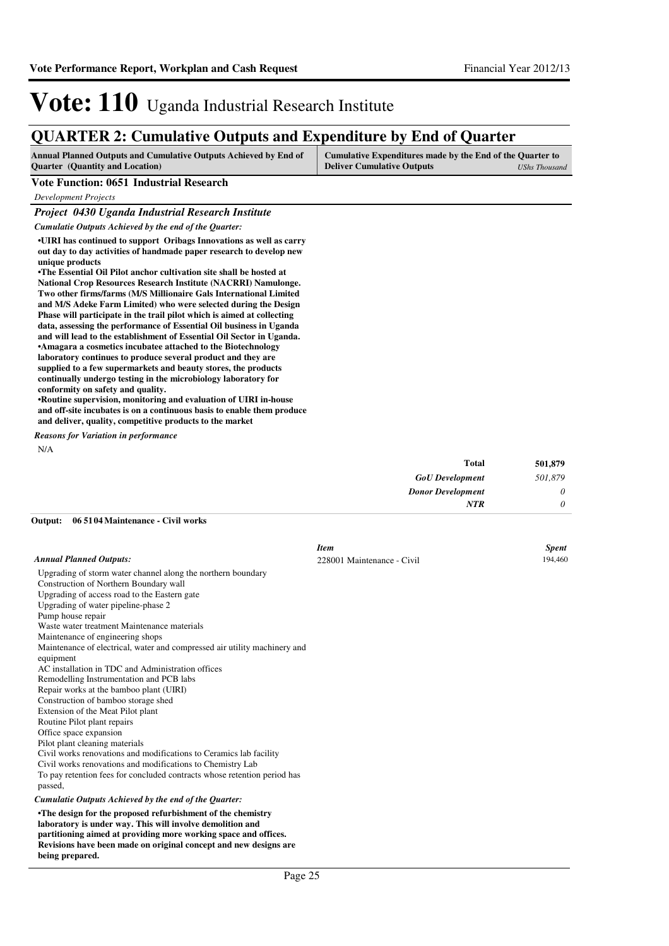### **QUARTER 2: Cumulative Outputs and Expenditure by End of Quarter**

| <b>Annual Planned Outputs and Cumulative Outputs Achieved by End of</b> | Cumulative Expenditures made by the End of the Quarter to |               |
|-------------------------------------------------------------------------|-----------------------------------------------------------|---------------|
| <b>Ouarter</b> (Quantity and Location)                                  | <b>Deliver Cumulative Outputs</b>                         | UShs Thousand |

#### **Vote Function: 0651 Industrial Research**

*Development Projects*

#### *Project 0430 Uganda Industrial Research Institute*

*Cumulatie Outputs Achieved by the end of the Quarter:*

**•UIRI has continued to support Oribags Innovations as well as carry out day to day activities of handmade paper research to develop new unique products**

•The Essential Oil Pilot anchor cultivation site shall be hosted at **National Crop Resources Research Institute (NACRRI) Namulonge. Two other firms/farms (M/S Millionaire Gals International Limited and M/S Adeke Farm Limited) who were selected during the Design Phase will participate in the trail pilot which is aimed at collecting data, assessing the performance of Essential Oil business in Uganda and will lead to the establishment of Essential Oil Sector in Uganda. •Amagara a cosmetics incubatee attached to the Biotechnology laboratory continues to produce several product and they are supplied to a few supermarkets and beauty stores, the products continually undergo testing in the microbiology laboratory for conformity on safety and quality.**

**•Routine supervision, monitoring and evaluation of UIRI in-house and off-site incubates is on a continuous basis to enable them produce and deliver, quality, competitive products to the market**

N/A *Reasons for Variation in performance*

| 501,879  | <b>Total</b>             |
|----------|--------------------------|
| 501,879  | <b>GoU</b> Development   |
| $\theta$ | <b>Donor Development</b> |
| 0        | <b>NTR</b>               |
|          |                          |

#### **06 5104 Maintenance - Civil works Output:**

|                                                                           | <b>Item</b>                | <b>Spent</b> |
|---------------------------------------------------------------------------|----------------------------|--------------|
| <b>Annual Planned Outputs:</b>                                            | 228001 Maintenance - Civil | 194,460      |
| Upgrading of storm water channel along the northern boundary              |                            |              |
| Construction of Northern Boundary wall                                    |                            |              |
| Upgrading of access road to the Eastern gate                              |                            |              |
| Upgrading of water pipeline-phase 2                                       |                            |              |
| Pump house repair                                                         |                            |              |
| Waste water treatment Maintenance materials                               |                            |              |
| Maintenance of engineering shops                                          |                            |              |
| Maintenance of electrical, water and compressed air utility machinery and |                            |              |
| equipment                                                                 |                            |              |
| AC installation in TDC and Administration offices                         |                            |              |
| Remodelling Instrumentation and PCB labs                                  |                            |              |
| Repair works at the bamboo plant (UIRI)                                   |                            |              |
| Construction of bamboo storage shed                                       |                            |              |
| Extension of the Meat Pilot plant                                         |                            |              |
| Routine Pilot plant repairs                                               |                            |              |
| Office space expansion                                                    |                            |              |
| Pilot plant cleaning materials                                            |                            |              |
| Civil works renovations and modifications to Ceramics lab facility        |                            |              |
| Civil works renovations and modifications to Chemistry Lab                |                            |              |
| To pay retention fees for concluded contracts whose retention period has  |                            |              |
| passed,                                                                   |                            |              |
| Cumulatie Outputs Achieved by the end of the Quarter:                     |                            |              |
| •The design for the proposed refurbishment of the chemistry               |                            |              |
| laboratory is under way. This will involve demolition and                 |                            |              |
| partitioning aimed at providing more working space and offices.           |                            |              |

**Revisions have been made on original concept and new designs are** 

#### **being prepared.**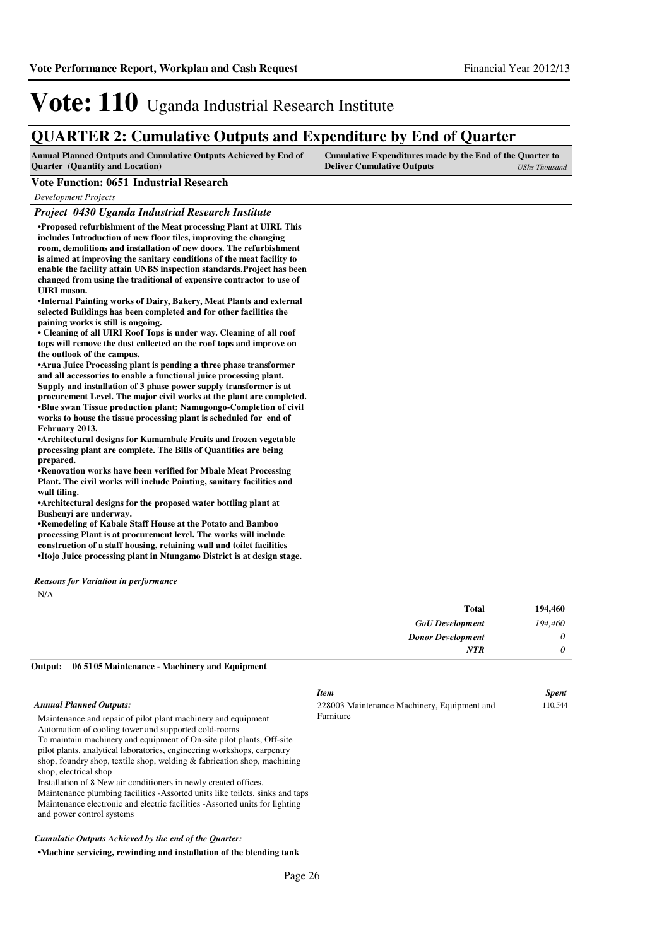### **QUARTER 2: Cumulative Outputs and Expenditure by End of Quarter**

| <b>Annual Planned Outputs and Cumulative Outputs Achieved by End of</b> | Cumulative Expenditures made by the End of the Quarter to |               |
|-------------------------------------------------------------------------|-----------------------------------------------------------|---------------|
| <b>Ouarter</b> (Quantity and Location)                                  | <b>Deliver Cumulative Outputs</b>                         | UShs Thousand |

#### **Vote Function: 0651 Industrial Research**

*Development Projects*

#### *Project 0430 Uganda Industrial Research Institute*

**•Proposed refurbishment of the Meat processing Plan t at UIRI. This includes Introduction of new floor tiles, improving the changing room, demolitions and installation of new doors. The refurbishment is aimed at improving the sanitary conditions of the meat facility to enable the facility attain UNBS inspection standards.Project has been changed from using the traditional of expensive contractor to use of UIRI mason.**

**•Internal Painting works of Dairy, Bakery, Meat Plants and external selected Buildings has been completed and for other facilities the paining works is still is ongoing.**

• Cleaning of all UIRI Roof Tops is under way. Cleaning of all roof **tops will remove the dust collected on the roof tops and improve on the outlook of the campus.**

**•Arua Juice Processing plant is pending a three phase transformer and all accessories to enable a functional juice processing plant. Supply and installation of 3 phase power supply transformer is at procurement Level. The major civil works at the plant are completed. •** Blue swan Tissue production plant; Namugongo **-Completion of civil works to house the tissue processing plant is scheduled for end of February 2013.** 

**•Architectural designs for Kamambale Fruits and frozen vegetable processing plant are complete. The Bills of Quantities are being prepared.**

**•Renovation works have been verified for Mbale Meat Processing Plant. The civil works will include Painting, sanitary facilities and wall tiling.**

**•Architectural designs for the proposed water bottling plant at Bushenyi are underway.**

**•Remodeling of Kabale Staff House at the Potato and Bamboo processing Plant is at procurement level. The works will include construction of a staff housing, retaining wall and toilet facilities •Itojo Juice processing plant in Ntungamo District is at design stage.**

*Reasons for Variation in performance*

N/A

| 194,460  | <b>Total</b>             |
|----------|--------------------------|
| 194,460  | <b>GoU</b> Development   |
| $\theta$ | <b>Donor Development</b> |
| $\theta$ | <b>NTR</b>               |
|          |                          |

#### **06 5105 Maintenance - Machinery and Equipment Output:**

#### *Annual Planned Outputs:*

Maintenance and repair of pilot plant machinery and equipment Automation of cooling tower and supported cold-rooms

To maintain machinery and equipment of On-site pilot plants, Off-site pilot plants, analytical laboratories, engineering workshops, carpentry shop, foundry shop, textile shop, welding & fabrication shop, machining shop, electrical shop

Installation of 8 New air conditioners in newly created offices, Maintenance plumbing facilities -Assorted units like toilets, sinks and taps Maintenance electronic and electric facilities -Assorted units for lighting

#### and power control systems

#### *Cumulatie Outputs Achieved by the end of the Quarter:*

#### **•Machine servicing, rewinding and installation of t he blending tank**

#### *Item Spent* 228003 Maintenance Machinery, Equipment and Furniture 110,544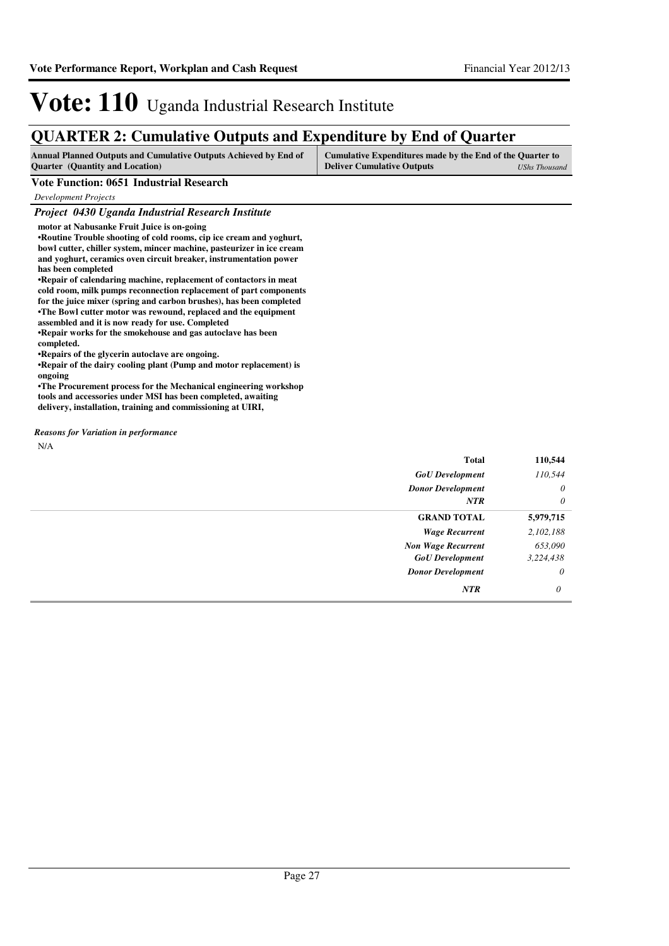### **QUARTER 2: Cumulative Outputs and Expenditure by End of Quarter**

| <b>Annual Planned Outputs and Cumulative Outputs Achieved by End of</b> | Cumulative Expenditures made by the End of the Quarter to |
|-------------------------------------------------------------------------|-----------------------------------------------------------|
| <b>Quarter</b> (Quantity and Location)                                  | <b>Deliver Cumulative Outputs</b><br>UShs Thousand        |

#### **Vote Function: 0651 Industrial Research**

*Development Projects*

#### *Project 0430 Uganda Industrial Research Institute*

**motor at Nabusanke Fruit Juice is on-going**

•Routine Trouble shooting of cold rooms, cip ice cream and yoghurt, **bowl cutter, chiller system, mincer machine, pasteurizer in ice cream and yoghurt, ceramics oven circuit breaker, instrumentation power has been completed**

**•Repair of calendaring machine, replacement of contactors in meat cold room, milk pumps reconnection replacement of part components for the juice mixer (spring and carbon brushes), has been completed •The Bowl cutter motor was rewound, replaced and th e equipment assembled and it is now ready for use. Completed**

**•Repair works for the smokehouse and gas autoclave has been completed.** 

**•Repairs of the glycerin autoclave are ongoing.**

**•Repair of the dairy cooling plant (Pump and motor replacement) is ongoing**

**•The Procurement process for the Mechanical engineering workshop tools and accessories under MSI has been completed, awaiting delivery, installation, training and commissioning at UIRI,**

*Reasons for Variation in performance*

N/A

| <b>Total</b>              | 110,544   |
|---------------------------|-----------|
| <b>GoU</b> Development    | 110,544   |
| <b>Donor Development</b>  | $\theta$  |
| <b>NTR</b>                | $\theta$  |
| <b>GRAND TOTAL</b>        | 5,979,715 |
| <b>Wage Recurrent</b>     | 2,102,188 |
| <b>Non Wage Recurrent</b> | 653,090   |
| <b>GoU</b> Development    | 3,224,438 |
| <b>Donor Development</b>  | $\theta$  |
| NTR                       | $\theta$  |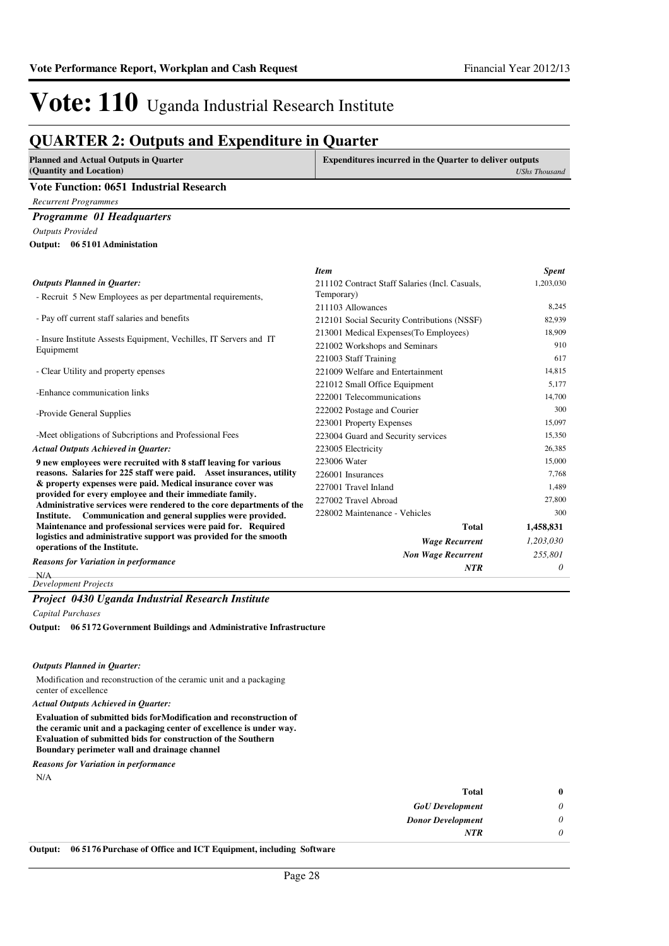### **QUARTER 2: Outputs and Expenditure in Quarter**

| <b>Planned and Actual Outputs in Quarter</b><br>(Quantity and Location)                                               | <b>Expenditures incurred in the Quarter to deliver outputs</b> | <b>UShs Thousand</b> |
|-----------------------------------------------------------------------------------------------------------------------|----------------------------------------------------------------|----------------------|
| <b>Vote Function: 0651 Industrial Research</b>                                                                        |                                                                |                      |
| <b>Recurrent Programmes</b>                                                                                           |                                                                |                      |
| Programme 01 Headquarters                                                                                             |                                                                |                      |
| <b>Outputs Provided</b>                                                                                               |                                                                |                      |
| Output: 06 5101 Administation                                                                                         |                                                                |                      |
|                                                                                                                       |                                                                |                      |
|                                                                                                                       | <b>Item</b>                                                    | <b>Spent</b>         |
| <b>Outputs Planned in Quarter:</b><br>- Recruit 5 New Employees as per departmental requirements,                     | 211102 Contract Staff Salaries (Incl. Casuals,<br>Temporary)   | 1,203,030            |
|                                                                                                                       | 211103 Allowances                                              | 8,245                |
| - Pay off current staff salaries and benefits                                                                         | 212101 Social Security Contributions (NSSF)                    | 82,939               |
|                                                                                                                       | 213001 Medical Expenses(To Employees)                          | 18,909               |
| - Insure Institute Assests Equipment, Vechilles, IT Servers and IT<br>Equipmemt                                       | 221002 Workshops and Seminars                                  | 910                  |
|                                                                                                                       | 221003 Staff Training                                          | 617                  |
| - Clear Utility and property epenses                                                                                  | 221009 Welfare and Entertainment                               | 14.815               |
|                                                                                                                       | 221012 Small Office Equipment                                  | 5,177                |
| -Enhance communication links                                                                                          | 222001 Telecommunications                                      | 14,700               |
| -Provide General Supplies                                                                                             | 222002 Postage and Courier                                     | 300                  |
|                                                                                                                       | 223001 Property Expenses                                       | 15,097               |
| -Meet obligations of Subcriptions and Professional Fees                                                               | 223004 Guard and Security services                             | 15,350               |
| <b>Actual Outputs Achieved in Quarter:</b>                                                                            | 223005 Electricity                                             | 26,385               |
| 9 new employees were recruited with 8 staff leaving for various                                                       | 223006 Water                                                   | 15,000               |
| reasons. Salaries for 225 staff were paid. Asset insurances, utility                                                  | 226001 Insurances                                              | 7,768                |
| & property expenses were paid. Medical insurance cover was<br>provided for every employee and their immediate family. | 227001 Travel Inland                                           | 1,489                |
| Administrative services were rendered to the core departments of the                                                  | 227002 Travel Abroad                                           | 27,800               |
| Communication and general supplies were provided.<br>Institute.                                                       | 228002 Maintenance - Vehicles                                  | 300                  |
| Maintenance and professional services were paid for. Required                                                         | <b>Total</b>                                                   | 1,458,831            |
| logistics and administrative support was provided for the smooth<br>operations of the Institute.                      | <b>Wage Recurrent</b>                                          | 1,203,030            |
|                                                                                                                       | <b>Non Wage Recurrent</b>                                      | 255,801              |
| <b>Reasons for Variation in performance</b>                                                                           | NTR                                                            | 0                    |

 $N/A$ *Development Projects*

#### *Project 0430 Uganda Industrial Research Institute*

*Capital Purchases*

**06 5172 Government Buildings and Administrative Infrastructure Output:**

#### *Outputs Planned in Quarter:*

Modification and reconstruction of the ceramic unit and a packaging center of excellence

#### *Actual Outputs Achieved in Quarter:*

**Evaluation of submitted bids forModification and reconstruction of the ceramic unit and a packaging center of excellence is under way. Evaluation of submitted bids for construction of the Southern Boundary perimeter wall and drainage channel**

*Reasons for Variation in performance*

N/A

|          | <b>Total</b>             |
|----------|--------------------------|
| 0        | <b>GoU</b> Development   |
| $\theta$ | <b>Donor Development</b> |
|          | <b>NTR</b>               |
|          |                          |

**Output: 06 5176 Purchase of Office and ICT Equipment, including Software**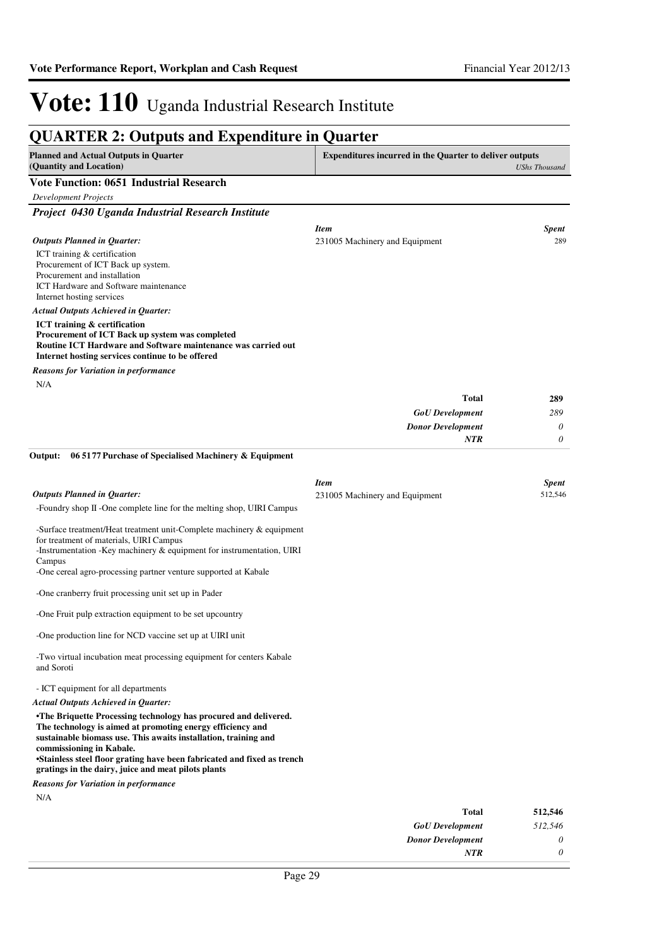#### **QUARTER 2: Outputs and Expenditure in Quarter Planned and Actual Outputs in Quarter (Quantity and Location) Expenditures incurred in the Quarter to deliver outputs**  *UShs Thousand* **Vote Function: 0651 Industrial Research** *Development Projects Project 0430 Uganda Industrial Research Institute* ICT training & certification Procurement of ICT Back up system. Procurement and installation ICT Hardware and Software maintenance Internet hosting services **ICT training & certification Procurement of ICT Back up system was completed Routine ICT Hardware and Software maintenance was carried out Internet hosting services continue to be offered** *GoU Development Donor Development* **Total** *289 0 0* **289** *Actual Outputs Achieved in Quarter: Outputs Planned in Quarter: NTR* N/A *Reasons for Variation in performance Item Spent* 231005 Machinery and Equipment 289 -Foundry shop II -One complete line for the melting shop, UIRI Campus -Surface treatment/Heat treatment unit-Complete machinery & equipment for treatment of materials, UIRI Campus -Instrumentation -Key machinery & equipment for instrumentation, UIRI Campus -One cereal agro-processing partner venture supported at Kabale -One cranberry fruit processing unit set up in Pader -One Fruit pulp extraction equipment to be set upcountry -One production line for NCD vaccine set up at UIRI unit -Two virtual incubation meat processing equipment for centers Kabale and Soroti - ICT equipment for all departments **•The Briquette Processing technology has procured a nd delivered. The technology is aimed at promoting energy efficiency and sustainable biomass use. This awaits installation, training and commissioning in Kabale. •Stainless steel floor grating have been fabricated and fixed as trench gratings in the dairy, juice and meat pilots plants 06 5177 Purchase of Specialised Machinery & Equipment** *GoU Development* **Total** *512,546* **512,546** *Actual Outputs Achieved in Quarter: Outputs Planned in Quarter:* **Output:** N/A *Reasons for Variation in performance Item Spent* 231005 Machinery and Equipment 512,546

*Donor Development*

*NTR*

*0 0*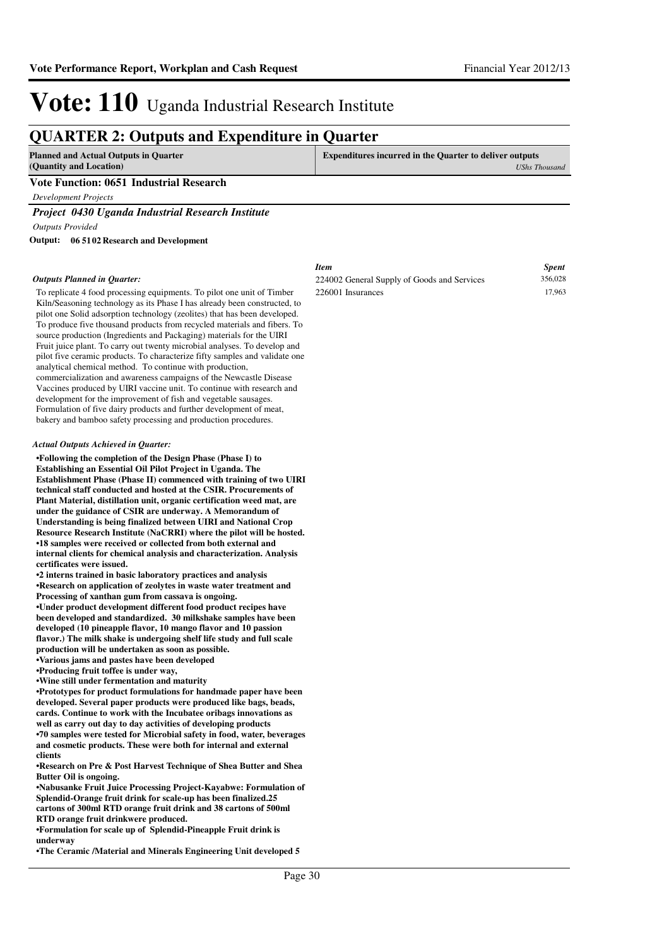### **QUARTER 2: Outputs and Expenditure in Quarter**

| Planned and Actual Outputs in Quarter   | <b>Expenditures incurred in the Quarter to deliver outputs</b> |
|-----------------------------------------|----------------------------------------------------------------|
| (Quantity and Location)                 | <b>UShs Thousand</b>                                           |
| Vote Function: 0651 Industrial Research |                                                                |

*Development Projects*

*Project 0430 Uganda Industrial Research Institute*

*Outputs Provided*

**06 5102 Research and Development Output:**

#### *Outputs Planned in Quarter:*

To replicate 4 food processing equipments. To pilot one unit of Timber Kiln/Seasoning technology as its Phase I has already been constructed, to pilot one Solid adsorption technology (zeolites) that has been developed. To produce five thousand products from recycled materials and fibers. To source production (Ingredients and Packaging) materials for the UIRI Fruit juice plant. To carry out twenty microbial analyses. To develop and pilot five ceramic products. To characterize fifty samples and validate one analytical chemical method. To continue with production, commercialization and awareness campaigns of the Newcastle Disease Vaccines produced by UIRI vaccine unit. To continue with research and development for the improvement of fish and vegetable sausages. Formulation of five dairy products and further development of meat, bakery and bamboo safety processing and production procedures.

#### *Actual Outputs Achieved in Quarter:*

**•Following the completion of the Design Phase (Phas e I) to Establishing an Essential Oil Pilot Project in Uganda. The Establishment Phase (Phase II) commenced with training of two UIRI technical staff conducted and hosted at the CSIR. Procurements of Plant Material, distillation unit, organic certification weed mat, are under the guidance of CSIR are underway. A Memorandum of Understanding is being finalized between UIRI and National Crop Resource Research Institute (NaCRRI) where the pilot will be hosted. •18 samples were received or collected from both ex ternal and internal clients for chemical analysis and characterization. Analysis certificates were issued.**

**•2 interns trained in basic laboratory practices an d analysis •Research on application of zeolytes in waste water treatment and Processing of xanthan gum from cassava is ongoing.**

**•Under product development different food product r ecipes have been developed and standardized. 30 milkshake samples have been developed (10 pineapple flavor, 10 mango flavor and 10 passion flavor.) The milk shake is undergoing shelf life study and full scale production will be undertaken as soon as possible. •Various jams and pastes have been developed**

**•Producing fruit toffee is under way,** 

**•Wine still under fermentation and maturity**

**•Prototypes for product formulations for handmade p aper have been developed. Several paper products were produced like bags, beads, cards. Continue to work with the Incubatee oribags innovations as well as carry out day to day activities of developing products •70 samples were tested for Microbial safety in food, water, beverages and cosmetic products. These were both for internal and external clients**

**•Research on Pre & Post Harvest Technique of Shea B utter and Shea Butter Oil is ongoing.**

**•Nabusanke Fruit Juice Processing Project-Kayabwe: Formulation of Splendid-Orange fruit drink for scale-up has been finalized.25 cartons of 300ml RTD orange fruit drink and 38 cartons of 500ml RTD orange fruit drinkwere produced.**

**•Formulation for scale up of Splendid-Pineapple Fr uit drink is underway**

**•The Ceramic /Material and Minerals Engineering Uni t developed 5** 

#### *Item Spent* 224002 General Supply of Goods and Services 356,028 226001 Insurances 17,963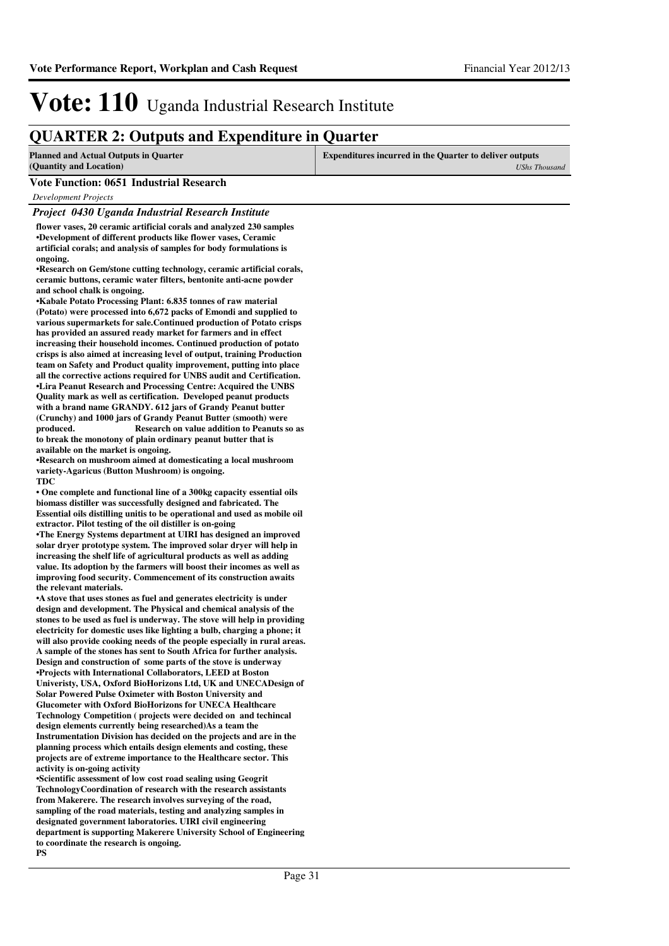### **QUARTER 2: Outputs and Expenditure in Quarter**

| <b>Planned and Actual Outputs in Quarter</b> | <b>Expenditures incurred in the Quarter to deliver outputs</b> |  |
|----------------------------------------------|----------------------------------------------------------------|--|
| (Quantity and Location)                      | UShs Thousand                                                  |  |
| Vote Function: 0651 Industrial Research      |                                                                |  |

*Development Projects*

#### *Project 0430 Uganda Industrial Research Institute*

**flower vases, 20 ceramic artificial corals and analyzed 230 samples •Development of different products like flower vases, Ceramic artificial corals; and analysis of samples for body formulations is ongoing.**

**•Research on Gem/stone cutting technology, ceramic artificial corals, ceramic buttons, ceramic water filters, bentonite anti-acne powder and school chalk is ongoing.**

**•Kabale Potato Processing Plant: 6.835 tonnes of ra w material (Potato) were processed into 6,672 packs of Emondi and supplied to various supermarkets for sale.Continued production of Potato crisps has provided an assured ready market for farmers and in effect increasing their household incomes. Continued production of potato crisps is also aimed at increasing level of output, training Production team on Safety and Product quality improvement, putting into place all the corrective actions required for UNBS audit and Certification.** •Lira Peanut Research and Processing Centre: Acquired the UNBS **Quality mark as well as certification. Developed peanut products with a brand name GRANDY. 612 jars of Grandy Peanut butter (Crunchy) and 1000 jars of Grandy Peanut Butter (smooth) were produced.** Research on value addition to Peanuts so as **to break the monotony of plain ordinary peanut butter that is available on the market is ongoing.** 

**•Research on mushroom aimed at domesticating a loca l mushroom variety-Agaricus (Button Mushroom) is ongoing. TDC**

• One complete and functional line of a 300kg capacity essential oils **biomass distiller was successfully designed and fabricated. The Essential oils distilling unitis to be operational and used as mobile oil extractor. Pilot testing of the oil distiller is on-going**

**•The Energy Systems department at UIRI has designed an improved solar dryer prototype system. The improved solar dryer will help in increasing the shelf life of agricultural products as well as adding value. Its adoption by the farmers will boost their incomes as well as improving food security. Commencement of its construction awaits the relevant materials.**

**•A stove that uses stones as fuel and generates electricity is under design and development. The Physical and chemical analysis of the stones to be used as fuel is underway. The stove will help in providing electricity for domestic uses like lighting a bulb, charging a phone; it will also provide cooking needs of the people especially in rural areas. A sample of the stones has sent to South Africa for further analysis. Design and construction of some parts of the stove is underway •Projects with International Collaborators, LEED at Boston Univeristy, USA, Oxford BioHorizons Ltd, UK and UNECADesign of Solar Powered Pulse Oximeter with Boston University and Glucometer with Oxford BioHorizons for UNECA Healthcare Technology Competition ( projects were decided on and techincal**  design elements currently being researched)As a team the **Instrumentation Division has decided on the projects and are in the planning process which entails design elements and costing, these projects are of extreme importance to the Healthcare sector. This activity is on-going activity** 

**•Scientific assessment of low cost road sealing using Geogrit** TechnologyCoordination of research with the research assistants **from Makerere. The research involves surveying of the road, sampling of the road materials, testing and analyzing samples in designated government laboratories. UIRI civil engineering department is supporting Makerere University School of Engineering to coordinate the research is ongoing. PS**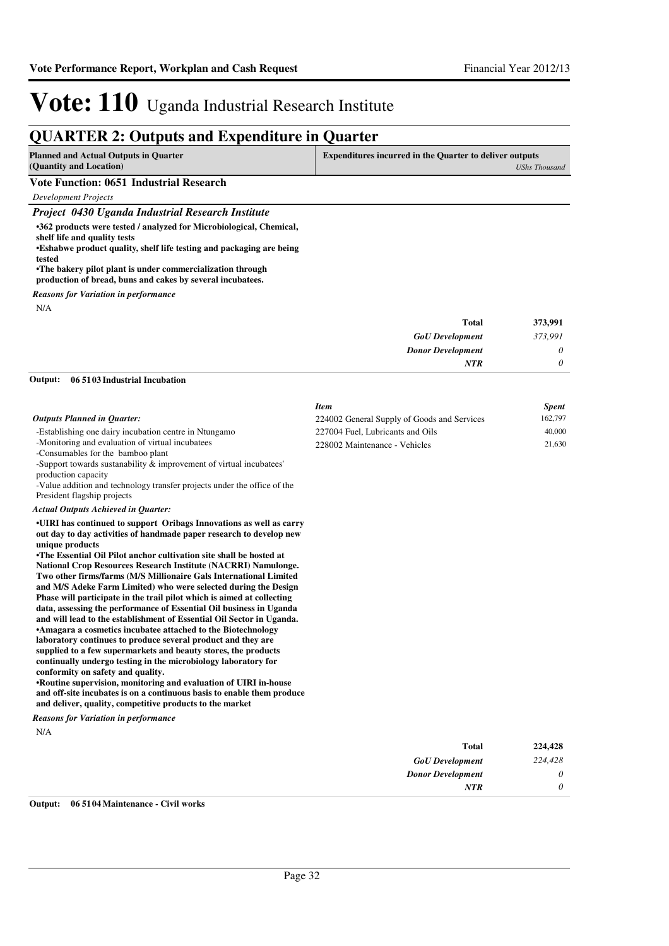### **QUARTER 2: Outputs and Expenditure in Quarter**

| <b>Planned and Actual Outputs in Quarter</b><br>(Quantity and Location)                                                                    | <b>Expenditures incurred in the Quarter to deliver outputs</b> | <b>UShs Thousand</b> |
|--------------------------------------------------------------------------------------------------------------------------------------------|----------------------------------------------------------------|----------------------|
| <b>Vote Function: 0651 Industrial Research</b>                                                                                             |                                                                |                      |
| Development Projects                                                                                                                       |                                                                |                      |
| Project 0430 Uganda Industrial Research Institute                                                                                          |                                                                |                      |
| •362 products were tested / analyzed for Microbiological, Chemical,                                                                        |                                                                |                      |
| shelf life and quality tests<br>•Eshabwe product quality, shelf life testing and packaging are being<br>tested                             |                                                                |                      |
| •The bakery pilot plant is under commercialization through<br>production of bread, buns and cakes by several incubatees.                   |                                                                |                      |
| <b>Reasons for Variation in performance</b>                                                                                                |                                                                |                      |
| N/A                                                                                                                                        |                                                                |                      |
|                                                                                                                                            | <b>Total</b>                                                   | 373,991              |
|                                                                                                                                            | <b>GoU</b> Development                                         | 373,991              |
|                                                                                                                                            | <b>Donor Development</b>                                       | 0                    |
|                                                                                                                                            | NTR                                                            | 0                    |
| Output:<br>06 5103 Industrial Incubation                                                                                                   |                                                                |                      |
|                                                                                                                                            | <b>Item</b>                                                    | <b>Spent</b>         |
| <b>Outputs Planned in Quarter:</b>                                                                                                         | 224002 General Supply of Goods and Services                    | 162,797              |
| -Establishing one dairy incubation centre in Ntungamo                                                                                      | 227004 Fuel, Lubricants and Oils                               | 40,000               |
| -Monitoring and evaluation of virtual incubatees                                                                                           | 228002 Maintenance - Vehicles                                  | 21,630               |
| -Consumables for the bamboo plant<br>-Support towards sustanability $\&$ improvement of virtual incubatees'                                |                                                                |                      |
| production capacity                                                                                                                        |                                                                |                      |
| -Value addition and technology transfer projects under the office of the                                                                   |                                                                |                      |
| President flagship projects                                                                                                                |                                                                |                      |
| Actual Outputs Achieved in Quarter:                                                                                                        |                                                                |                      |
| •UIRI has continued to support Oribags Innovations as well as carry<br>out day to day activities of handmade paper research to develop new |                                                                |                      |
| unique products                                                                                                                            |                                                                |                      |
| •The Essential Oil Pilot anchor cultivation site shall be hosted at                                                                        |                                                                |                      |
| <b>National Crop Resources Research Institute (NACRRI) Namulonge.</b><br>Two other firms/farms (M/S Millionaire Gals International Limited |                                                                |                      |
| and M/S Adeke Farm Limited) who were selected during the Design                                                                            |                                                                |                      |
| Phase will participate in the trail pilot which is aimed at collecting                                                                     |                                                                |                      |
| data, assessing the performance of Essential Oil business in Uganda                                                                        |                                                                |                      |
| and will lead to the establishment of Essential Oil Sector in Uganda.<br>*Amagara a cosmetics incubatee attached to the Biotechnology      |                                                                |                      |
| laboratory continues to produce several product and they are                                                                               |                                                                |                      |
| supplied to a few supermarkets and beauty stores, the products                                                                             |                                                                |                      |
| continually undergo testing in the microbiology laboratory for<br>conformity on safety and quality.                                        |                                                                |                      |
| •Routine supervision, monitoring and evaluation of UIRI in-house                                                                           |                                                                |                      |
| and off-site incubates is on a continuous basis to enable them produce                                                                     |                                                                |                      |
| and deliver, quality, competitive products to the market                                                                                   |                                                                |                      |
| <b>Reasons for Variation in performance</b><br>N/A                                                                                         |                                                                |                      |
|                                                                                                                                            | <b>Total</b>                                                   | 224,428              |
|                                                                                                                                            | <b>GoU</b> Development                                         | 224,428              |
|                                                                                                                                            | <b>Donor Development</b>                                       | 0                    |
|                                                                                                                                            | NTR                                                            | 0                    |
| 06 5104 Maintenance - Civil works<br>Output:                                                                                               |                                                                |                      |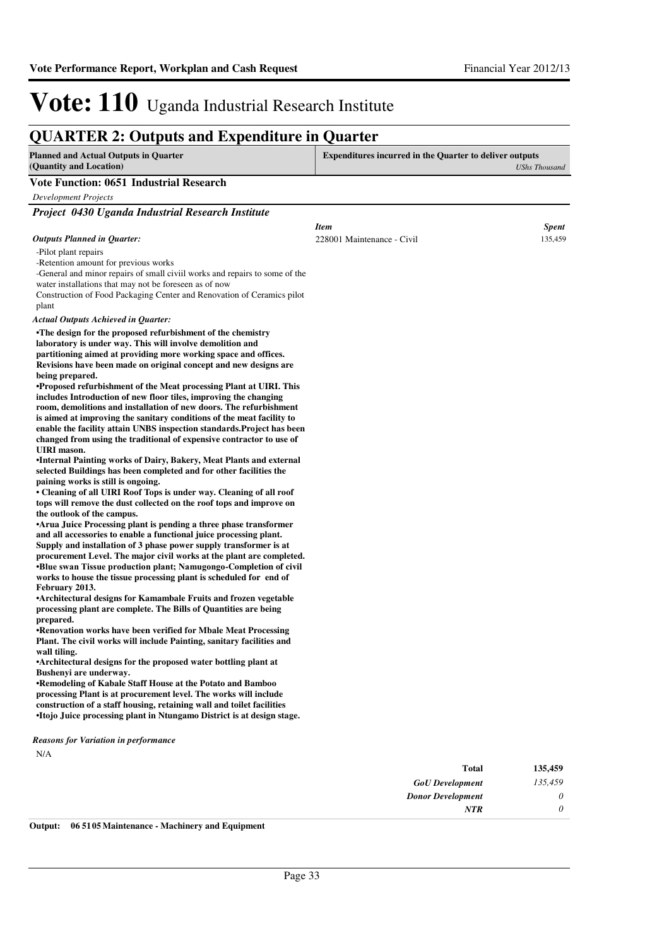### **QUARTER 2: Outputs and Expenditure in Quarter**

| <b>Planned and Actual Outputs in Quarter</b><br>(Quantity and Location)                                                                                                                                                                                                                                                                                                                                                                                                                                                                                                                                                                                                                                                                                                                                                                                                                                                                                                                                                                                                                                                                                                                                                                                                                                                                                                                                                                                                                                                                                                                                                                                                                                                                                                                                                                                                                                                                                                                                                                                                                                                                                                                                                                                            | <b>Expenditures incurred in the Quarter to deliver outputs</b> |                         |
|--------------------------------------------------------------------------------------------------------------------------------------------------------------------------------------------------------------------------------------------------------------------------------------------------------------------------------------------------------------------------------------------------------------------------------------------------------------------------------------------------------------------------------------------------------------------------------------------------------------------------------------------------------------------------------------------------------------------------------------------------------------------------------------------------------------------------------------------------------------------------------------------------------------------------------------------------------------------------------------------------------------------------------------------------------------------------------------------------------------------------------------------------------------------------------------------------------------------------------------------------------------------------------------------------------------------------------------------------------------------------------------------------------------------------------------------------------------------------------------------------------------------------------------------------------------------------------------------------------------------------------------------------------------------------------------------------------------------------------------------------------------------------------------------------------------------------------------------------------------------------------------------------------------------------------------------------------------------------------------------------------------------------------------------------------------------------------------------------------------------------------------------------------------------------------------------------------------------------------------------------------------------|----------------------------------------------------------------|-------------------------|
|                                                                                                                                                                                                                                                                                                                                                                                                                                                                                                                                                                                                                                                                                                                                                                                                                                                                                                                                                                                                                                                                                                                                                                                                                                                                                                                                                                                                                                                                                                                                                                                                                                                                                                                                                                                                                                                                                                                                                                                                                                                                                                                                                                                                                                                                    |                                                                | <b>UShs Thousand</b>    |
| <b>Vote Function: 0651 Industrial Research</b>                                                                                                                                                                                                                                                                                                                                                                                                                                                                                                                                                                                                                                                                                                                                                                                                                                                                                                                                                                                                                                                                                                                                                                                                                                                                                                                                                                                                                                                                                                                                                                                                                                                                                                                                                                                                                                                                                                                                                                                                                                                                                                                                                                                                                     |                                                                |                         |
| Development Projects                                                                                                                                                                                                                                                                                                                                                                                                                                                                                                                                                                                                                                                                                                                                                                                                                                                                                                                                                                                                                                                                                                                                                                                                                                                                                                                                                                                                                                                                                                                                                                                                                                                                                                                                                                                                                                                                                                                                                                                                                                                                                                                                                                                                                                               |                                                                |                         |
| Project 0430 Uganda Industrial Research Institute                                                                                                                                                                                                                                                                                                                                                                                                                                                                                                                                                                                                                                                                                                                                                                                                                                                                                                                                                                                                                                                                                                                                                                                                                                                                                                                                                                                                                                                                                                                                                                                                                                                                                                                                                                                                                                                                                                                                                                                                                                                                                                                                                                                                                  |                                                                |                         |
| <b>Outputs Planned in Quarter:</b>                                                                                                                                                                                                                                                                                                                                                                                                                                                                                                                                                                                                                                                                                                                                                                                                                                                                                                                                                                                                                                                                                                                                                                                                                                                                                                                                                                                                                                                                                                                                                                                                                                                                                                                                                                                                                                                                                                                                                                                                                                                                                                                                                                                                                                 | <b>Item</b><br>228001 Maintenance - Civil                      | <b>Spent</b><br>135,459 |
| -Pilot plant repairs<br>-Retention amount for previous works<br>-General and minor repairs of small civil works and repairs to some of the<br>water installations that may not be foreseen as of now<br>Construction of Food Packaging Center and Renovation of Ceramics pilot<br>plant                                                                                                                                                                                                                                                                                                                                                                                                                                                                                                                                                                                                                                                                                                                                                                                                                                                                                                                                                                                                                                                                                                                                                                                                                                                                                                                                                                                                                                                                                                                                                                                                                                                                                                                                                                                                                                                                                                                                                                            |                                                                |                         |
| <b>Actual Outputs Achieved in Quarter:</b>                                                                                                                                                                                                                                                                                                                                                                                                                                                                                                                                                                                                                                                                                                                                                                                                                                                                                                                                                                                                                                                                                                                                                                                                                                                                                                                                                                                                                                                                                                                                                                                                                                                                                                                                                                                                                                                                                                                                                                                                                                                                                                                                                                                                                         |                                                                |                         |
| •The design for the proposed refurbishment of the chemistry<br>laboratory is under way. This will involve demolition and<br>partitioning aimed at providing more working space and offices.<br>Revisions have been made on original concept and new designs are<br>being prepared.<br>•Proposed refurbishment of the Meat processing Plant at UIRI. This<br>includes Introduction of new floor tiles, improving the changing<br>room, demolitions and installation of new doors. The refurbishment<br>is aimed at improving the sanitary conditions of the meat facility to<br>enable the facility attain UNBS inspection standards. Project has been<br>changed from using the traditional of expensive contractor to use of<br>UIRI mason.<br>•Internal Painting works of Dairy, Bakery, Meat Plants and external<br>selected Buildings has been completed and for other facilities the<br>paining works is still is ongoing.<br>• Cleaning of all UIRI Roof Tops is under way. Cleaning of all roof<br>tops will remove the dust collected on the roof tops and improve on<br>the outlook of the campus.<br>•Arua Juice Processing plant is pending a three phase transformer<br>and all accessories to enable a functional juice processing plant.<br>Supply and installation of 3 phase power supply transformer is at<br>procurement Level. The major civil works at the plant are completed.<br>•Blue swan Tissue production plant; Namugongo-Completion of civil<br>works to house the tissue processing plant is scheduled for end of<br>February 2013.<br>•Architectural designs for Kamambale Fruits and frozen vegetable<br>processing plant are complete. The Bills of Quantities are being<br>prepared.<br>•Renovation works have been verified for Mbale Meat Processing<br>Plant. The civil works will include Painting, sanitary facilities and<br>wall tiling.<br>•Architectural designs for the proposed water bottling plant at<br>Bushenyi are underway.<br>•Remodeling of Kabale Staff House at the Potato and Bamboo<br>processing Plant is at procurement level. The works will include<br>construction of a staff housing, retaining wall and toilet facilities<br>•Itojo Juice processing plant in Ntungamo District is at design stage. |                                                                |                         |
| <b>Reasons for Variation in performance</b><br>N/A                                                                                                                                                                                                                                                                                                                                                                                                                                                                                                                                                                                                                                                                                                                                                                                                                                                                                                                                                                                                                                                                                                                                                                                                                                                                                                                                                                                                                                                                                                                                                                                                                                                                                                                                                                                                                                                                                                                                                                                                                                                                                                                                                                                                                 |                                                                |                         |

| 135,459 | <b>Total</b>             |
|---------|--------------------------|
| 135,459 | <b>GoU</b> Development   |
| 0       | <b>Donor Development</b> |
| 0       | <b>NTR</b>               |
|         |                          |

**Output: 06 5105 Maintenance - Machinery and Equipment**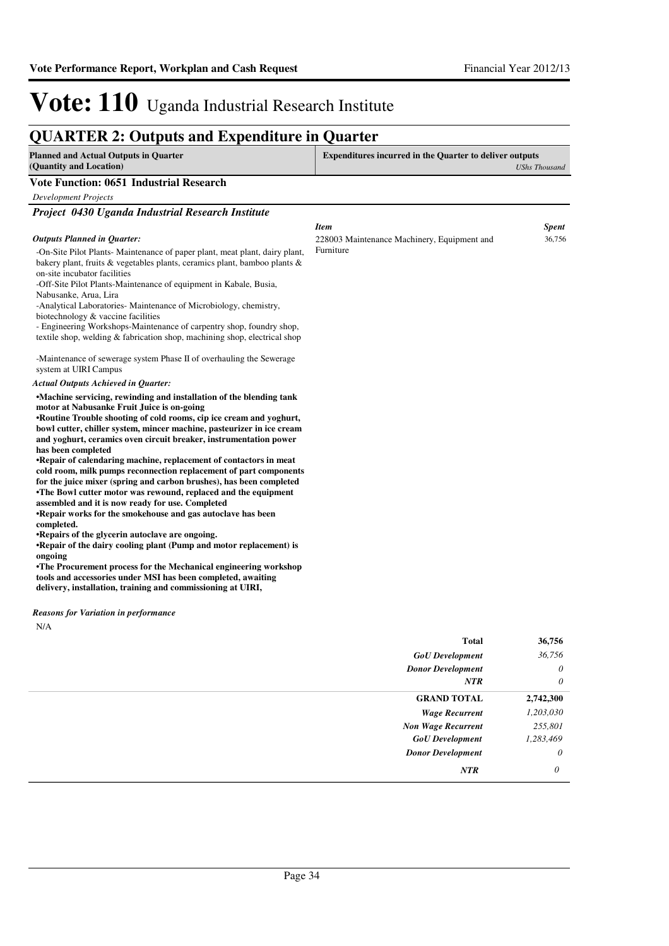•Repair of calendaring machine, replacement of contactors in meat **cold room, milk pumps reconnection replacement of part components for the juice mixer (spring and carbon brushes), has been completed •The Bowl cutter motor was rewound, replaced and th e equipment** 

**•Repair works for the smokehouse and gas autoclave has been** 

**•Repair of the dairy cooling plant (Pump and motor replacement) is** 

**•The Procurement process for the Mechanical engineering workshop tools and accessories under MSI has been completed, awaiting delivery, installation, training and commissioning at UIRI,**

**assembled and it is now ready for use. Completed**

**•Repairs of the glycerin autoclave are ongoing.**

## Vote: 110 Uganda Industrial Research Institute

### **QUARTER 2: Outputs and Expenditure in Quarter**

| <b>Planned and Actual Outputs in Quarter</b>                                                                                               | <b>Expenditures incurred in the Quarter to deliver outputs</b> |                      |
|--------------------------------------------------------------------------------------------------------------------------------------------|----------------------------------------------------------------|----------------------|
| (Quantity and Location)                                                                                                                    |                                                                | <b>UShs Thousand</b> |
| <b>Vote Function: 0651 Industrial Research</b>                                                                                             |                                                                |                      |
| <b>Development Projects</b>                                                                                                                |                                                                |                      |
| Project 0430 Uganda Industrial Research Institute                                                                                          |                                                                |                      |
|                                                                                                                                            | <b>Item</b>                                                    | <b>Spent</b>         |
| <b>Outputs Planned in Quarter:</b>                                                                                                         | 228003 Maintenance Machinery, Equipment and                    | 36,756               |
| -On-Site Pilot Plants- Maintenance of paper plant, meat plant, dairy plant,                                                                | Furniture                                                      |                      |
| bakery plant, fruits & vegetables plants, ceramics plant, bamboo plants &                                                                  |                                                                |                      |
| on-site incubator facilities                                                                                                               |                                                                |                      |
| -Off-Site Pilot Plants-Maintenance of equipment in Kabale, Busia,<br>Nabusanke, Arua, Lira                                                 |                                                                |                      |
| -Analytical Laboratories- Maintenance of Microbiology, chemistry,                                                                          |                                                                |                      |
| biotechnology & vaccine facilities                                                                                                         |                                                                |                      |
| - Engineering Workshops-Maintenance of carpentry shop, foundry shop,                                                                       |                                                                |                      |
| textile shop, welding & fabrication shop, machining shop, electrical shop                                                                  |                                                                |                      |
| -Maintenance of sewerage system Phase II of overhauling the Sewerage                                                                       |                                                                |                      |
| system at UIRI Campus                                                                                                                      |                                                                |                      |
| <b>Actual Outputs Achieved in Quarter:</b>                                                                                                 |                                                                |                      |
| •Machine servicing, rewinding and installation of the blending tank                                                                        |                                                                |                      |
| motor at Nabusanke Fruit Juice is on-going                                                                                                 |                                                                |                      |
| •Routine Trouble shooting of cold rooms, cip ice cream and yoghurt,                                                                        |                                                                |                      |
| bowl cutter, chiller system, mincer machine, pasteurizer in ice cream<br>and yoghurt, ceramics oven circuit breaker, instrumentation power |                                                                |                      |

*Reasons for Variation in performance*

**has been completed**

**completed.** 

**ongoing**

N/A

| <b>Total</b>              | 36,756    |
|---------------------------|-----------|
| <b>GoU</b> Development    | 36,756    |
| <b>Donor Development</b>  | $\theta$  |
| <b>NTR</b>                | $\theta$  |
| <b>GRAND TOTAL</b>        | 2,742,300 |
| <b>Wage Recurrent</b>     | 1,203,030 |
| <b>Non Wage Recurrent</b> | 255,801   |
| <b>GoU</b> Development    | 1,283,469 |
| <b>Donor Development</b>  | $\theta$  |
| <b>NTR</b>                | 0         |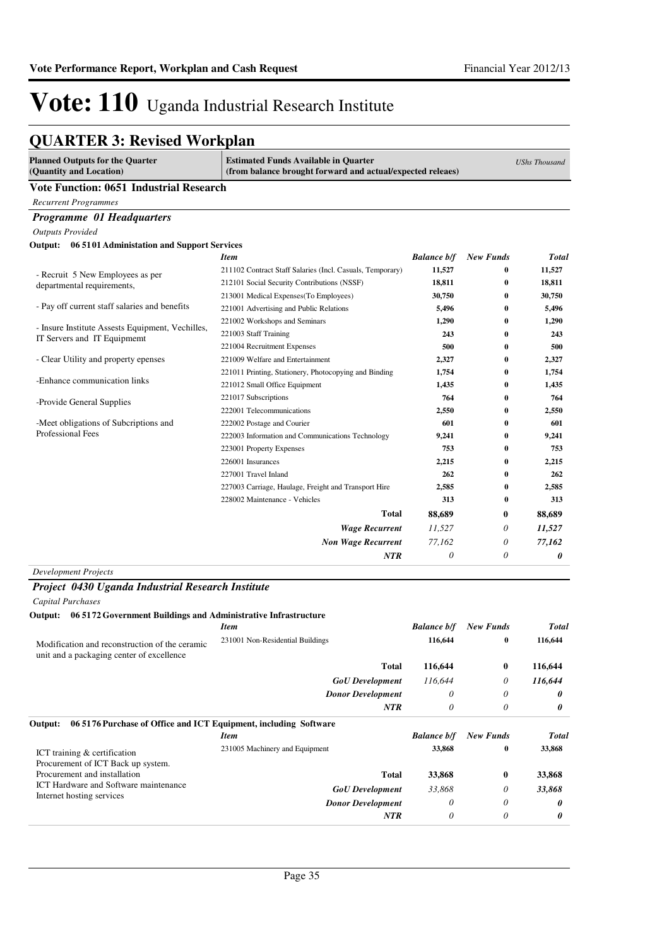### **QUARTER 3: Revised Workplan**

| <b>Planned Outputs for the Quarter</b><br>(Quantity and Location)                           | <b>Estimated Funds Available in Quarter</b><br>(from balance brought forward and actual/expected releaes) |                    |                  | <b>UShs Thousand</b> |
|---------------------------------------------------------------------------------------------|-----------------------------------------------------------------------------------------------------------|--------------------|------------------|----------------------|
| <b>Vote Function: 0651 Industrial Research</b>                                              |                                                                                                           |                    |                  |                      |
| <b>Recurrent Programmes</b>                                                                 |                                                                                                           |                    |                  |                      |
| Programme 01 Headquarters                                                                   |                                                                                                           |                    |                  |                      |
| <b>Outputs Provided</b>                                                                     |                                                                                                           |                    |                  |                      |
| Output: 06 5101 Administation and Support Services                                          |                                                                                                           |                    |                  |                      |
|                                                                                             | <b>Item</b>                                                                                               | <b>Balance b/f</b> | <b>New Funds</b> | <b>Total</b>         |
|                                                                                             | 211102 Contract Staff Salaries (Incl. Casuals, Temporary)                                                 | 11,527             | 0                | 11,527               |
| - Recruit 5 New Employees as per<br>departmental requirements,                              | 212101 Social Security Contributions (NSSF)                                                               | 18,811             | $\bf{0}$         | 18,811               |
|                                                                                             | 213001 Medical Expenses (To Employees)                                                                    | 30,750             | 0                | 30,750               |
| - Pay off current staff salaries and benefits                                               | 221001 Advertising and Public Relations                                                                   | 5,496              | $\bf{0}$         | 5,496                |
|                                                                                             | 221002 Workshops and Seminars                                                                             | 1,290              | 0                | 1,290                |
| - Insure Institute Assests Equipment, Vechilles,<br>IT Servers and IT Equipmemt             | 221003 Staff Training                                                                                     | 243                | 0                | 243                  |
|                                                                                             | 221004 Recruitment Expenses                                                                               | 500                | 0                | 500                  |
| - Clear Utility and property epenses                                                        | 221009 Welfare and Entertainment                                                                          | 2,327              | $\bf{0}$         | 2,327                |
|                                                                                             | 221011 Printing, Stationery, Photocopying and Binding                                                     | 1,754              | $\bf{0}$         | 1,754                |
| -Enhance communication links                                                                | 221012 Small Office Equipment                                                                             | 1,435              | $\bf{0}$         | 1,435                |
| -Provide General Supplies                                                                   | 221017 Subscriptions                                                                                      | 764                | $\bf{0}$         | 764                  |
|                                                                                             | 222001 Telecommunications                                                                                 | 2,550              | $\bf{0}$         | 2,550                |
| -Meet obligations of Subcriptions and                                                       | 222002 Postage and Courier                                                                                | 601                | $\bf{0}$         | 601                  |
| Professional Fees                                                                           | 222003 Information and Communications Technology                                                          | 9,241              | $\bf{0}$         | 9,241                |
|                                                                                             | 223001 Property Expenses                                                                                  | 753                | 0                | 753                  |
|                                                                                             | 226001 Insurances                                                                                         | 2,215              | 0                | 2,215                |
|                                                                                             | 227001 Travel Inland                                                                                      | 262                | $\bf{0}$         | 262                  |
|                                                                                             | 227003 Carriage, Haulage, Freight and Transport Hire                                                      | 2,585              | $\bf{0}$         | 2,585                |
|                                                                                             | 228002 Maintenance - Vehicles                                                                             | 313                | $\bf{0}$         | 313                  |
|                                                                                             | <b>Total</b>                                                                                              | 88,689             | $\bf{0}$         | 88,689               |
|                                                                                             | <b>Wage Recurrent</b>                                                                                     | 11,527             | 0                | 11,527               |
|                                                                                             | <b>Non Wage Recurrent</b>                                                                                 | 77,162             | 0                | 77,162               |
|                                                                                             | NTR                                                                                                       | 0                  | 0                | 0                    |
| <b>Development Projects</b>                                                                 |                                                                                                           |                    |                  |                      |
| Project 0430 Uganda Industrial Research Institute                                           |                                                                                                           |                    |                  |                      |
| <b>Capital Purchases</b>                                                                    |                                                                                                           |                    |                  |                      |
| Output: 06 5172 Government Buildings and Administrative Infrastructure                      |                                                                                                           |                    |                  |                      |
|                                                                                             | <b>Item</b>                                                                                               | <b>Balance b/f</b> | <b>New Funds</b> | <b>Total</b>         |
|                                                                                             | 231001 Non-Residential Buildings                                                                          | 116,644            | $\bf{0}$         | 116,644              |
| Modification and reconstruction of the ceramic<br>unit and a packaging center of excellence |                                                                                                           |                    |                  |                      |
|                                                                                             | <b>Total</b>                                                                                              | 116,644            | $\bf{0}$         | 116,644              |
|                                                                                             | <b>GoU</b> Development                                                                                    | 116,644            | 0                | 116,644              |
|                                                                                             | <b>Donor Development</b>                                                                                  | 0                  | 0                | 0                    |
|                                                                                             | <b>NTR</b>                                                                                                | 0                  | 0                | 0                    |
|                                                                                             |                                                                                                           |                    |                  |                      |
| 06 5176 Purchase of Office and ICT Equipment, including Software<br>Output:                 | <b>Item</b>                                                                                               | <b>Balance b/f</b> | <b>New Funds</b> | <b>Total</b>         |
|                                                                                             | 231005 Machinery and Equipment                                                                            | 33,868             | $\bf{0}$         | 33,868               |
| ICT training & certification                                                                |                                                                                                           |                    |                  |                      |
| Procurement of ICT Back up system.<br>Procurement and installation                          | <b>Total</b>                                                                                              | 33,868             | $\bf{0}$         | 33,868               |
| ICT Hardware and Software maintenance                                                       | <b>GoU</b> Development                                                                                    | 33,868             | 0                |                      |
| Internet hosting services                                                                   |                                                                                                           |                    |                  | 33,868               |
|                                                                                             | <b>Donor Development</b>                                                                                  | 0                  | 0                | 0                    |
|                                                                                             | NTR                                                                                                       | 0                  | $\theta$         | 0                    |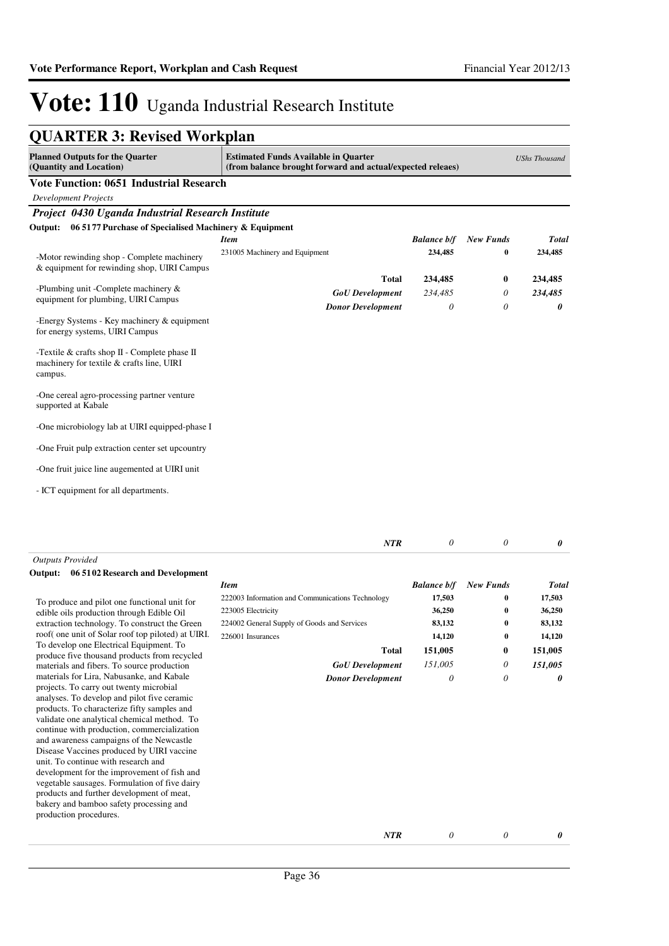| <b>Planned Outputs for the Quarter</b><br>(Quantity and Location)                                             | <b>Estimated Funds Available in Quarter</b><br>(from balance brought forward and actual/expected releaes) |                    |                  | <b>UShs Thousand</b> |
|---------------------------------------------------------------------------------------------------------------|-----------------------------------------------------------------------------------------------------------|--------------------|------------------|----------------------|
| <b>Vote Function: 0651 Industrial Research</b>                                                                |                                                                                                           |                    |                  |                      |
| <b>Development Projects</b>                                                                                   |                                                                                                           |                    |                  |                      |
| Project 0430 Uganda Industrial Research Institute                                                             |                                                                                                           |                    |                  |                      |
| 06 5177 Purchase of Specialised Machinery & Equipment<br>Output:                                              |                                                                                                           |                    |                  |                      |
|                                                                                                               | <b>Item</b>                                                                                               | <b>Balance b/f</b> | <b>New Funds</b> | Total                |
| -Motor rewinding shop - Complete machinery<br>& equipment for rewinding shop, UIRI Campus                     | 231005 Machinery and Equipment                                                                            | 234,485            | $\bf{0}$         | 234,485              |
|                                                                                                               | <b>Total</b>                                                                                              | 234,485            | 0                | 234,485              |
| -Plumbing unit -Complete machinery $\&$                                                                       | <b>GoU</b> Development                                                                                    | 234,485            | 0                | 234,485              |
| equipment for plumbing, UIRI Campus                                                                           | <b>Donor Development</b>                                                                                  | $\theta$           | 0                | 0                    |
| -Energy Systems - Key machinery $\&$ equipment<br>for energy systems, UIRI Campus                             |                                                                                                           |                    |                  |                      |
| -Textile $&$ crafts shop $\Pi$ - Complete phase $\Pi$<br>machinery for textile & crafts line, UIRI<br>campus. |                                                                                                           |                    |                  |                      |
| -One cereal agro-processing partner venture<br>supported at Kabale                                            |                                                                                                           |                    |                  |                      |
| -One microbiology lab at UIRI equipped-phase I                                                                |                                                                                                           |                    |                  |                      |
| -One Fruit pulp extraction center set upcountry                                                               |                                                                                                           |                    |                  |                      |
| -One fruit juice line augemented at UIRI unit                                                                 |                                                                                                           |                    |                  |                      |
| - ICT equipment for all departments.                                                                          |                                                                                                           |                    |                  |                      |
|                                                                                                               |                                                                                                           |                    |                  |                      |

*Outputs Provided*

#### **Output:** 06 **5102** Research and Development

To produce and pilot one functional unit for edible oils production through Edible Oil extraction technology. To construct the Green roof( one unit of Solar roof top piloted) at UIR To develop one Electrical Equipment. To produce five thousand products from recycled materials and fibers. To source production materials for Lira, Nabusanke, and Kabale projects. To carry out twenty microbial analyses. To develop and pilot five ceramic products. To characterize fifty samples and validate one analytical chemical method. To continue with production, commercialization and awareness campaigns of the Newcastle Disease Vaccines produced by UIRI vaccine unit. To continue with research and development for the improvement of fish and vegetable sausages. Formulation of five dairy products and further development of meat, bakery and bamboo safety processing and production procedures.

| ıt |                                                  |                    |           |              |
|----|--------------------------------------------------|--------------------|-----------|--------------|
|    | <b>Item</b>                                      | <b>Balance b/f</b> | New Funds | <b>Total</b> |
|    | 222003 Information and Communications Technology | 17,503             | $\bf{0}$  | 17,503       |
|    | 223005 Electricity                               | 36,250             | $\bf{0}$  | 36,250       |
|    | 224002 General Supply of Goods and Services      | 83,132             | $\bf{0}$  | 83,132       |
| L. | 226001 Insurances                                | 14,120             | $\bf{0}$  | 14,120       |
|    | Total                                            | 151,005            | 0         | 151,005      |
|    | <b>GoU</b> Development                           | 151,005            | 0         | 151,005      |
|    | <b>Donor Development</b>                         | 0                  | 0         | 0            |
|    |                                                  |                    |           |              |

*NTR*

*0 NTR 0 0*

*0*

*0*

*0*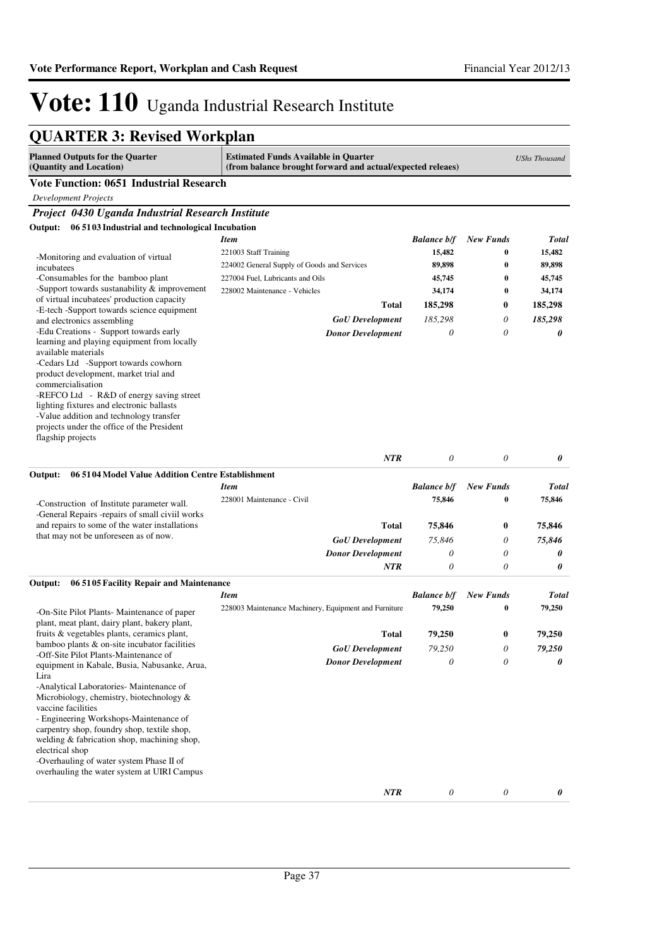| <b>QUARTER 3: Revised Workplan</b>                                                                                                                                                                                                                                                                                                                                                                                        |                                                                                                           |                           |                           |                      |
|---------------------------------------------------------------------------------------------------------------------------------------------------------------------------------------------------------------------------------------------------------------------------------------------------------------------------------------------------------------------------------------------------------------------------|-----------------------------------------------------------------------------------------------------------|---------------------------|---------------------------|----------------------|
| <b>Planned Outputs for the Quarter</b><br>(Quantity and Location)                                                                                                                                                                                                                                                                                                                                                         | <b>Estimated Funds Available in Quarter</b><br>(from balance brought forward and actual/expected releaes) |                           |                           | <b>UShs Thousand</b> |
| <b>Vote Function: 0651 Industrial Research</b>                                                                                                                                                                                                                                                                                                                                                                            |                                                                                                           |                           |                           |                      |
| <b>Development Projects</b>                                                                                                                                                                                                                                                                                                                                                                                               |                                                                                                           |                           |                           |                      |
| Project 0430 Uganda Industrial Research Institute                                                                                                                                                                                                                                                                                                                                                                         |                                                                                                           |                           |                           |                      |
| Output: 06 51 03 Industrial and technological Incubation                                                                                                                                                                                                                                                                                                                                                                  |                                                                                                           |                           |                           |                      |
|                                                                                                                                                                                                                                                                                                                                                                                                                           | <b>Item</b>                                                                                               | <b>Balance b/f</b>        | <b>New Funds</b>          | Total                |
| -Monitoring and evaluation of virtual                                                                                                                                                                                                                                                                                                                                                                                     | 221003 Staff Training                                                                                     | 15,482                    | 0                         | 15,482               |
| incubatees                                                                                                                                                                                                                                                                                                                                                                                                                | 224002 General Supply of Goods and Services                                                               | 89,898                    | $\bf{0}$                  | 89,898               |
| -Consumables for the bamboo plant<br>-Support towards sustanability $&$ improvement                                                                                                                                                                                                                                                                                                                                       | 227004 Fuel, Lubricants and Oils                                                                          | 45,745                    | $\bf{0}$                  | 45,745               |
| of virtual incubatees' production capacity                                                                                                                                                                                                                                                                                                                                                                                | 228002 Maintenance - Vehicles                                                                             | 34,174                    | 0                         | 34,174               |
| -E-tech -Support towards science equipment                                                                                                                                                                                                                                                                                                                                                                                | <b>Total</b>                                                                                              | 185,298                   | 0                         | 185,298              |
| and electronics assembling                                                                                                                                                                                                                                                                                                                                                                                                | $GoU$ Development                                                                                         | 185,298                   | 0                         | 185,298              |
| -Edu Creations - Support towards early<br>learning and playing equipment from locally<br>available materials<br>-Cedars Ltd -Support towards cowhorn<br>product development, market trial and<br>commercialisation<br>-REFCO Ltd - R&D of energy saving street<br>lighting fixtures and electronic ballasts<br>-Value addition and technology transfer<br>projects under the office of the President<br>flagship projects | <b>Donor Development</b>                                                                                  | 0                         | 0                         | 0                    |
|                                                                                                                                                                                                                                                                                                                                                                                                                           | <b>NTR</b>                                                                                                | $\theta$                  | $\theta$                  | 0                    |
| 06 5104 Model Value Addition Centre Establishment<br>Output:                                                                                                                                                                                                                                                                                                                                                              |                                                                                                           |                           |                           |                      |
|                                                                                                                                                                                                                                                                                                                                                                                                                           | <b>Item</b>                                                                                               | <b>Balance b/f</b>        | <b>New Funds</b>          | Total                |
| -Construction of Institute parameter wall.<br>-General Repairs -repairs of small civiil works                                                                                                                                                                                                                                                                                                                             | 228001 Maintenance - Civil                                                                                | 75,846                    | $\bf{0}$                  | 75,846               |
| and repairs to some of the water installations                                                                                                                                                                                                                                                                                                                                                                            | <b>Total</b>                                                                                              | 75,846                    | 0                         | 75,846               |
| that may not be unforeseen as of now.                                                                                                                                                                                                                                                                                                                                                                                     | <b>GoU</b> Development                                                                                    | 75,846                    | 0                         | 75,846               |
|                                                                                                                                                                                                                                                                                                                                                                                                                           | <b>Donor Development</b>                                                                                  | 0                         | $\theta$                  | 0                    |
|                                                                                                                                                                                                                                                                                                                                                                                                                           | NTR                                                                                                       | 0                         | 0                         | 0                    |
| Output:<br>06 5105 Facility Repair and Maintenance                                                                                                                                                                                                                                                                                                                                                                        |                                                                                                           |                           |                           |                      |
|                                                                                                                                                                                                                                                                                                                                                                                                                           | <b>Item</b>                                                                                               | <b>Balance b/f</b>        | <b>New Funds</b>          | Total                |
| -On-Site Pilot Plants- Maintenance of paper<br>plant, meat plant, dairy plant, bakery plant,                                                                                                                                                                                                                                                                                                                              | 228003 Maintenance Machinery, Equipment and Furniture                                                     | 79,250                    | $\bf{0}$                  | 79,250               |
| fruits & vegetables plants, ceramics plant,<br>bamboo plants & on-site incubator facilities                                                                                                                                                                                                                                                                                                                               | Total                                                                                                     | 79,250                    | $\bf{0}$                  | 79,250               |
| -Off-Site Pilot Plants-Maintenance of                                                                                                                                                                                                                                                                                                                                                                                     | <b>GoU</b> Development                                                                                    | 79,250                    | 0                         | 79,250               |
| equipment in Kabale, Busia, Nabusanke, Arua,<br>Lira<br>-Analytical Laboratories- Maintenance of<br>Microbiology, chemistry, biotechnology &<br>vaccine facilities<br>- Engineering Workshops-Maintenance of<br>carpentry shop, foundry shop, textile shop,<br>welding & fabrication shop, machining shop,<br>electrical shop<br>-Overhauling of water system Phase II of<br>overhauling the water system at UIRI Campus  | <b>Donor Development</b>                                                                                  | 0                         | 0                         | 0                    |
|                                                                                                                                                                                                                                                                                                                                                                                                                           | NTR                                                                                                       | $\boldsymbol{\mathit{0}}$ | $\boldsymbol{\mathit{0}}$ | 0                    |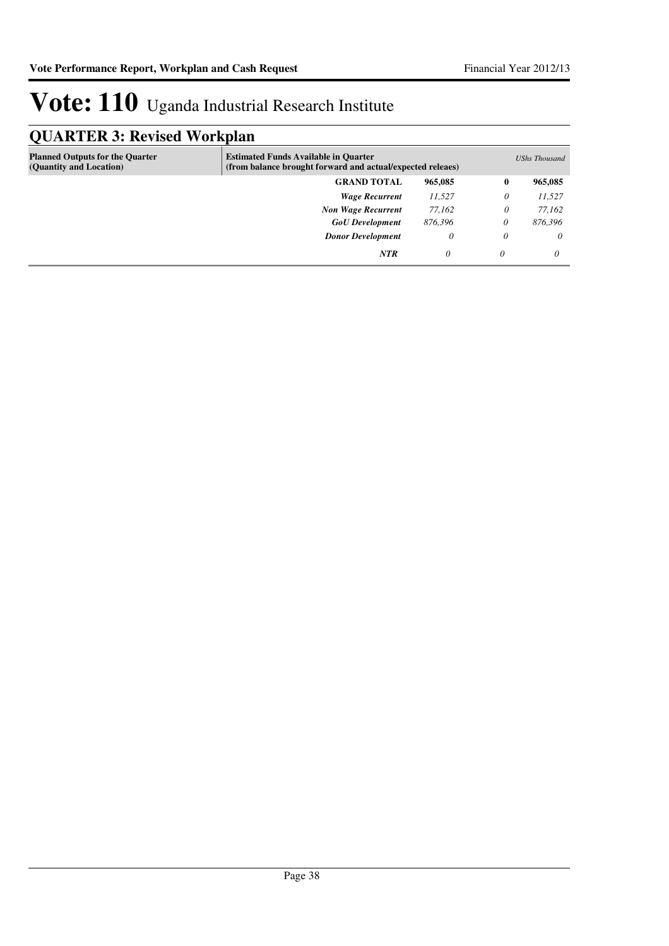### **QUARTER 3: Revised Workplan**

| ∼ −                                                               |                                                                                                           |          |          |               |
|-------------------------------------------------------------------|-----------------------------------------------------------------------------------------------------------|----------|----------|---------------|
| <b>Planned Outputs for the Quarter</b><br>(Quantity and Location) | <b>Estimated Funds Available in Quarter</b><br>(from balance brought forward and actual/expected releaes) |          |          | UShs Thousand |
|                                                                   | <b>GRAND TOTAL</b>                                                                                        | 965,085  | $\bf{0}$ | 965,085       |
|                                                                   | <b>Wage Recurrent</b>                                                                                     | 11,527   | 0        | 11,527        |
|                                                                   | <b>Non Wage Recurrent</b>                                                                                 | 77.162   | 0        | 77.162        |
|                                                                   | <b>GoU</b> Development                                                                                    | 876,396  | 0        | 876,396       |
|                                                                   | <b>Donor Development</b>                                                                                  | 0        | 0        | $\theta$      |
|                                                                   | <b>NTR</b>                                                                                                | $\theta$ | $\theta$ | 0             |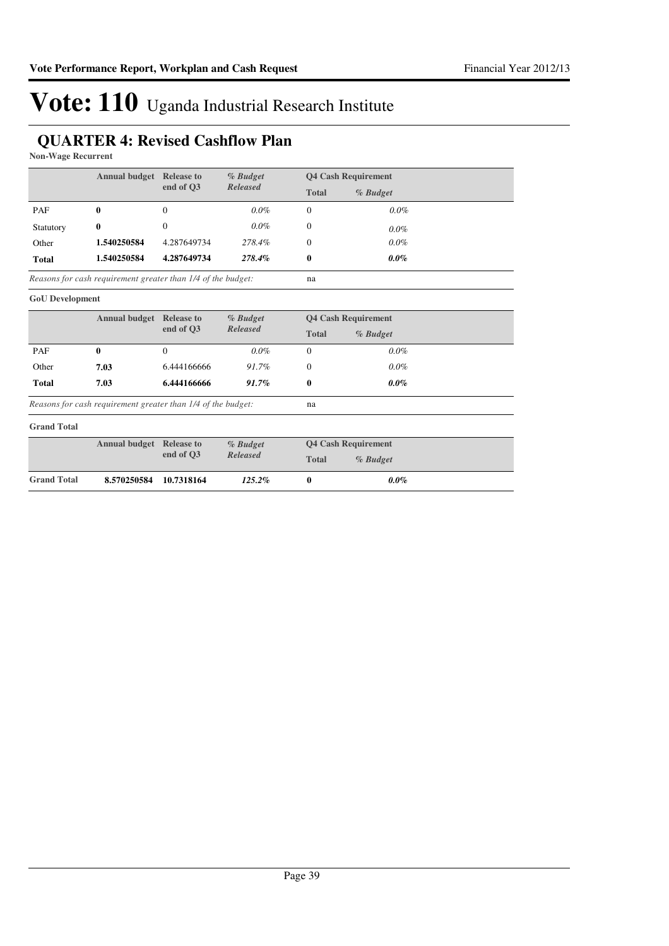### **QUARTER 4: Revised Cashflow Plan**

**Non-Wage Recurrent**

|              | <b>Annual budget</b>                                         | <b>Release to</b> | $%$ Budget      |                | <b>Q4 Cash Requirement</b> |  |
|--------------|--------------------------------------------------------------|-------------------|-----------------|----------------|----------------------------|--|
|              |                                                              | end of O3         | <b>Released</b> | <b>Total</b>   | $%$ Budget                 |  |
| PAF          | $\bf{0}$                                                     | 0                 | $0.0\%$         | 0              | $0.0\%$                    |  |
| Statutory    | 0                                                            | 0                 | $0.0\%$         | $\overline{0}$ | $0.0\%$                    |  |
| Other        | 1.540250584                                                  | 4.287649734       | 278.4%          | $\Omega$       | $0.0\%$                    |  |
| <b>Total</b> | 1.540250584                                                  | 4.287649734       | 278.4%          | $\bf{0}$       | $0.0\%$                    |  |
|              | Reasons for cash requirement greater than 1/4 of the budget: |                   |                 | na             |                            |  |

*Reasons for cash requirement greater than 1/4 of the budget:*

#### **GoU Development**

|      | <b>Release to</b> | % Budget                          |                 |            |                            |
|------|-------------------|-----------------------------------|-----------------|------------|----------------------------|
|      |                   |                                   | <b>Total</b>    | $%$ Budget |                            |
| 0    | 0                 | $0.0\%$                           | $\Omega$        | $0.0\%$    |                            |
| 7.03 | 6.444166666       | 91.7%                             | 0               | $0.0\%$    |                            |
| 7.03 | 6.444166666       | 91.7%                             | 0               | $0.0\%$    |                            |
|      |                   | <b>Annual budget</b><br>end of O3 | <b>Released</b> |            | <b>Q4 Cash Requirement</b> |

na

*Reasons for cash requirement greater than 1/4 of the budget:*

#### **Grand Total**

|                    | <b>Annual budget Release to</b> |           | % Budget        |       | <b>04 Cash Requirement</b> |  |
|--------------------|---------------------------------|-----------|-----------------|-------|----------------------------|--|
|                    |                                 | end of O3 | <b>Released</b> | Total | % Budget                   |  |
| <b>Grand Total</b> | 8.570250584 10.7318164          |           | $125.2\%$       |       | $0.0\%$                    |  |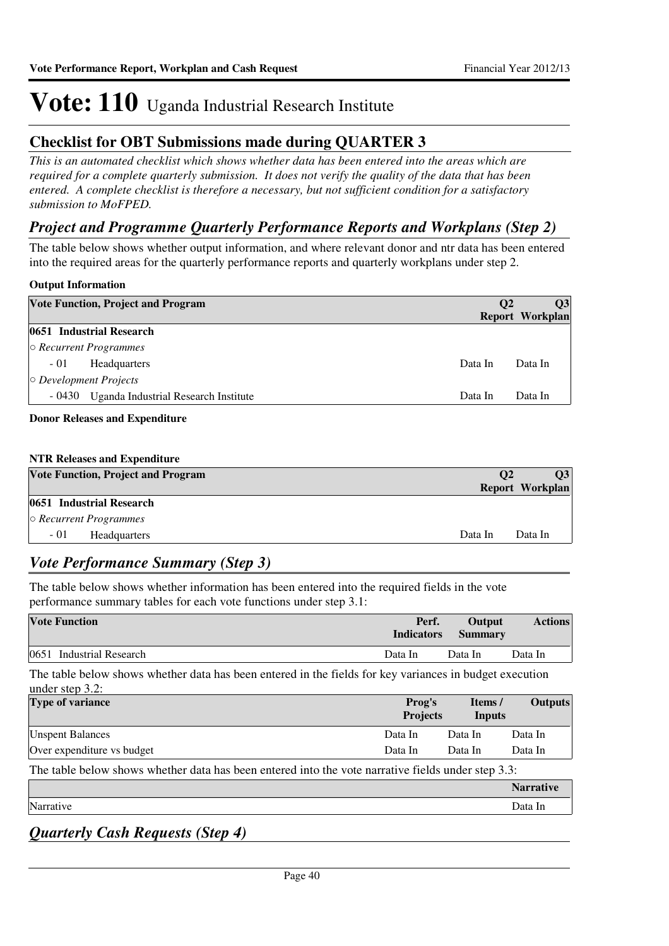### **Checklist for OBT Submissions made during QUARTER 3**

*This is an automated checklist which shows whether data has been entered into the areas which are required for a complete quarterly submission. It does not verify the quality of the data that has been entered. A complete checklist is therefore a necessary, but not sufficient condition for a satisfactory submission to MoFPED.*

### *Project and Programme Quarterly Performance Reports and Workplans (Step 2)*

The table below shows whether output information, and where relevant donor and ntr data has been entered into the required areas for the quarterly performance reports and quarterly workplans under step 2.

#### **Output Information**

|                              | <b>Vote Function, Project and Program</b> | <b>O2</b> | <b>O3</b><br>Report Workplan |
|------------------------------|-------------------------------------------|-----------|------------------------------|
|                              | 0651 Industrial Research                  |           |                              |
|                              | $\circ$ Recurrent Programmes              |           |                              |
| $-01$                        | <b>Headquarters</b>                       | Data In   | Data In                      |
| $\circ$ Development Projects |                                           |           |                              |
| - 0430                       | Uganda Industrial Research Institute      | Data In   | Data In                      |
|                              |                                           |           |                              |

#### **Donor Releases and Expenditure**

| <b>NTR Releases and Expenditure</b> |  |  |  |
|-------------------------------------|--|--|--|
|-------------------------------------|--|--|--|

| <b>Vote Function, Project and Program</b> | <b>O<sub>2</sub></b> | 03              |
|-------------------------------------------|----------------------|-----------------|
|                                           |                      | Report Workplan |
| 0651 Industrial Research                  |                      |                 |
| $\circ$ Recurrent Programmes              |                      |                 |
| $-01$<br>Headquarters                     | Data In              | Data In         |

### *Vote Performance Summary (Step 3)*

The table below shows whether information has been entered into the required fields in the vote performance summary tables for each vote functions under step 3.1:

| <b>Vote Function</b>     | Perf.<br><b>Indicators</b> | Output<br><b>Summary</b> | <b>Actions</b> |
|--------------------------|----------------------------|--------------------------|----------------|
| 0651 Industrial Research | Data In                    | Data In                  | Data In        |

The table below shows whether data has been entered in the fields for key variances in budget execution under step  $3.2$ :

| $\frac{1}{2}$                                                                                      |                           |                   |                  |
|----------------------------------------------------------------------------------------------------|---------------------------|-------------------|------------------|
| <b>Type of variance</b>                                                                            | Prog's<br><b>Projects</b> | Items /<br>Inputs | <b>Outputs</b>   |
| <b>Unspent Balances</b>                                                                            | Data In                   | Data In           | Data In          |
| Over expenditure vs budget                                                                         | Data In                   | Data In           | Data In          |
| The table below shows whether data has been entered into the vote narrative fields under step 3.3: |                           |                   |                  |
|                                                                                                    |                           |                   | <b>Narrative</b> |
| Narrative                                                                                          |                           |                   | Data In          |

*Quarterly Cash Requests (Step 4)*